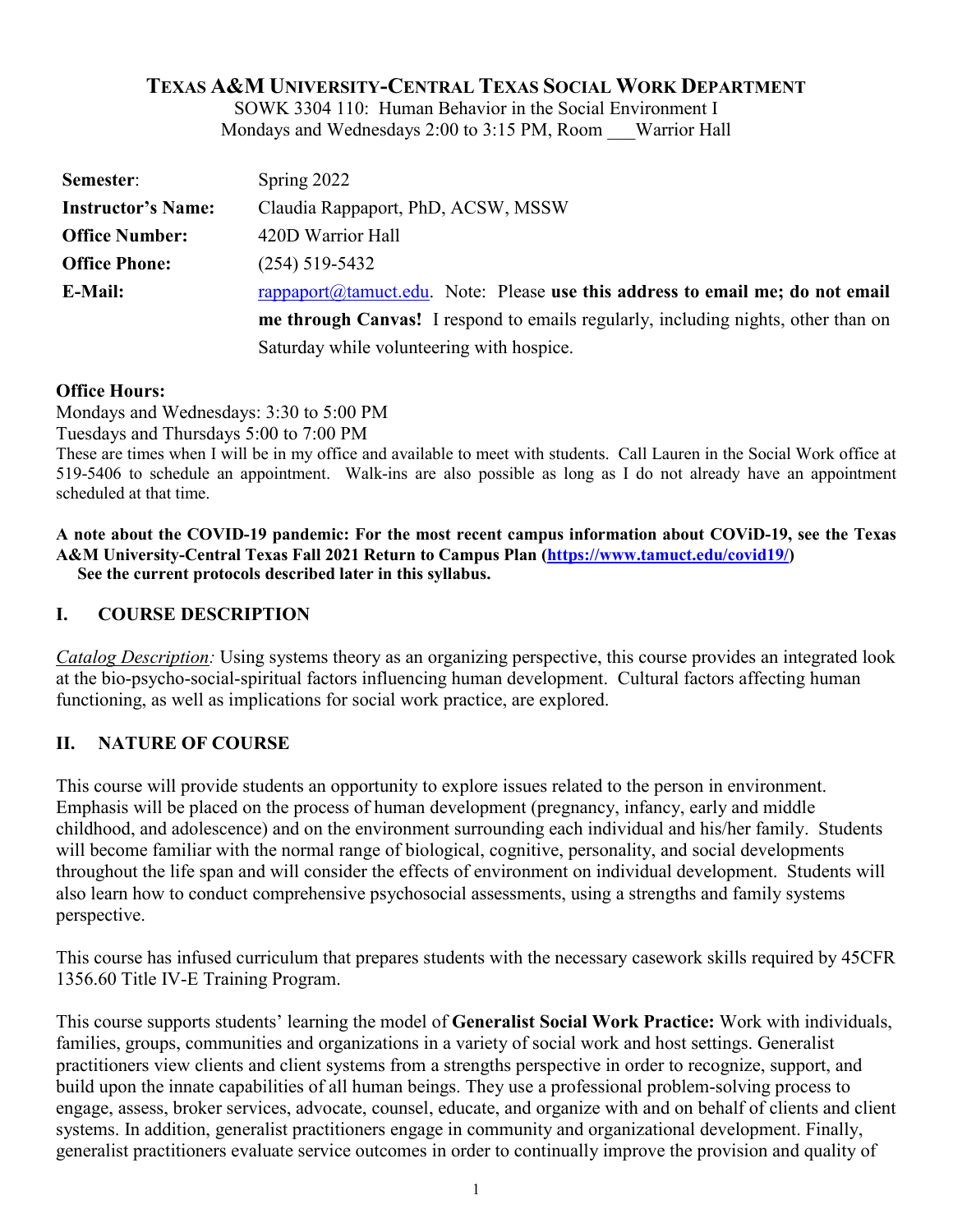## **TEXAS A&M UNIVERSITY-CENTRAL TEXAS SOCIAL WORK DEPARTMENT**

SOWK 3304 110: Human Behavior in the Social Environment I Mondays and Wednesdays 2:00 to 3:15 PM, Room Warrior Hall

| Semester:                 | Spring 2022                                                                       |
|---------------------------|-----------------------------------------------------------------------------------|
| <b>Instructor's Name:</b> | Claudia Rappaport, PhD, ACSW, MSSW                                                |
| <b>Office Number:</b>     | 420D Warrior Hall                                                                 |
| <b>Office Phone:</b>      | $(254)$ 519-5432                                                                  |
| E-Mail:                   | rappaport@tamuct.edu. Note: Please use this address to email me; do not email     |
|                           | me through Canvas! I respond to emails regularly, including nights, other than on |
|                           | Saturday while volunteering with hospice.                                         |

### **Office Hours:**

Mondays and Wednesdays: 3:30 to 5:00 PM

Tuesdays and Thursdays 5:00 to 7:00 PM

These are times when I will be in my office and available to meet with students. Call Lauren in the Social Work office at 519-5406 to schedule an appointment. Walk-ins are also possible as long as I do not already have an appointment scheduled at that time.

**A note about the COVID-19 pandemic: For the most recent campus information about COViD-19, see the Texas A&M University-Central Texas Fall 2021 Return to Campus Plan [\(https://www.tamuct.edu/covid19/\)](https://www.tamuct.edu/covid19/) See the current protocols described later in this syllabus.**

## **I. COURSE DESCRIPTION**

*Catalog Description:* Using systems theory as an organizing perspective, this course provides an integrated look at the bio-psycho-social-spiritual factors influencing human development. Cultural factors affecting human functioning, as well as implications for social work practice, are explored.

## **II. NATURE OF COURSE**

This course will provide students an opportunity to explore issues related to the person in environment. Emphasis will be placed on the process of human development (pregnancy, infancy, early and middle childhood, and adolescence) and on the environment surrounding each individual and his/her family. Students will become familiar with the normal range of biological, cognitive, personality, and social developments throughout the life span and will consider the effects of environment on individual development. Students will also learn how to conduct comprehensive psychosocial assessments, using a strengths and family systems perspective.

This course has infused curriculum that prepares students with the necessary casework skills required by 45CFR 1356.60 Title IV-E Training Program.

This course supports students' learning the model of **Generalist Social Work Practice:** Work with individuals, families, groups, communities and organizations in a variety of social work and host settings. Generalist practitioners view clients and client systems from a strengths perspective in order to recognize, support, and build upon the innate capabilities of all human beings. They use a professional problem-solving process to engage, assess, broker services, advocate, counsel, educate, and organize with and on behalf of clients and client systems. In addition, generalist practitioners engage in community and organizational development. Finally, generalist practitioners evaluate service outcomes in order to continually improve the provision and quality of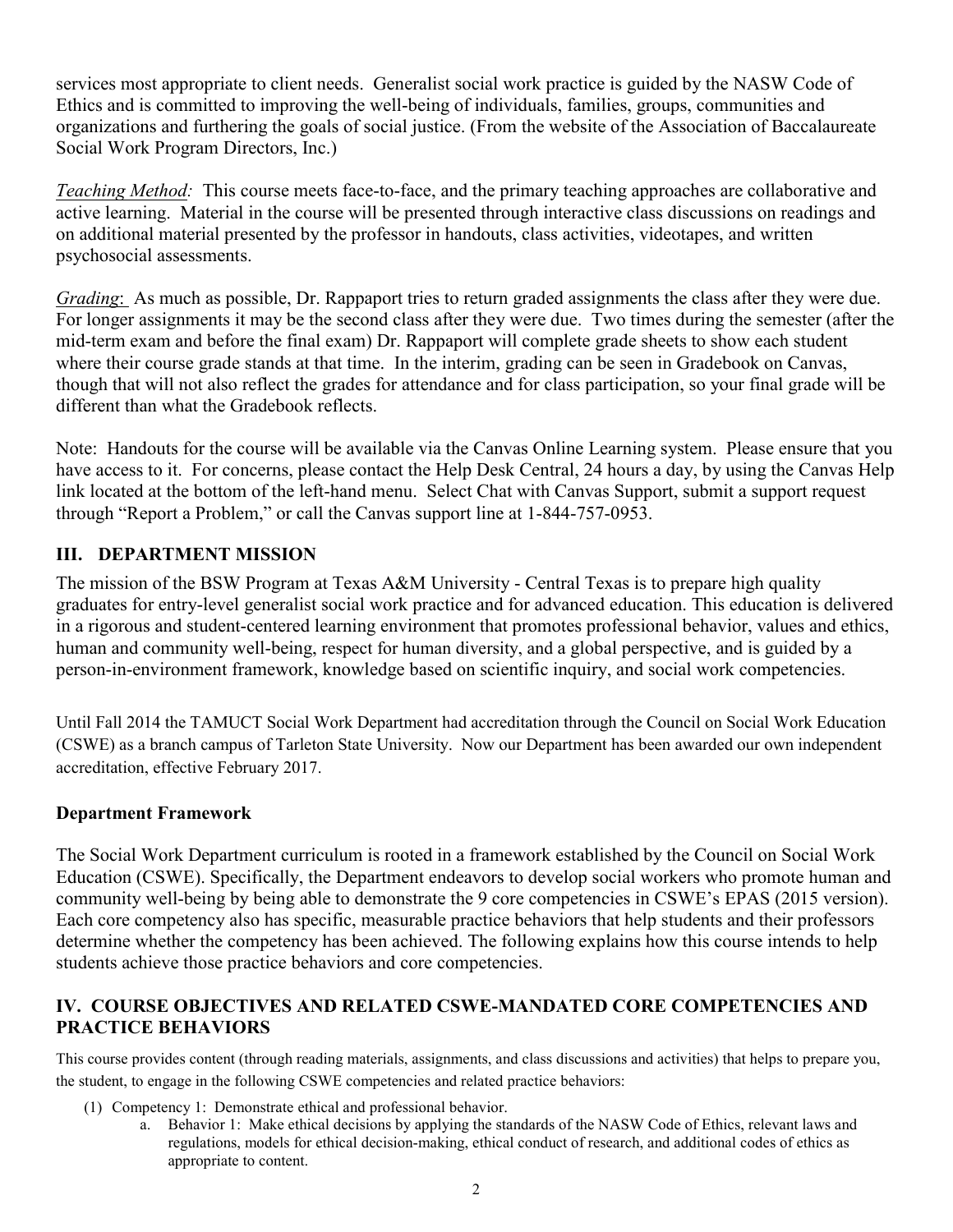services most appropriate to client needs. Generalist social work practice is guided by the NASW Code of Ethics and is committed to improving the well-being of individuals, families, groups, communities and organizations and furthering the goals of social justice. (From the website of the Association of Baccalaureate Social Work Program Directors, Inc.)

*Teaching Method:* This course meets face-to-face, and the primary teaching approaches are collaborative and active learning. Material in the course will be presented through interactive class discussions on readings and on additional material presented by the professor in handouts, class activities, videotapes, and written psychosocial assessments.

*Grading*: As much as possible, Dr. Rappaport tries to return graded assignments the class after they were due. For longer assignments it may be the second class after they were due. Two times during the semester (after the mid-term exam and before the final exam) Dr. Rappaport will complete grade sheets to show each student where their course grade stands at that time. In the interim, grading can be seen in Gradebook on Canvas, though that will not also reflect the grades for attendance and for class participation, so your final grade will be different than what the Gradebook reflects.

Note: Handouts for the course will be available via the Canvas Online Learning system. Please ensure that you have access to it. For concerns, please contact the Help Desk Central, 24 hours a day, by using the Canvas Help link located at the bottom of the left-hand menu. Select Chat with Canvas Support, submit a support request through "Report a Problem," or call the Canvas support line at 1-844-757-0953.

## **III. DEPARTMENT MISSION**

The mission of the BSW Program at Texas A&M University - Central Texas is to prepare high quality graduates for entry-level generalist social work practice and for advanced education. This education is delivered in a rigorous and student-centered learning environment that promotes professional behavior, values and ethics, human and community well-being, respect for human diversity, and a global perspective, and is guided by a person-in-environment framework, knowledge based on scientific inquiry, and social work competencies.

Until Fall 2014 the TAMUCT Social Work Department had accreditation through the Council on Social Work Education (CSWE) as a branch campus of Tarleton State University. Now our Department has been awarded our own independent accreditation, effective February 2017.

## **Department Framework**

The Social Work Department curriculum is rooted in a framework established by the Council on Social Work Education (CSWE). Specifically, the Department endeavors to develop social workers who promote human and community well-being by being able to demonstrate the 9 core competencies in CSWE's EPAS (2015 version). Each core competency also has specific, measurable practice behaviors that help students and their professors determine whether the competency has been achieved. The following explains how this course intends to help students achieve those practice behaviors and core competencies.

## **IV. COURSE OBJECTIVES AND RELATED CSWE-MANDATED CORE COMPETENCIES AND PRACTICE BEHAVIORS**

This course provides content (through reading materials, assignments, and class discussions and activities) that helps to prepare you, the student, to engage in the following CSWE competencies and related practice behaviors:

- (1) Competency 1: Demonstrate ethical and professional behavior.
	- a. Behavior 1: Make ethical decisions by applying the standards of the NASW Code of Ethics, relevant laws and regulations, models for ethical decision-making, ethical conduct of research, and additional codes of ethics as appropriate to content.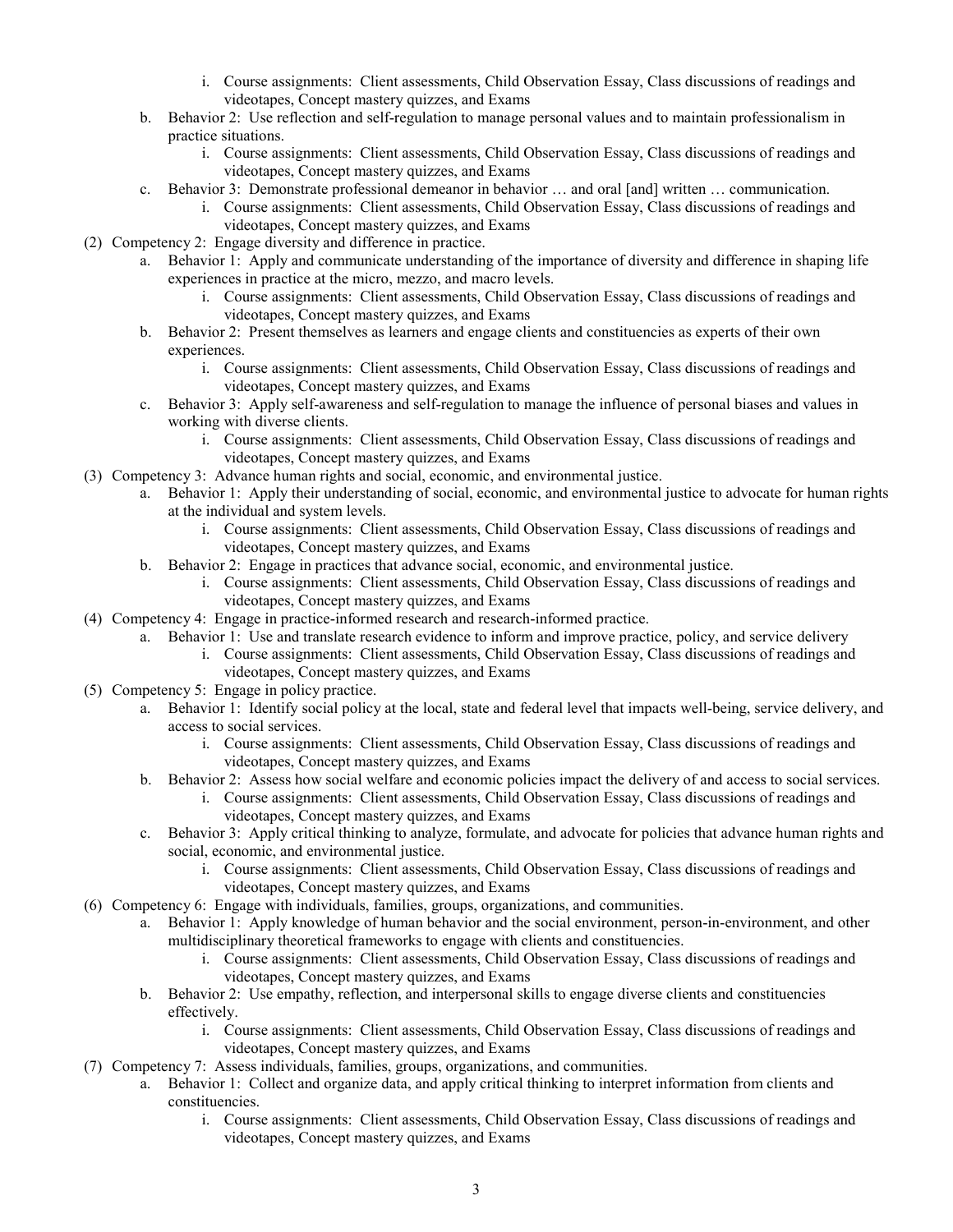- i. Course assignments: Client assessments, Child Observation Essay, Class discussions of readings and videotapes, Concept mastery quizzes, and Exams
- b. Behavior 2: Use reflection and self-regulation to manage personal values and to maintain professionalism in practice situations.
	- i. Course assignments: Client assessments, Child Observation Essay, Class discussions of readings and videotapes, Concept mastery quizzes, and Exams
- c. Behavior 3: Demonstrate professional demeanor in behavior … and oral [and] written … communication.
	- i. Course assignments: Client assessments, Child Observation Essay, Class discussions of readings and videotapes, Concept mastery quizzes, and Exams
- (2) Competency 2: Engage diversity and difference in practice.
	- a. Behavior 1: Apply and communicate understanding of the importance of diversity and difference in shaping life experiences in practice at the micro, mezzo, and macro levels.
		- i. Course assignments: Client assessments, Child Observation Essay, Class discussions of readings and videotapes, Concept mastery quizzes, and Exams
	- b. Behavior 2: Present themselves as learners and engage clients and constituencies as experts of their own experiences.
		- i. Course assignments: Client assessments, Child Observation Essay, Class discussions of readings and videotapes, Concept mastery quizzes, and Exams
	- c. Behavior 3: Apply self-awareness and self-regulation to manage the influence of personal biases and values in working with diverse clients.
		- i. Course assignments: Client assessments, Child Observation Essay, Class discussions of readings and videotapes, Concept mastery quizzes, and Exams
- (3) Competency 3: Advance human rights and social, economic, and environmental justice.
	- a. Behavior 1: Apply their understanding of social, economic, and environmental justice to advocate for human rights at the individual and system levels.
		- i. Course assignments: Client assessments, Child Observation Essay, Class discussions of readings and videotapes, Concept mastery quizzes, and Exams
		- b. Behavior 2: Engage in practices that advance social, economic, and environmental justice.
			- i. Course assignments: Client assessments, Child Observation Essay, Class discussions of readings and videotapes, Concept mastery quizzes, and Exams
- (4) Competency 4: Engage in practice-informed research and research-informed practice.
	- a. Behavior 1: Use and translate research evidence to inform and improve practice, policy, and service delivery
		- i. Course assignments: Client assessments, Child Observation Essay, Class discussions of readings and videotapes, Concept mastery quizzes, and Exams
- (5) Competency 5: Engage in policy practice.
	- a. Behavior 1: Identify social policy at the local, state and federal level that impacts well-being, service delivery, and access to social services.
		- i. Course assignments: Client assessments, Child Observation Essay, Class discussions of readings and videotapes, Concept mastery quizzes, and Exams
		- b. Behavior 2: Assess how social welfare and economic policies impact the delivery of and access to social services.
			- i. Course assignments: Client assessments, Child Observation Essay, Class discussions of readings and videotapes, Concept mastery quizzes, and Exams
		- c. Behavior 3: Apply critical thinking to analyze, formulate, and advocate for policies that advance human rights and social, economic, and environmental justice.
			- i. Course assignments: Client assessments, Child Observation Essay, Class discussions of readings and videotapes, Concept mastery quizzes, and Exams
- (6) Competency 6: Engage with individuals, families, groups, organizations, and communities.
	- a. Behavior 1: Apply knowledge of human behavior and the social environment, person-in-environment, and other multidisciplinary theoretical frameworks to engage with clients and constituencies.
		- i. Course assignments: Client assessments, Child Observation Essay, Class discussions of readings and videotapes, Concept mastery quizzes, and Exams
	- b. Behavior 2: Use empathy, reflection, and interpersonal skills to engage diverse clients and constituencies effectively.
		- i. Course assignments: Client assessments, Child Observation Essay, Class discussions of readings and videotapes, Concept mastery quizzes, and Exams
- (7) Competency 7: Assess individuals, families, groups, organizations, and communities.
	- a. Behavior 1: Collect and organize data, and apply critical thinking to interpret information from clients and constituencies.
		- i. Course assignments: Client assessments, Child Observation Essay, Class discussions of readings and videotapes, Concept mastery quizzes, and Exams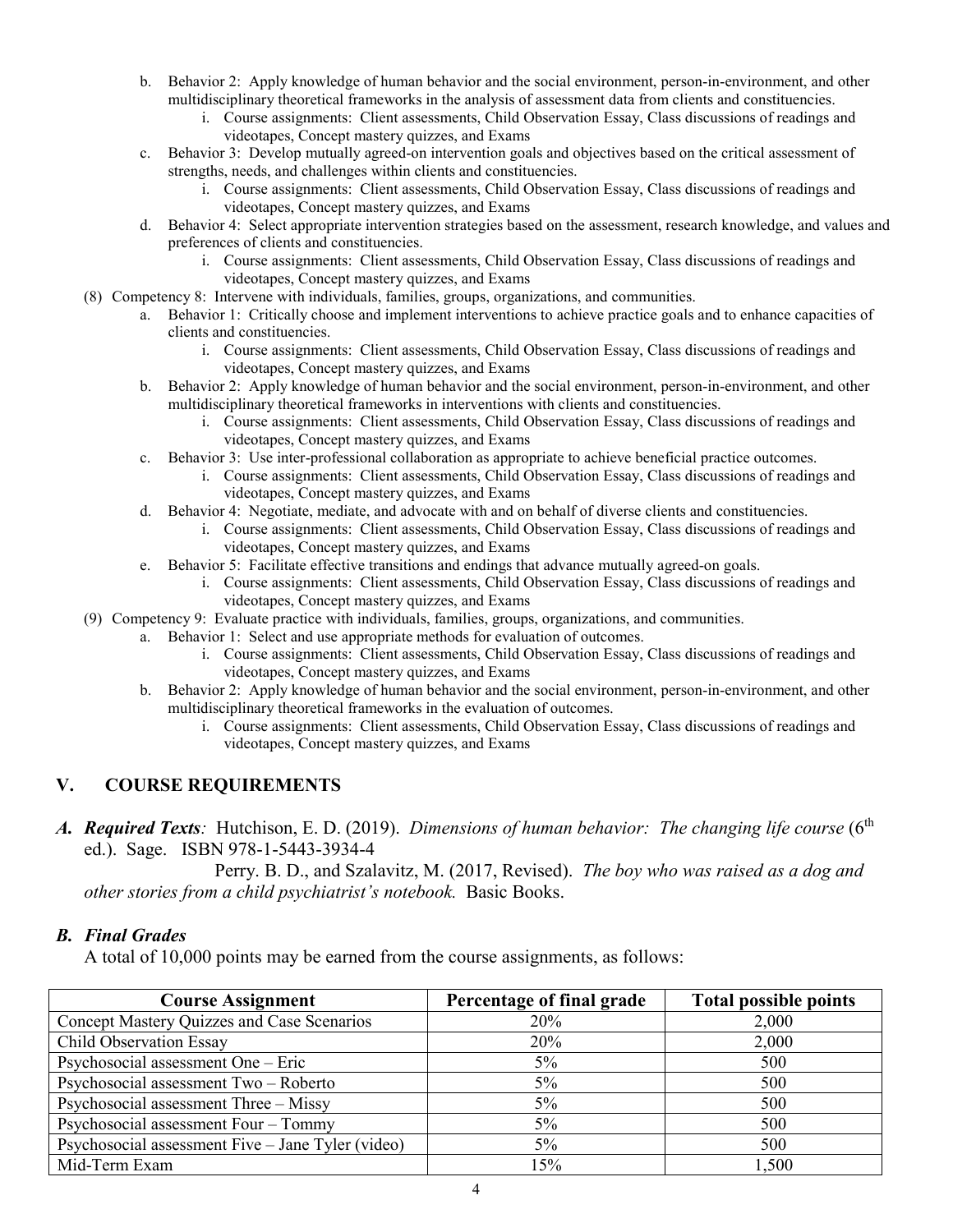- b. Behavior 2: Apply knowledge of human behavior and the social environment, person-in-environment, and other multidisciplinary theoretical frameworks in the analysis of assessment data from clients and constituencies.
	- i. Course assignments: Client assessments, Child Observation Essay, Class discussions of readings and videotapes, Concept mastery quizzes, and Exams
- c. Behavior 3: Develop mutually agreed-on intervention goals and objectives based on the critical assessment of strengths, needs, and challenges within clients and constituencies.
	- i. Course assignments: Client assessments, Child Observation Essay, Class discussions of readings and videotapes, Concept mastery quizzes, and Exams
- d. Behavior 4: Select appropriate intervention strategies based on the assessment, research knowledge, and values and preferences of clients and constituencies.
	- i. Course assignments: Client assessments, Child Observation Essay, Class discussions of readings and videotapes, Concept mastery quizzes, and Exams
- (8) Competency 8: Intervene with individuals, families, groups, organizations, and communities.
	- a. Behavior 1: Critically choose and implement interventions to achieve practice goals and to enhance capacities of clients and constituencies.
		- i. Course assignments: Client assessments, Child Observation Essay, Class discussions of readings and videotapes, Concept mastery quizzes, and Exams
	- b. Behavior 2: Apply knowledge of human behavior and the social environment, person-in-environment, and other multidisciplinary theoretical frameworks in interventions with clients and constituencies.
		- i. Course assignments: Client assessments, Child Observation Essay, Class discussions of readings and videotapes, Concept mastery quizzes, and Exams
	- c. Behavior 3: Use inter-professional collaboration as appropriate to achieve beneficial practice outcomes. i. Course assignments: Client assessments, Child Observation Essay, Class discussions of readings and videotapes, Concept mastery quizzes, and Exams
	- d. Behavior 4: Negotiate, mediate, and advocate with and on behalf of diverse clients and constituencies. i. Course assignments: Client assessments, Child Observation Essay, Class discussions of readings and videotapes, Concept mastery quizzes, and Exams
	- e. Behavior 5: Facilitate effective transitions and endings that advance mutually agreed-on goals.
		- i. Course assignments: Client assessments, Child Observation Essay, Class discussions of readings and videotapes, Concept mastery quizzes, and Exams
- (9) Competency 9: Evaluate practice with individuals, families, groups, organizations, and communities.
	- a. Behavior 1: Select and use appropriate methods for evaluation of outcomes.
		- i. Course assignments: Client assessments, Child Observation Essay, Class discussions of readings and videotapes, Concept mastery quizzes, and Exams
	- b. Behavior 2: Apply knowledge of human behavior and the social environment, person-in-environment, and other multidisciplinary theoretical frameworks in the evaluation of outcomes.
		- i. Course assignments: Client assessments, Child Observation Essay, Class discussions of readings and videotapes, Concept mastery quizzes, and Exams

## **V. COURSE REQUIREMENTS**

A. **Required Texts**: Hutchison, E. D. (2019). *Dimensions of human behavior: The changing life course* (6<sup>th</sup> ed.). Sage. ISBN 978-1-5443-3934-4

Perry. B. D., and Szalavitz, M. (2017, Revised). *The boy who was raised as a dog and other stories from a child psychiatrist's notebook.* Basic Books.

### *B. Final Grades*

A total of 10,000 points may be earned from the course assignments, as follows:

| <b>Course Assignment</b>                          | Percentage of final grade | <b>Total possible points</b> |
|---------------------------------------------------|---------------------------|------------------------------|
| Concept Mastery Quizzes and Case Scenarios        | 20%                       | 2,000                        |
| Child Observation Essay                           | 20%                       | 2,000                        |
| Psychosocial assessment One - Eric                | $5\%$                     | 500                          |
| Psychosocial assessment Two - Roberto             | $5\%$                     | 500                          |
| Psychosocial assessment Three - Missy             | $5\%$                     | 500                          |
| Psychosocial assessment Four - Tommy              | 5%                        | 500                          |
| Psychosocial assessment Five - Jane Tyler (video) | 5%                        | 500                          |
| Mid-Term Exam                                     | 15%                       | 1,500                        |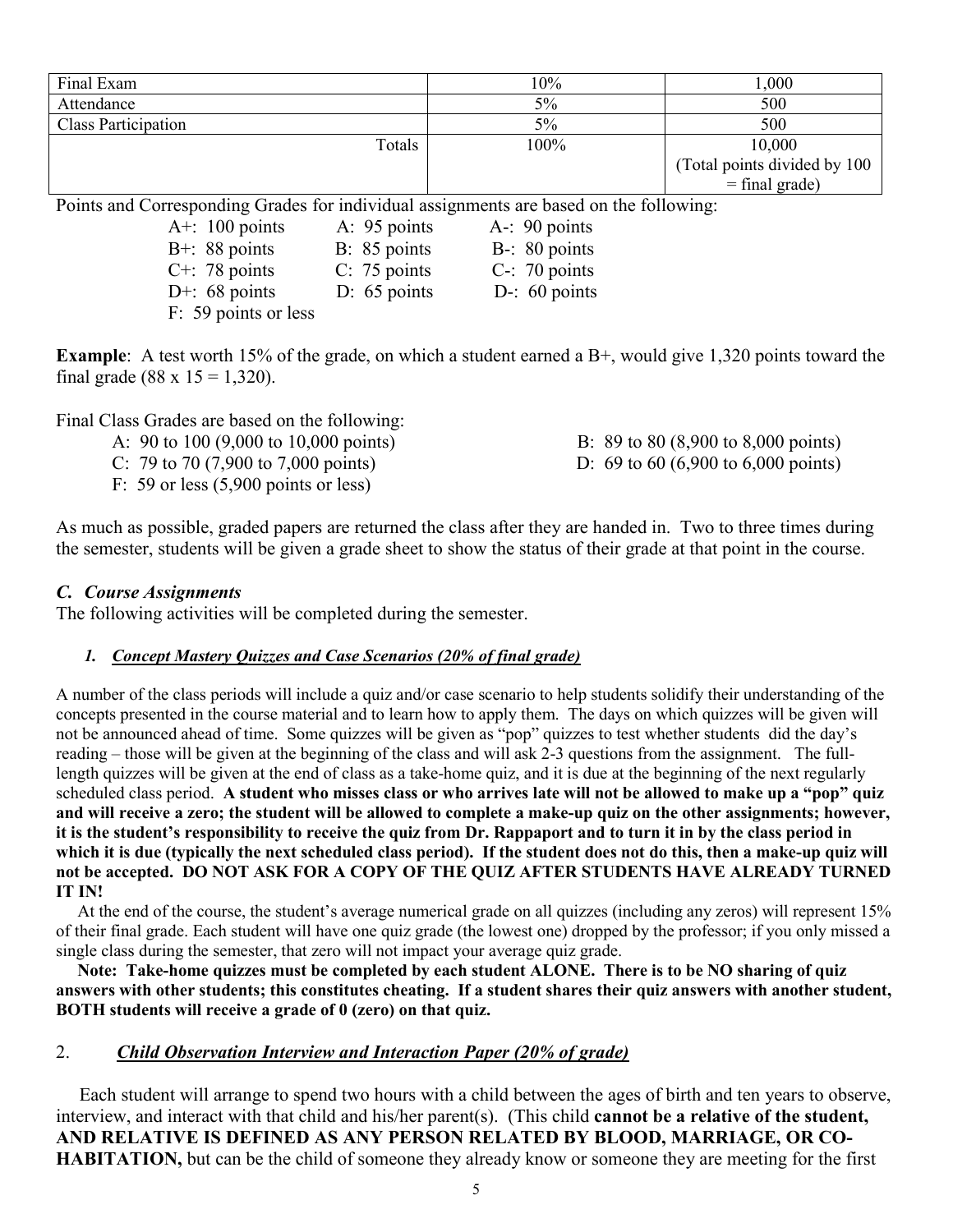| Final Exam                                                                             | 10%   | 1,000                         |
|----------------------------------------------------------------------------------------|-------|-------------------------------|
| Attendance                                                                             | $5\%$ | 500                           |
| <b>Class Participation</b>                                                             | $5\%$ | 500                           |
| Totals                                                                                 | 100%  | 10,000                        |
|                                                                                        |       | (Total points divided by 100) |
|                                                                                        |       | $=$ final grade)              |
| Points and Corresponding Grades for individual assignments are based on the following: |       |                               |
|                                                                                        |       |                               |

| A+: $100$ points     | A: 95 points   | $A - 90$ points  |
|----------------------|----------------|------------------|
| $B+$ : 88 points     | B: 85 points   | $B-$ : 80 points |
| $C^{+}$ : 78 points  | $C: 75$ points | $C-$ : 70 points |
| D+: $68$ points      | D: $65$ points | D-: $60$ points  |
| F: 59 points or less |                |                  |

**Example**: A test worth 15% of the grade, on which a student earned a B+, would give 1,320 points toward the final grade (88 x  $15 = 1,320$ ).

Final Class Grades are based on the following:

| A: 90 to 100 $(9,000 \text{ to } 10,000 \text{ points})$ | B: 89 to 80 $(8,900 \text{ to } 8,000 \text{ points})$ |
|----------------------------------------------------------|--------------------------------------------------------|
| C: 79 to 70 $(7,900 \text{ to } 7,000 \text{ points})$   | D: 69 to 60 (6,900 to 6,000 points)                    |

F: 59 or less (5,900 points or less)

As much as possible, graded papers are returned the class after they are handed in. Two to three times during the semester, students will be given a grade sheet to show the status of their grade at that point in the course.

## *C. Course Assignments*

The following activities will be completed during the semester.

### *1. Concept Mastery Quizzes and Case Scenarios (20% of final grade)*

A number of the class periods will include a quiz and/or case scenario to help students solidify their understanding of the concepts presented in the course material and to learn how to apply them. The days on which quizzes will be given will not be announced ahead of time. Some quizzes will be given as "pop" quizzes to test whether students did the day's reading – those will be given at the beginning of the class and will ask 2-3 questions from the assignment. The fulllength quizzes will be given at the end of class as a take-home quiz, and it is due at the beginning of the next regularly scheduled class period. **A student who misses class or who arrives late will not be allowed to make up a "pop" quiz and will receive a zero; the student will be allowed to complete a make-up quiz on the other assignments; however, it is the student's responsibility to receive the quiz from Dr. Rappaport and to turn it in by the class period in which it is due (typically the next scheduled class period). If the student does not do this, then a make-up quiz will**  not be accepted. DO NOT ASK FOR A COPY OF THE QUIZ AFTER STUDENTS HAVE ALREADY TURNED **IT IN!**

 At the end of the course, the student's average numerical grade on all quizzes (including any zeros) will represent 15% of their final grade. Each student will have one quiz grade (the lowest one) dropped by the professor; if you only missed a single class during the semester, that zero will not impact your average quiz grade.

 **Note: Take-home quizzes must be completed by each student ALONE. There is to be NO sharing of quiz answers with other students; this constitutes cheating. If a student shares their quiz answers with another student, BOTH students will receive a grade of 0 (zero) on that quiz.**

## 2. *Child Observation Interview and Interaction Paper (20% of grade)*

 Each student will arrange to spend two hours with a child between the ages of birth and ten years to observe, interview, and interact with that child and his/her parent(s). (This child **cannot be a relative of the student, AND RELATIVE IS DEFINED AS ANY PERSON RELATED BY BLOOD, MARRIAGE, OR CO-HABITATION,** but can be the child of someone they already know or someone they are meeting for the first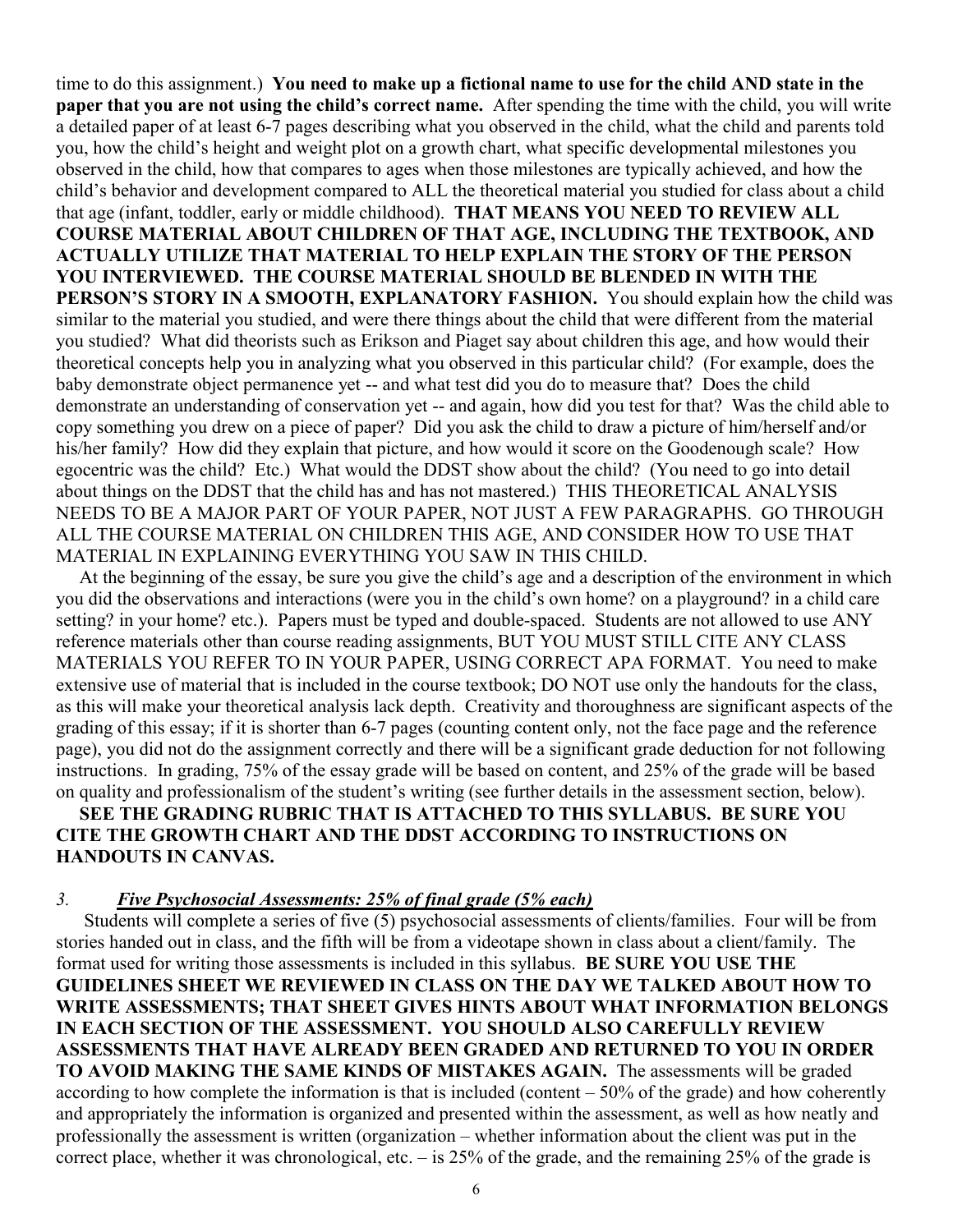time to do this assignment.) **You need to make up a fictional name to use for the child AND state in the paper that you are not using the child's correct name.** After spending the time with the child, you will write a detailed paper of at least 6-7 pages describing what you observed in the child, what the child and parents told you, how the child's height and weight plot on a growth chart, what specific developmental milestones you observed in the child, how that compares to ages when those milestones are typically achieved, and how the child's behavior and development compared to ALL the theoretical material you studied for class about a child that age (infant, toddler, early or middle childhood). **THAT MEANS YOU NEED TO REVIEW ALL COURSE MATERIAL ABOUT CHILDREN OF THAT AGE, INCLUDING THE TEXTBOOK, AND ACTUALLY UTILIZE THAT MATERIAL TO HELP EXPLAIN THE STORY OF THE PERSON YOU INTERVIEWED. THE COURSE MATERIAL SHOULD BE BLENDED IN WITH THE PERSON'S STORY IN A SMOOTH, EXPLANATORY FASHION.** You should explain how the child was similar to the material you studied, and were there things about the child that were different from the material you studied? What did theorists such as Erikson and Piaget say about children this age, and how would their theoretical concepts help you in analyzing what you observed in this particular child? (For example, does the baby demonstrate object permanence yet -- and what test did you do to measure that? Does the child demonstrate an understanding of conservation yet -- and again, how did you test for that? Was the child able to copy something you drew on a piece of paper? Did you ask the child to draw a picture of him/herself and/or his/her family? How did they explain that picture, and how would it score on the Goodenough scale? How egocentric was the child? Etc.) What would the DDST show about the child? (You need to go into detail about things on the DDST that the child has and has not mastered.) THIS THEORETICAL ANALYSIS NEEDS TO BE A MAJOR PART OF YOUR PAPER, NOT JUST A FEW PARAGRAPHS. GO THROUGH ALL THE COURSE MATERIAL ON CHILDREN THIS AGE, AND CONSIDER HOW TO USE THAT MATERIAL IN EXPLAINING EVERYTHING YOU SAW IN THIS CHILD.

 At the beginning of the essay, be sure you give the child's age and a description of the environment in which you did the observations and interactions (were you in the child's own home? on a playground? in a child care setting? in your home? etc.). Papers must be typed and double-spaced. Students are not allowed to use ANY reference materials other than course reading assignments, BUT YOU MUST STILL CITE ANY CLASS MATERIALS YOU REFER TO IN YOUR PAPER, USING CORRECT APA FORMAT. You need to make extensive use of material that is included in the course textbook; DO NOT use only the handouts for the class, as this will make your theoretical analysis lack depth. Creativity and thoroughness are significant aspects of the grading of this essay; if it is shorter than 6-7 pages (counting content only, not the face page and the reference page), you did not do the assignment correctly and there will be a significant grade deduction for not following instructions. In grading, 75% of the essay grade will be based on content, and 25% of the grade will be based on quality and professionalism of the student's writing (see further details in the assessment section, below).

## **SEE THE GRADING RUBRIC THAT IS ATTACHED TO THIS SYLLABUS. BE SURE YOU CITE THE GROWTH CHART AND THE DDST ACCORDING TO INSTRUCTIONS ON HANDOUTS IN CANVAS.**

### *3. Five Psychosocial Assessments: 25% of final grade (5% each)*

Students will complete a series of five (5) psychosocial assessments of clients/families. Four will be from stories handed out in class, and the fifth will be from a videotape shown in class about a client/family. The format used for writing those assessments is included in this syllabus. **BE SURE YOU USE THE GUIDELINES SHEET WE REVIEWED IN CLASS ON THE DAY WE TALKED ABOUT HOW TO WRITE ASSESSMENTS; THAT SHEET GIVES HINTS ABOUT WHAT INFORMATION BELONGS IN EACH SECTION OF THE ASSESSMENT. YOU SHOULD ALSO CAREFULLY REVIEW ASSESSMENTS THAT HAVE ALREADY BEEN GRADED AND RETURNED TO YOU IN ORDER TO AVOID MAKING THE SAME KINDS OF MISTAKES AGAIN.** The assessments will be graded according to how complete the information is that is included (content  $-50\%$  of the grade) and how coherently and appropriately the information is organized and presented within the assessment, as well as how neatly and professionally the assessment is written (organization – whether information about the client was put in the correct place, whether it was chronological, etc. – is 25% of the grade, and the remaining 25% of the grade is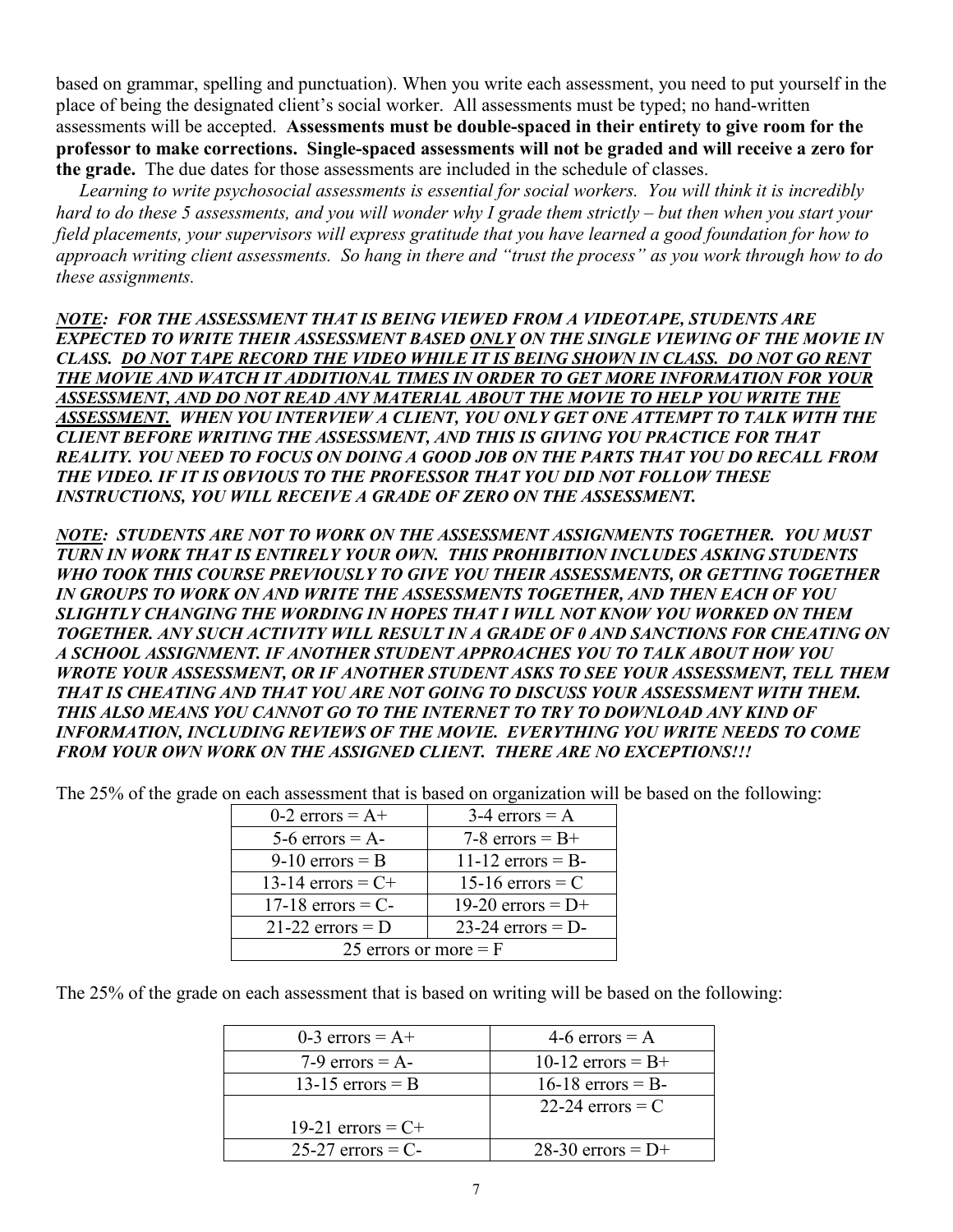based on grammar, spelling and punctuation). When you write each assessment, you need to put yourself in the place of being the designated client's social worker. All assessments must be typed; no hand-written assessments will be accepted. **Assessments must be double-spaced in their entirety to give room for the professor to make corrections. Single-spaced assessments will not be graded and will receive a zero for the grade.** The due dates for those assessments are included in the schedule of classes.

 *Learning to write psychosocial assessments is essential for social workers. You will think it is incredibly hard to do these 5 assessments, and you will wonder why I grade them strictly – but then when you start your field placements, your supervisors will express gratitude that you have learned a good foundation for how to approach writing client assessments. So hang in there and "trust the process" as you work through how to do these assignments.*

*NOTE: FOR THE ASSESSMENT THAT IS BEING VIEWED FROM A VIDEOTAPE, STUDENTS ARE EXPECTED TO WRITE THEIR ASSESSMENT BASED ONLY ON THE SINGLE VIEWING OF THE MOVIE IN CLASS. DO NOT TAPE RECORD THE VIDEO WHILE IT IS BEING SHOWN IN CLASS. DO NOT GO RENT THE MOVIE AND WATCH IT ADDITIONAL TIMES IN ORDER TO GET MORE INFORMATION FOR YOUR ASSESSMENT, AND DO NOT READ ANY MATERIAL ABOUT THE MOVIE TO HELP YOU WRITE THE ASSESSMENT. WHEN YOU INTERVIEW A CLIENT, YOU ONLY GET ONE ATTEMPT TO TALK WITH THE CLIENT BEFORE WRITING THE ASSESSMENT, AND THIS IS GIVING YOU PRACTICE FOR THAT REALITY. YOU NEED TO FOCUS ON DOING A GOOD JOB ON THE PARTS THAT YOU DO RECALL FROM THE VIDEO. IF IT IS OBVIOUS TO THE PROFESSOR THAT YOU DID NOT FOLLOW THESE INSTRUCTIONS, YOU WILL RECEIVE A GRADE OF ZERO ON THE ASSESSMENT.*

*NOTE: STUDENTS ARE NOT TO WORK ON THE ASSESSMENT ASSIGNMENTS TOGETHER. YOU MUST TURN IN WORK THAT IS ENTIRELY YOUR OWN. THIS PROHIBITION INCLUDES ASKING STUDENTS WHO TOOK THIS COURSE PREVIOUSLY TO GIVE YOU THEIR ASSESSMENTS, OR GETTING TOGETHER IN GROUPS TO WORK ON AND WRITE THE ASSESSMENTS TOGETHER, AND THEN EACH OF YOU SLIGHTLY CHANGING THE WORDING IN HOPES THAT I WILL NOT KNOW YOU WORKED ON THEM TOGETHER. ANY SUCH ACTIVITY WILL RESULT IN A GRADE OF 0 AND SANCTIONS FOR CHEATING ON A SCHOOL ASSIGNMENT. IF ANOTHER STUDENT APPROACHES YOU TO TALK ABOUT HOW YOU WROTE YOUR ASSESSMENT, OR IF ANOTHER STUDENT ASKS TO SEE YOUR ASSESSMENT, TELL THEM THAT IS CHEATING AND THAT YOU ARE NOT GOING TO DISCUSS YOUR ASSESSMENT WITH THEM. THIS ALSO MEANS YOU CANNOT GO TO THE INTERNET TO TRY TO DOWNLOAD ANY KIND OF INFORMATION, INCLUDING REVIEWS OF THE MOVIE. EVERYTHING YOU WRITE NEEDS TO COME FROM YOUR OWN WORK ON THE ASSIGNED CLIENT. THERE ARE NO EXCEPTIONS!!!*

| on cach abbebonient that is oased on organization with |                     |  |
|--------------------------------------------------------|---------------------|--|
| 0-2 errors = $A+$                                      | $3-4$ errors = A    |  |
| 5-6 errors = $A$ -                                     | 7-8 errors = $B+$   |  |
| $9-10$ errors = B                                      | 11-12 errors $=$ B- |  |
| 13-14 errors = $C+$                                    | 15-16 errors $=$ C  |  |
| 17-18 errors $=C-$                                     | 19-20 errors = $D+$ |  |
| $21-22$ errors = D                                     | $23-24$ errors = D- |  |
| 25 errors or more $=$ F                                |                     |  |

The 25% of the grade on each assessment that is based on organization will be based on the following:

The 25% of the grade on each assessment that is based on writing will be based on the following:

| 0-3 errors = $A+$    | 4-6 errors = $A$    |
|----------------------|---------------------|
| 7-9 errors = $A$ -   | 10-12 errors = $B+$ |
| 13-15 errors $=$ B   | 16-18 errors $=$ B- |
|                      | 22-24 errors $= C$  |
| 19-21 errors = $C^+$ |                     |
| $25-27$ errors = C-  | $28-30$ errors = D+ |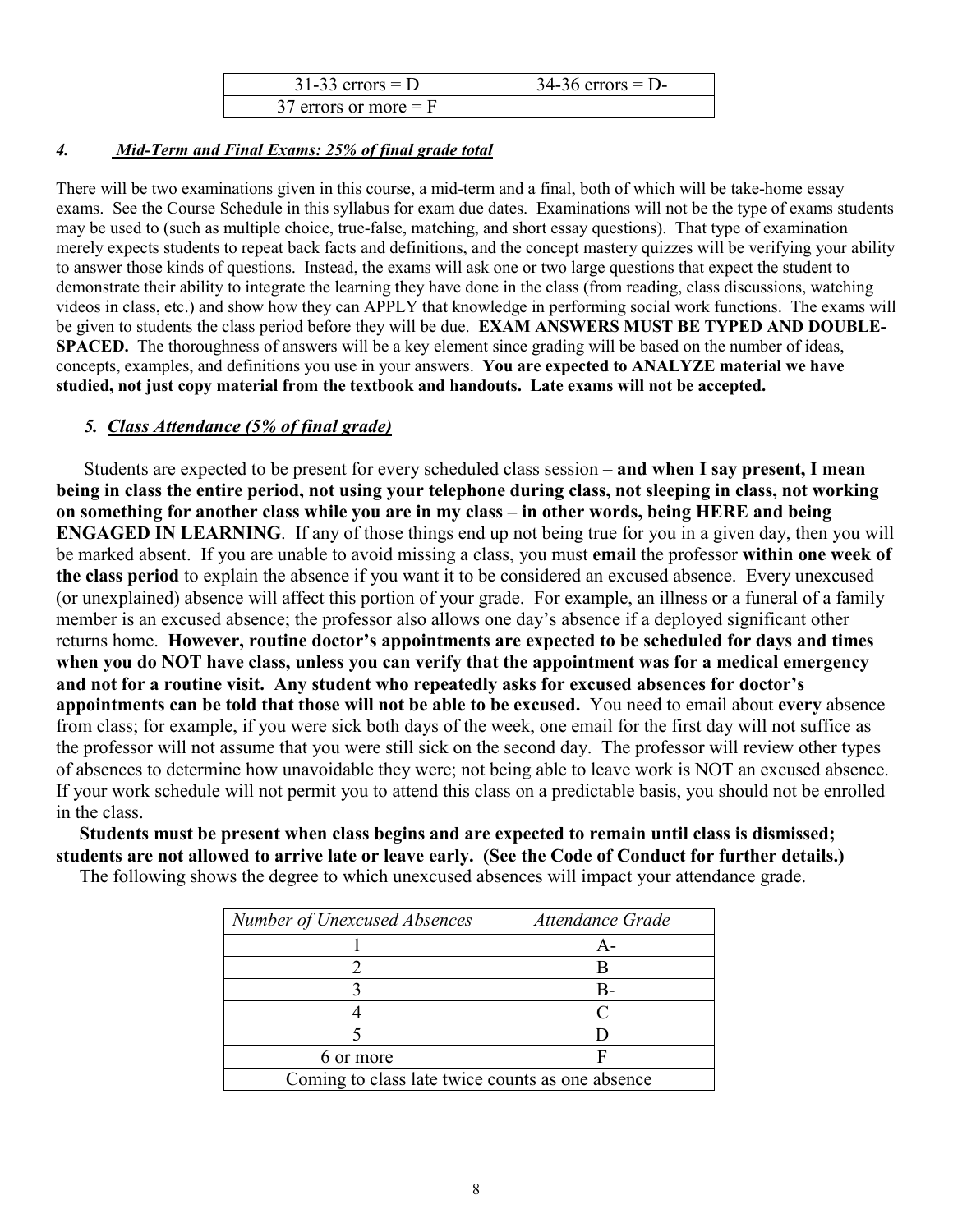| $31-33$ errors = D      | $34-36$ errors = D- |
|-------------------------|---------------------|
| 37 errors or more $=$ F |                     |

### *4. Mid-Term and Final Exams: 25% of final grade total*

There will be two examinations given in this course, a mid-term and a final, both of which will be take-home essay exams. See the Course Schedule in this syllabus for exam due dates. Examinations will not be the type of exams students may be used to (such as multiple choice, true-false, matching, and short essay questions). That type of examination merely expects students to repeat back facts and definitions, and the concept mastery quizzes will be verifying your ability to answer those kinds of questions. Instead, the exams will ask one or two large questions that expect the student to demonstrate their ability to integrate the learning they have done in the class (from reading, class discussions, watching videos in class, etc.) and show how they can APPLY that knowledge in performing social work functions. The exams will be given to students the class period before they will be due. **EXAM ANSWERS MUST BE TYPED AND DOUBLE-SPACED.** The thoroughness of answers will be a key element since grading will be based on the number of ideas, concepts, examples, and definitions you use in your answers. **You are expected to ANALYZE material we have studied, not just copy material from the textbook and handouts. Late exams will not be accepted.** 

## *5. Class Attendance (5% of final grade)*

Students are expected to be present for every scheduled class session – **and when I say present, I mean being in class the entire period, not using your telephone during class, not sleeping in class, not working on something for another class while you are in my class – in other words, being HERE and being ENGAGED IN LEARNING**. If any of those things end up not being true for you in a given day, then you will be marked absent. If you are unable to avoid missing a class, you must **email** the professor **within one week of the class period** to explain the absence if you want it to be considered an excused absence. Every unexcused (or unexplained) absence will affect this portion of your grade. For example, an illness or a funeral of a family member is an excused absence; the professor also allows one day's absence if a deployed significant other returns home. **However, routine doctor's appointments are expected to be scheduled for days and times when you do NOT have class, unless you can verify that the appointment was for a medical emergency and not for a routine visit. Any student who repeatedly asks for excused absences for doctor's appointments can be told that those will not be able to be excused.** You need to email about **every** absence from class; for example, if you were sick both days of the week, one email for the first day will not suffice as the professor will not assume that you were still sick on the second day. The professor will review other types of absences to determine how unavoidable they were; not being able to leave work is NOT an excused absence. If your work schedule will not permit you to attend this class on a predictable basis, you should not be enrolled in the class.

 **Students must be present when class begins and are expected to remain until class is dismissed; students are not allowed to arrive late or leave early. (See the Code of Conduct for further details.)** 

| The following shows the degree to which unexcused absences will impact your attendance grade. |
|-----------------------------------------------------------------------------------------------|
|-----------------------------------------------------------------------------------------------|

| Number of Unexcused Absences                     | Attendance Grade |  |
|--------------------------------------------------|------------------|--|
|                                                  | $A -$            |  |
|                                                  |                  |  |
|                                                  | R.               |  |
|                                                  |                  |  |
|                                                  |                  |  |
| 6 or more                                        |                  |  |
| Coming to class late twice counts as one absence |                  |  |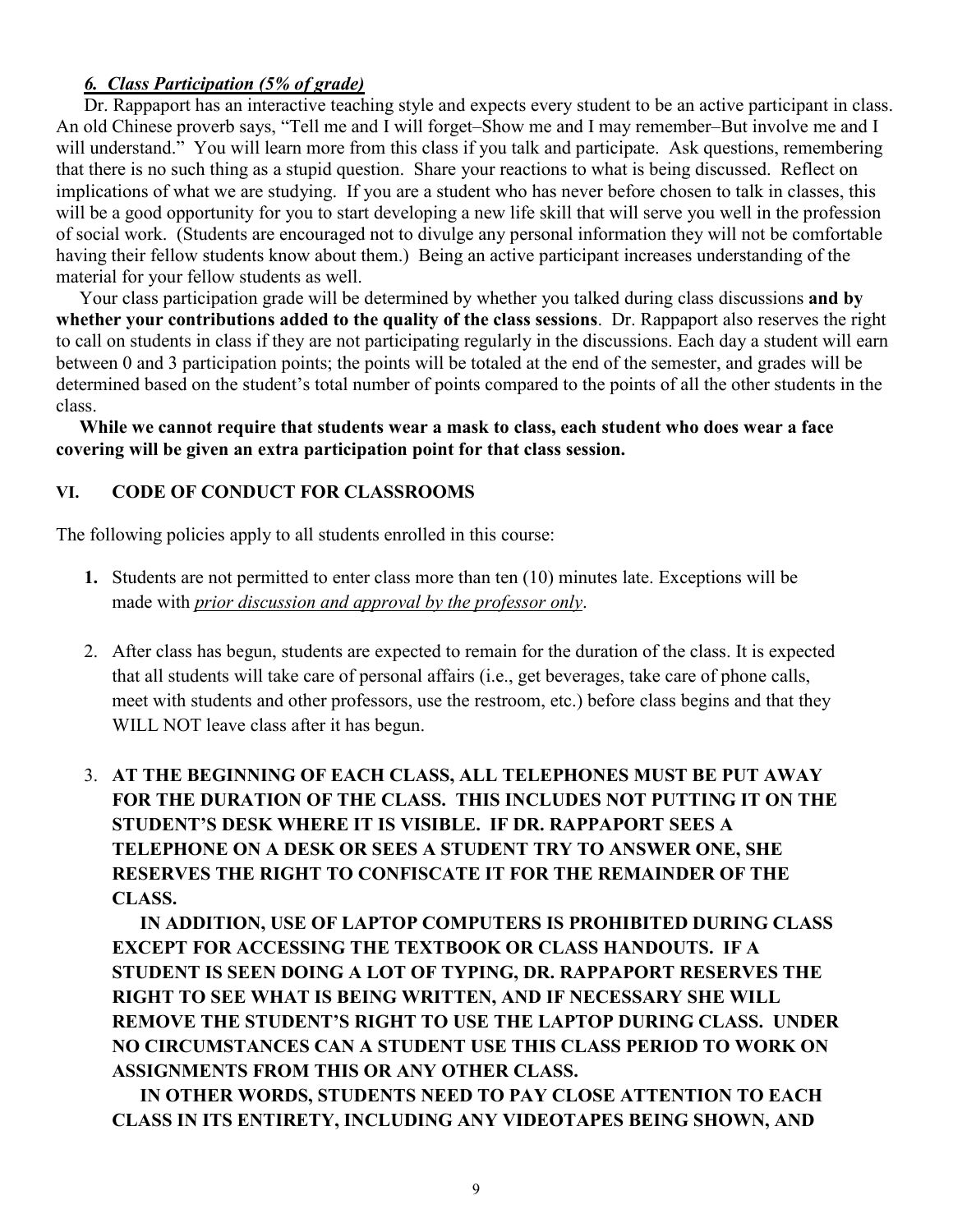## *6. Class Participation (5% of grade)*

Dr. Rappaport has an interactive teaching style and expects every student to be an active participant in class. An old Chinese proverb says, "Tell me and I will forget–Show me and I may remember–But involve me and I will understand." You will learn more from this class if you talk and participate. Ask questions, remembering that there is no such thing as a stupid question. Share your reactions to what is being discussed. Reflect on implications of what we are studying. If you are a student who has never before chosen to talk in classes, this will be a good opportunity for you to start developing a new life skill that will serve you well in the profession of social work. (Students are encouraged not to divulge any personal information they will not be comfortable having their fellow students know about them.) Being an active participant increases understanding of the material for your fellow students as well.

 Your class participation grade will be determined by whether you talked during class discussions **and by whether your contributions added to the quality of the class sessions**. Dr. Rappaport also reserves the right to call on students in class if they are not participating regularly in the discussions. Each day a student will earn between 0 and 3 participation points; the points will be totaled at the end of the semester, and grades will be determined based on the student's total number of points compared to the points of all the other students in the class.

 **While we cannot require that students wear a mask to class, each student who does wear a face covering will be given an extra participation point for that class session.**

## **VI. CODE OF CONDUCT FOR CLASSROOMS**

The following policies apply to all students enrolled in this course:

- **1.** Students are not permitted to enter class more than ten (10) minutes late. Exceptions will be made with *prior discussion and approval by the professor only*.
- 2. After class has begun, students are expected to remain for the duration of the class. It is expected that all students will take care of personal affairs (i.e., get beverages, take care of phone calls, meet with students and other professors, use the restroom, etc.) before class begins and that they WILL NOT leave class after it has begun.

3. **AT THE BEGINNING OF EACH CLASS, ALL TELEPHONES MUST BE PUT AWAY FOR THE DURATION OF THE CLASS. THIS INCLUDES NOT PUTTING IT ON THE STUDENT'S DESK WHERE IT IS VISIBLE. IF DR. RAPPAPORT SEES A TELEPHONE ON A DESK OR SEES A STUDENT TRY TO ANSWER ONE, SHE RESERVES THE RIGHT TO CONFISCATE IT FOR THE REMAINDER OF THE CLASS.** 

**IN ADDITION, USE OF LAPTOP COMPUTERS IS PROHIBITED DURING CLASS EXCEPT FOR ACCESSING THE TEXTBOOK OR CLASS HANDOUTS. IF A STUDENT IS SEEN DOING A LOT OF TYPING, DR. RAPPAPORT RESERVES THE RIGHT TO SEE WHAT IS BEING WRITTEN, AND IF NECESSARY SHE WILL REMOVE THE STUDENT'S RIGHT TO USE THE LAPTOP DURING CLASS. UNDER NO CIRCUMSTANCES CAN A STUDENT USE THIS CLASS PERIOD TO WORK ON ASSIGNMENTS FROM THIS OR ANY OTHER CLASS.** 

**IN OTHER WORDS, STUDENTS NEED TO PAY CLOSE ATTENTION TO EACH CLASS IN ITS ENTIRETY, INCLUDING ANY VIDEOTAPES BEING SHOWN, AND**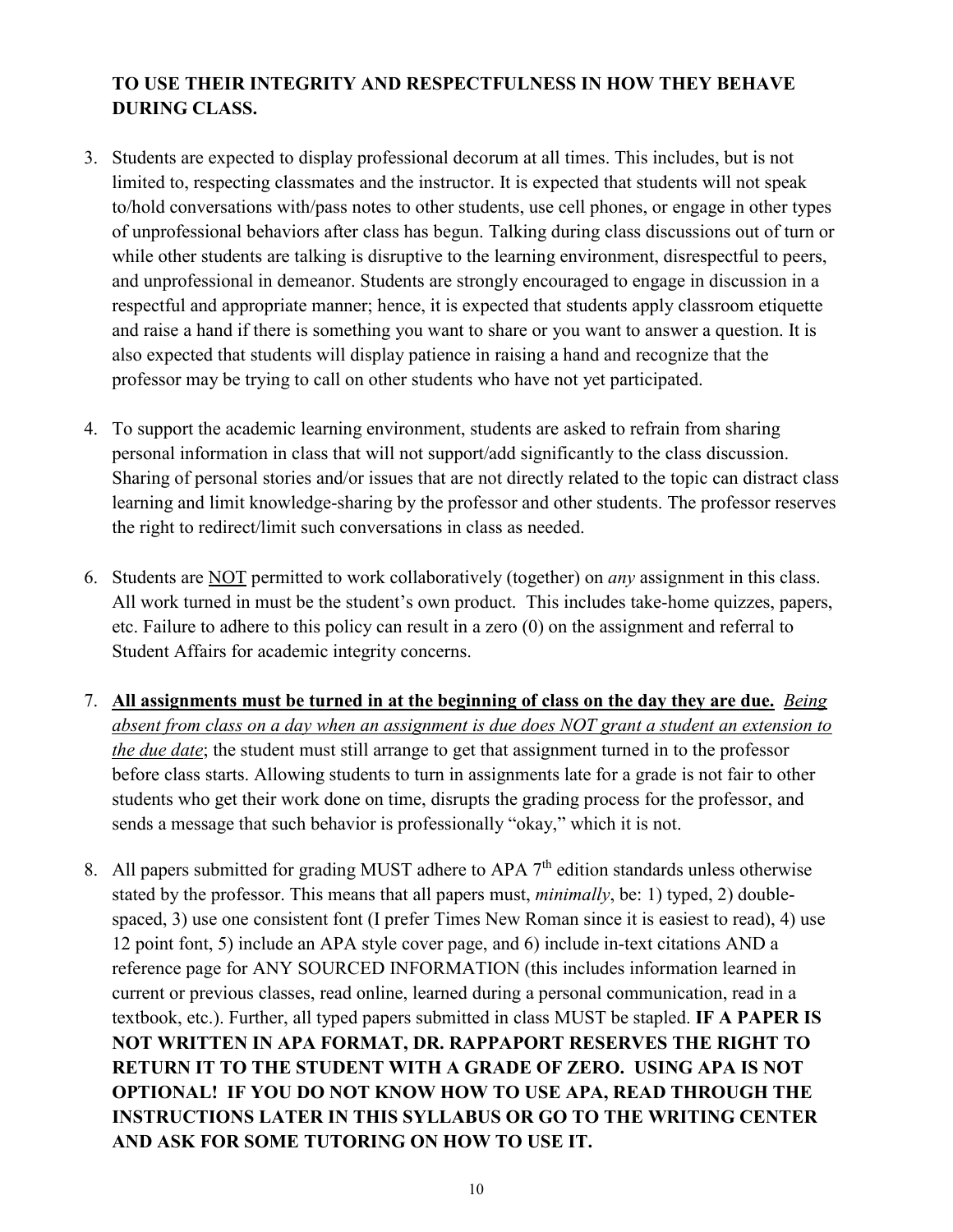## **TO USE THEIR INTEGRITY AND RESPECTFULNESS IN HOW THEY BEHAVE DURING CLASS.**

- 3. Students are expected to display professional decorum at all times. This includes, but is not limited to, respecting classmates and the instructor. It is expected that students will not speak to/hold conversations with/pass notes to other students, use cell phones, or engage in other types of unprofessional behaviors after class has begun. Talking during class discussions out of turn or while other students are talking is disruptive to the learning environment, disrespectful to peers, and unprofessional in demeanor. Students are strongly encouraged to engage in discussion in a respectful and appropriate manner; hence, it is expected that students apply classroom etiquette and raise a hand if there is something you want to share or you want to answer a question. It is also expected that students will display patience in raising a hand and recognize that the professor may be trying to call on other students who have not yet participated.
- 4. To support the academic learning environment, students are asked to refrain from sharing personal information in class that will not support/add significantly to the class discussion. Sharing of personal stories and/or issues that are not directly related to the topic can distract class learning and limit knowledge-sharing by the professor and other students. The professor reserves the right to redirect/limit such conversations in class as needed.
- 6. Students are NOT permitted to work collaboratively (together) on *any* assignment in this class. All work turned in must be the student's own product. This includes take-home quizzes, papers, etc. Failure to adhere to this policy can result in a zero (0) on the assignment and referral to Student Affairs for academic integrity concerns.
- 7. **All assignments must be turned in at the beginning of class on the day they are due.** *Being absent from class on a day when an assignment is due does NOT grant a student an extension to the due date*; the student must still arrange to get that assignment turned in to the professor before class starts. Allowing students to turn in assignments late for a grade is not fair to other students who get their work done on time, disrupts the grading process for the professor, and sends a message that such behavior is professionally "okay," which it is not.
- 8. All papers submitted for grading MUST adhere to APA  $7<sup>th</sup>$  edition standards unless otherwise stated by the professor. This means that all papers must, *minimally*, be: 1) typed, 2) doublespaced, 3) use one consistent font (I prefer Times New Roman since it is easiest to read), 4) use 12 point font, 5) include an APA style cover page, and 6) include in-text citations AND a reference page for ANY SOURCED INFORMATION (this includes information learned in current or previous classes, read online, learned during a personal communication, read in a textbook, etc.). Further, all typed papers submitted in class MUST be stapled. **IF A PAPER IS NOT WRITTEN IN APA FORMAT, DR. RAPPAPORT RESERVES THE RIGHT TO RETURN IT TO THE STUDENT WITH A GRADE OF ZERO. USING APA IS NOT OPTIONAL! IF YOU DO NOT KNOW HOW TO USE APA, READ THROUGH THE INSTRUCTIONS LATER IN THIS SYLLABUS OR GO TO THE WRITING CENTER AND ASK FOR SOME TUTORING ON HOW TO USE IT.**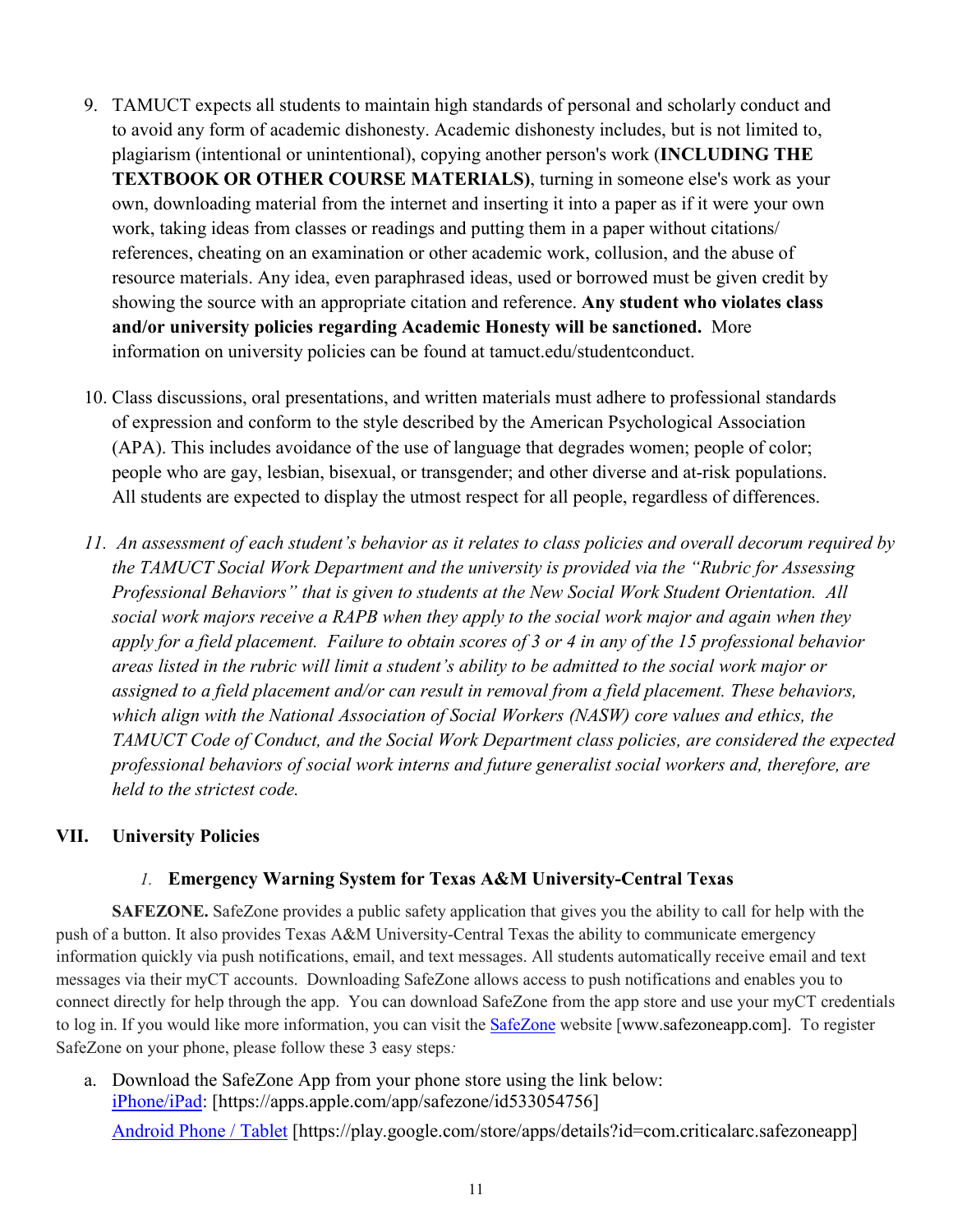- 9. TAMUCT expects all students to maintain high standards of personal and scholarly conduct and to avoid any form of academic dishonesty. Academic dishonesty includes, but is not limited to, plagiarism (intentional or unintentional), copying another person's work (**INCLUDING THE TEXTBOOK OR OTHER COURSE MATERIALS)**, turning in someone else's work as your own, downloading material from the internet and inserting it into a paper as if it were your own work, taking ideas from classes or readings and putting them in a paper without citations/ references, cheating on an examination or other academic work, collusion, and the abuse of resource materials. Any idea, even paraphrased ideas, used or borrowed must be given credit by showing the source with an appropriate citation and reference. **Any student who violates class and/or university policies regarding Academic Honesty will be sanctioned.** More information on university policies can be found at tamuct.edu/studentconduct.
- 10. Class discussions, oral presentations, and written materials must adhere to professional standards of expression and conform to the style described by the American Psychological Association (APA). This includes avoidance of the use of language that degrades women; people of color; people who are gay, lesbian, bisexual, or transgender; and other diverse and at-risk populations. All students are expected to display the utmost respect for all people, regardless of differences.
- *11. An assessment of each student's behavior as it relates to class policies and overall decorum required by the TAMUCT Social Work Department and the university is provided via the "Rubric for Assessing Professional Behaviors" that is given to students at the New Social Work Student Orientation. All social work majors receive a RAPB when they apply to the social work major and again when they apply for a field placement. Failure to obtain scores of 3 or 4 in any of the 15 professional behavior areas listed in the rubric will limit a student's ability to be admitted to the social work major or assigned to a field placement and/or can result in removal from a field placement. These behaviors, which align with the National Association of Social Workers (NASW) core values and ethics, the TAMUCT Code of Conduct, and the Social Work Department class policies, are considered the expected professional behaviors of social work interns and future generalist social workers and, therefore, are held to the strictest code.*

### **VII. University Policies**

### *1.* **Emergency Warning System for Texas A&M University-Central Texas**

**SAFEZONE.** SafeZone provides a public safety application that gives you the ability to call for help with the push of a button. It also provides Texas A&M University-Central Texas the ability to communicate emergency information quickly via push notifications, email, and text messages. All students automatically receive email and text messages via their myCT accounts. Downloading SafeZone allows access to push notifications and enables you to connect directly for help through the app. You can download SafeZone from the app store and use your myCT credentials to log in. If you would like more information, you can visit the **[SafeZone](http://www.safezoneapp.com/)** website [www.safezoneapp.com]. To register SafeZone on your phone, please follow these 3 easy steps*:*

a. Download the SafeZone App from your phone store using the link below: [iPhone/iPad:](https://apps.apple.com/app/safezone/id533054756) [https://apps.apple.com/app/safezone/id533054756]

[Android Phone / Tablet](https://play.google.com/store/apps/details?id=com.criticalarc.safezoneapp) [https://play.google.com/store/apps/details?id=com.criticalarc.safezoneapp]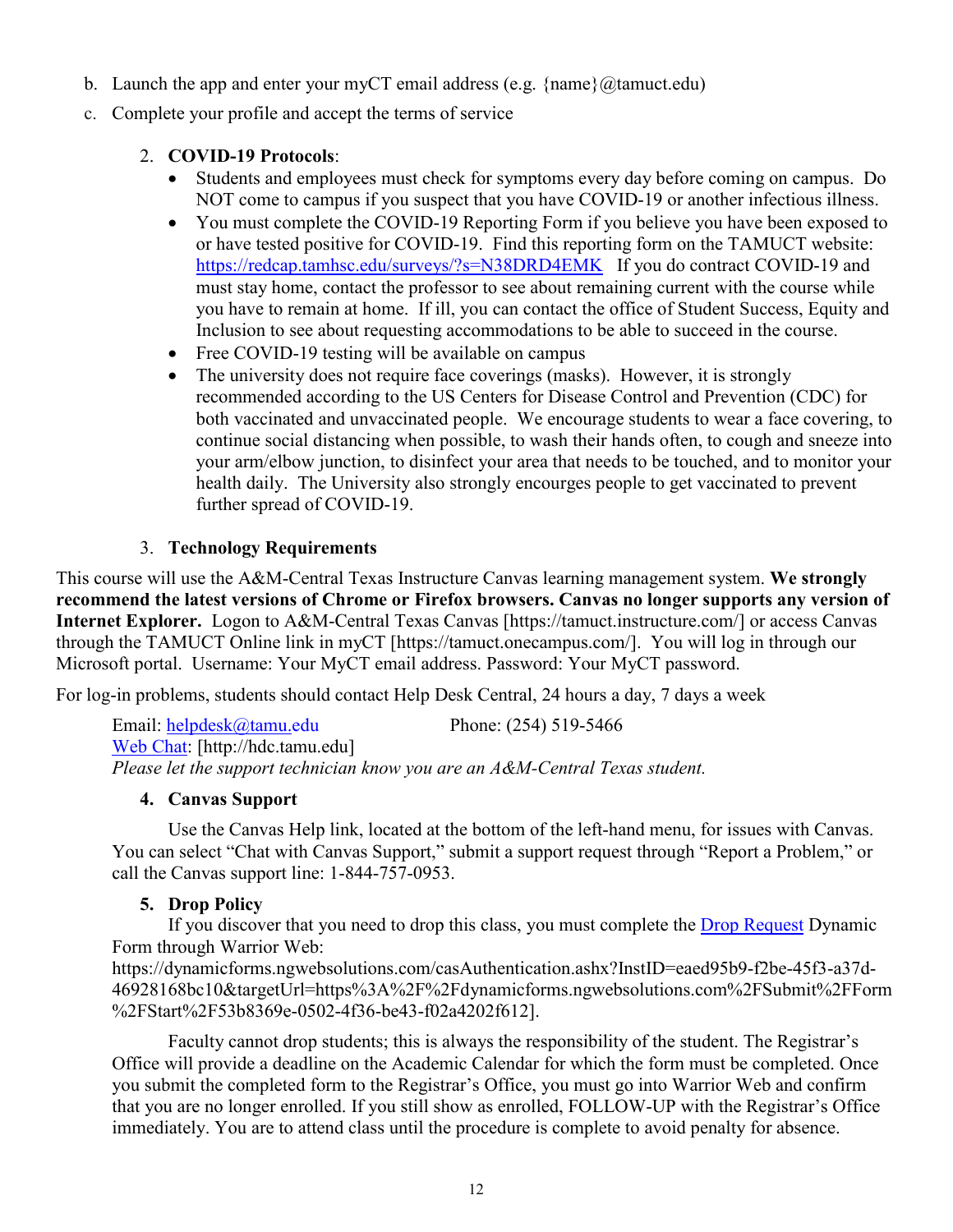- b. Launch the app and enter your myCT email address (e.g.  $\{name\}$ ) ( $@$ tamuct.edu)
- c. Complete your profile and accept the terms of service

## 2. **COVID-19 Protocols**:

- Students and employees must check for symptoms every day before coming on campus. Do NOT come to campus if you suspect that you have COVID-19 or another infectious illness.
- You must complete the COVID-19 Reporting Form if you believe you have been exposed to or have tested positive for COVID-19. Find this reporting form on the TAMUCT website: <https://redcap.tamhsc.edu/surveys/?s=N38DRD4EMK>If you do contract COVID-19 and must stay home, contact the professor to see about remaining current with the course while you have to remain at home. If ill, you can contact the office of Student Success, Equity and Inclusion to see about requesting accommodations to be able to succeed in the course.
- Free COVID-19 testing will be available on campus
- The university does not require face coverings (masks). However, it is strongly recommended according to the US Centers for Disease Control and Prevention (CDC) for both vaccinated and unvaccinated people. We encourage students to wear a face covering, to continue social distancing when possible, to wash their hands often, to cough and sneeze into your arm/elbow junction, to disinfect your area that needs to be touched, and to monitor your health daily. The University also strongly encourges people to get vaccinated to prevent further spread of COVID-19.

## 3. **Technology Requirements**

This course will use the A&M-Central Texas Instructure Canvas learning management system. **We strongly recommend the latest versions of Chrome or Firefox browsers. Canvas no longer supports any version of Internet Explorer.** Logon to A&M-Central Texas Canvas [https://tamuct.instructure.com/] or access Canvas through the TAMUCT Online link in myCT [https://tamuct.onecampus.com/]. You will log in through our Microsoft portal. Username: Your MyCT email address. Password: Your MyCT password.

For log-in problems, students should contact Help Desk Central, 24 hours a day, 7 days a week

Email: [helpdesk@tamu.edu](mailto:helpdesk@tamu.edu) Phone: (254) 519-5466 [Web Chat:](http://hdc.tamu.edu/) [http://hdc.tamu.edu] *Please let the support technician know you are an A&M-Central Texas student.*

## **4. Canvas Support**

Use the Canvas Help link, located at the bottom of the left-hand menu, for issues with Canvas. You can select "Chat with Canvas Support," submit a support request through "Report a Problem," or call the Canvas support line: 1-844-757-0953.

## **5. Drop Policy**

If you discover that you need to drop this class, you must complete the [Drop Request](https://dynamicforms.ngwebsolutions.com/casAuthentication.ashx?InstID=eaed95b9-f2be-45f3-a37d-46928168bc10&targetUrl=https%3A%2F%2Fdynamicforms.ngwebsolutions.com%2FSubmit%2FForm%2FStart%2F53b8369e-0502-4f36-be43-f02a4202f612) Dynamic Form through Warrior Web: https://dynamicforms.ngwebsolutions.com/casAuthentication.ashx?InstID=eaed95b9-f2be-45f3-a37d-

46928168bc10&targetUrl=https%3A%2F%2Fdynamicforms.ngwebsolutions.com%2FSubmit%2FForm %2FStart%2F53b8369e-0502-4f36-be43-f02a4202f612].

Faculty cannot drop students; this is always the responsibility of the student. The Registrar's Office will provide a deadline on the Academic Calendar for which the form must be completed. Once you submit the completed form to the Registrar's Office, you must go into Warrior Web and confirm that you are no longer enrolled. If you still show as enrolled, FOLLOW-UP with the Registrar's Office immediately. You are to attend class until the procedure is complete to avoid penalty for absence.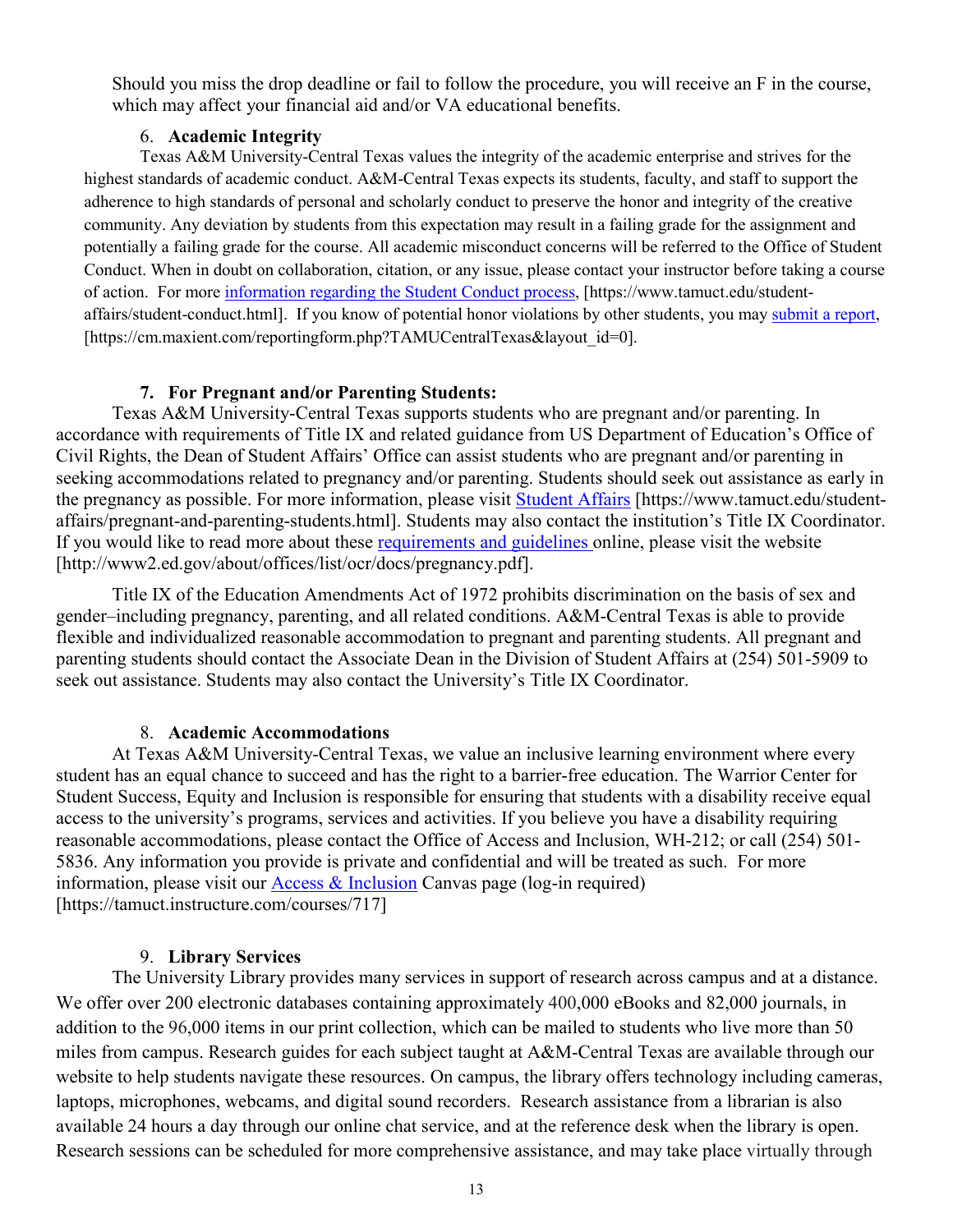Should you miss the drop deadline or fail to follow the procedure, you will receive an F in the course, which may affect your financial aid and/or VA educational benefits.

#### 6. **Academic Integrity**

Texas A&M University-Central Texas values the integrity of the academic enterprise and strives for the highest standards of academic conduct. A&M-Central Texas expects its students, faculty, and staff to support the adherence to high standards of personal and scholarly conduct to preserve the honor and integrity of the creative community. Any deviation by students from this expectation may result in a failing grade for the assignment and potentially a failing grade for the course. All academic misconduct concerns will be referred to the Office of Student Conduct. When in doubt on collaboration, citation, or any issue, please contact your instructor before taking a course of action. For more [information](https://nam04.safelinks.protection.outlook.com/?url=https%3A%2F%2Fwww.tamuct.edu%2Fstudent-affairs%2Fstudent-conduct.html&data=04%7C01%7Clisa.bunkowski%40tamuct.edu%7Ccfb6e486f24745f53e1a08d910055cb2%7C9eed4e3000f744849ff193ad8005acec%7C0%7C0%7C637558437485252160%7CUnknown%7CTWFpbGZsb3d8eyJWIjoiMC4wLjAwMDAiLCJQIjoiV2luMzIiLCJBTiI6Ik1haWwiLCJXVCI6Mn0%3D%7C1000&sdata=yjftDEVHvLX%2FhM%2FcFU0B99krV1RgEWR%2BJ%2BhvtoR6TYk%3D&reserved=0) regarding the Student Conduct process, [https://www.tamuct.edu/studentaffairs/student-conduct.html]. If you know of potential honor violations by other students, you may [submit](https://nam04.safelinks.protection.outlook.com/?url=https%3A%2F%2Fcm.maxient.com%2Freportingform.php%3FTAMUCentralTexas%26layout_id%3D0&data=04%7C01%7Clisa.bunkowski%40tamuct.edu%7Ccfb6e486f24745f53e1a08d910055cb2%7C9eed4e3000f744849ff193ad8005acec%7C0%7C0%7C637558437485262157%7CUnknown%7CTWFpbGZsb3d8eyJWIjoiMC4wLjAwMDAiLCJQIjoiV2luMzIiLCJBTiI6Ik1haWwiLCJXVCI6Mn0%3D%7C1000&sdata=CXGkOa6uPDPX1IMZ87z3aZDq2n91xfHKu4MMS43Ejjk%3D&reserved=0) a report, [https://cm.maxient.com/reportingform.php?TAMUCentralTexas&layout\_id=0].

#### **7. For Pregnant and/or Parenting Students:**

Texas A&M University-Central Texas supports students who are pregnant and/or parenting. In accordance with requirements of Title IX and related guidance from US Department of Education's Office of Civil Rights, the Dean of Student Affairs' Office can assist students who are pregnant and/or parenting in seeking accommodations related to pregnancy and/or parenting. Students should seek out assistance as early in the pregnancy as possible. For more information, please visit [Student Affairs](https://www.tamuct.edu/student-affairs/pregnant-and-parenting-students.html) [https://www.tamuct.edu/studentaffairs/pregnant-and-parenting-students.html]. Students may also contact the institution's Title IX Coordinator. If you would like to read more about these [requirements and guidelines](http://www2.ed.gov/about/offices/list/ocr/docs/pregnancy.pdf) online, please visit the website [http://www2.ed.gov/about/offices/list/ocr/docs/pregnancy.pdf].

Title IX of the Education Amendments Act of 1972 prohibits discrimination on the basis of sex and gender–including pregnancy, parenting, and all related conditions. A&M-Central Texas is able to provide flexible and individualized reasonable accommodation to pregnant and parenting students. All pregnant and parenting students should contact the Associate Dean in the Division of Student Affairs at (254) 501-5909 to seek out assistance. Students may also contact the University's Title IX Coordinator.

#### 8. **Academic Accommodations**

At Texas A&M University-Central Texas, we value an inclusive learning environment where every student has an equal chance to succeed and has the right to a barrier-free education. The Warrior Center for Student Success, Equity and Inclusion is responsible for ensuring that students with a disability receive equal access to the university's programs, services and activities. If you believe you have a disability requiring reasonable accommodations, please contact the Office of Access and Inclusion, WH-212; or call (254) 501- 5836. Any information you provide is private and confidential and will be treated as such. For more information, please visit our  $\frac{\text{Access } \& \text{ Inclusion}}{\text{Cansive}}$  Canvas page (log-in required) [https://tamuct.instructure.com/courses/717]

#### 9. **Library Services**

The University Library provides many services in support of research across campus and at a distance. We offer over 200 electronic databases containing approximately 400,000 eBooks and 82,000 journals, in addition to the 96,000 items in our print collection, which can be mailed to students who live more than 50 miles from campus. Research guides for each subject taught at A&M-Central Texas are available through our website to help students navigate these resources. On campus, the library offers technology including cameras, laptops, microphones, webcams, and digital sound recorders. Research assistance from a librarian is also available 24 hours a day through our online chat service, and at the reference desk when the library is open. Research sessions can be scheduled for more comprehensive assistance, and may take place virtually through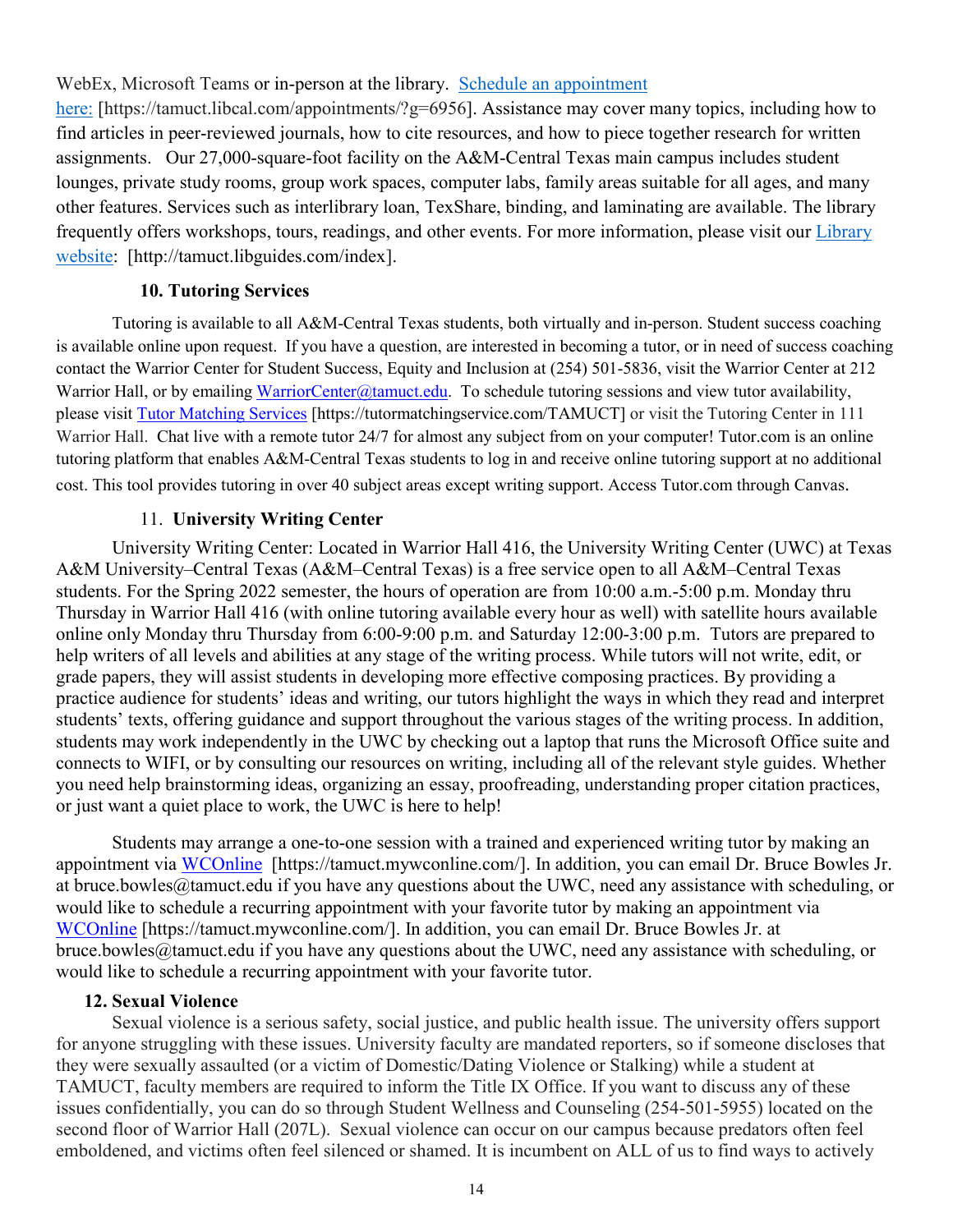WebEx, Microsoft Teams or in-person at the library. Schedule an [appointment](https://nam04.safelinks.protection.outlook.com/?url=https%3A%2F%2Ftamuct.libcal.com%2Fappointments%2F%3Fg%3D6956&data=04%7C01%7Clisa.bunkowski%40tamuct.edu%7Cde2c07d9f5804f09518008d9ab7ba6ff%7C9eed4e3000f744849ff193ad8005acec%7C0%7C0%7C637729369835011558%7CUnknown%7CTWFpbGZsb3d8eyJWIjoiMC4wLjAwMDAiLCJQIjoiV2luMzIiLCJBTiI6Ik1haWwiLCJXVCI6Mn0%3D%7C3000&sdata=KhtjgRSAw9aq%2FoBsB6wyu8b7PSuGN5EGPypzr3Ty2No%3D&reserved=0)

[here:](https://nam04.safelinks.protection.outlook.com/?url=https%3A%2F%2Ftamuct.libcal.com%2Fappointments%2F%3Fg%3D6956&data=04%7C01%7Clisa.bunkowski%40tamuct.edu%7Cde2c07d9f5804f09518008d9ab7ba6ff%7C9eed4e3000f744849ff193ad8005acec%7C0%7C0%7C637729369835011558%7CUnknown%7CTWFpbGZsb3d8eyJWIjoiMC4wLjAwMDAiLCJQIjoiV2luMzIiLCJBTiI6Ik1haWwiLCJXVCI6Mn0%3D%7C3000&sdata=KhtjgRSAw9aq%2FoBsB6wyu8b7PSuGN5EGPypzr3Ty2No%3D&reserved=0) [https://tamuct.libcal.com/appointments/?g=6956]. Assistance may cover many topics, including how to find articles in peer-reviewed journals, how to cite resources, and how to piece together research for written assignments. Our 27,000-square-foot facility on the A&M-Central Texas main campus includes student lounges, private study rooms, group work spaces, computer labs, family areas suitable for all ages, and many other features. Services such as interlibrary loan, TexShare, binding, and laminating are available. The library frequently offers workshops, tours, readings, and other events. For more information, please visit our [Library](https://nam04.safelinks.protection.outlook.com/?url=https%3A%2F%2Ftamuct.libguides.com%2Findex&data=04%7C01%7Clisa.bunkowski%40tamuct.edu%7C7d8489e8839a4915335f08d916f067f2%7C9eed4e3000f744849ff193ad8005acec%7C0%7C0%7C637566044056484222%7CUnknown%7CTWFpbGZsb3d8eyJWIjoiMC4wLjAwMDAiLCJQIjoiV2luMzIiLCJBTiI6Ik1haWwiLCJXVCI6Mn0%3D%7C1000&sdata=2R755V6rcIyedGrd4Os5rkgn1PvhHKU3kUV1vBKiHFo%3D&reserved=0) [website:](https://nam04.safelinks.protection.outlook.com/?url=https%3A%2F%2Ftamuct.libguides.com%2Findex&data=04%7C01%7Clisa.bunkowski%40tamuct.edu%7C7d8489e8839a4915335f08d916f067f2%7C9eed4e3000f744849ff193ad8005acec%7C0%7C0%7C637566044056484222%7CUnknown%7CTWFpbGZsb3d8eyJWIjoiMC4wLjAwMDAiLCJQIjoiV2luMzIiLCJBTiI6Ik1haWwiLCJXVCI6Mn0%3D%7C1000&sdata=2R755V6rcIyedGrd4Os5rkgn1PvhHKU3kUV1vBKiHFo%3D&reserved=0) [http://tamuct.libguides.com/index].

### **10. Tutoring Services**

Tutoring is available to all A&M-Central Texas students, both virtually and in-person. Student success coaching is available online upon request. If you have a question, are interested in becoming a tutor, or in need of success coaching contact the Warrior Center for Student Success, Equity and Inclusion at (254) 501-5836, visit the Warrior Center at 212 Warrior Hall, or by emailing [WarriorCenter@tamuct.edu.](mailto:WarriorCenter@tamuct.edu) To schedule tutoring sessions and view tutor availability, please visit Tutor [Matching](https://tutormatchingservice.com/TAMUCT) Services [https://tutormatchingservice.com/TAMUCT] or visit the Tutoring Center in 111 Warrior Hall. Chat live with a remote tutor 24/7 for almost any subject from on your computer! Tutor.com is an online tutoring platform that enables A&M-Central Texas students to log in and receive online tutoring support at no additional cost. This tool provides tutoring in over 40 subject areas except writing support. Access Tutor.com through Canvas.

#### 11. **University Writing Center**

University Writing Center: Located in Warrior Hall 416, the University Writing Center (UWC) at Texas A&M University–Central Texas (A&M–Central Texas) is a free service open to all A&M–Central Texas students. For the Spring 2022 semester, the hours of operation are from 10:00 a.m.-5:00 p.m. Monday thru Thursday in Warrior Hall 416 (with online tutoring available every hour as well) with satellite hours available online only Monday thru Thursday from 6:00-9:00 p.m. and Saturday 12:00-3:00 p.m. Tutors are prepared to help writers of all levels and abilities at any stage of the writing process. While tutors will not write, edit, or grade papers, they will assist students in developing more effective composing practices. By providing a practice audience for students' ideas and writing, our tutors highlight the ways in which they read and interpret students' texts, offering guidance and support throughout the various stages of the writing process. In addition, students may work independently in the UWC by checking out a laptop that runs the Microsoft Office suite and connects to WIFI, or by consulting our resources on writing, including all of the relevant style guides. Whether you need help brainstorming ideas, organizing an essay, proofreading, understanding proper citation practices, or just want a quiet place to work, the UWC is here to help!

Students may arrange a one-to-one session with a trained and experienced writing tutor by making an appointment via [WCOnline](https://tamuct.mywconline.com/) [https://tamuct.mywconline.com/]. In addition, you can email Dr. Bruce Bowles Jr. at bruce.bowles@tamuct.edu if you have any questions about the UWC, need any assistance with scheduling, or would like to schedule a recurring appointment with your favorite tutor by making an appointment via [WCOnline](https://tamuct.mywconline.com/) [https://tamuct.mywconline.com/]. In addition, you can email Dr. Bruce Bowles Jr. at bruce.bowles@tamuct.edu if you have any questions about the UWC, need any assistance with scheduling, or would like to schedule a recurring appointment with your favorite tutor.

#### **12. Sexual Violence**

Sexual violence is a serious safety, social justice, and public health issue. The university offers support for anyone struggling with these issues. University faculty are mandated reporters, so if someone discloses that they were sexually assaulted (or a victim of Domestic/Dating Violence or Stalking) while a student at TAMUCT, faculty members are required to inform the Title IX Office. If you want to discuss any of these issues confidentially, you can do so through Student Wellness and Counseling (254-501-5955) located on the second floor of Warrior Hall (207L). Sexual violence can occur on our campus because predators often feel emboldened, and victims often feel silenced or shamed. It is incumbent on ALL of us to find ways to actively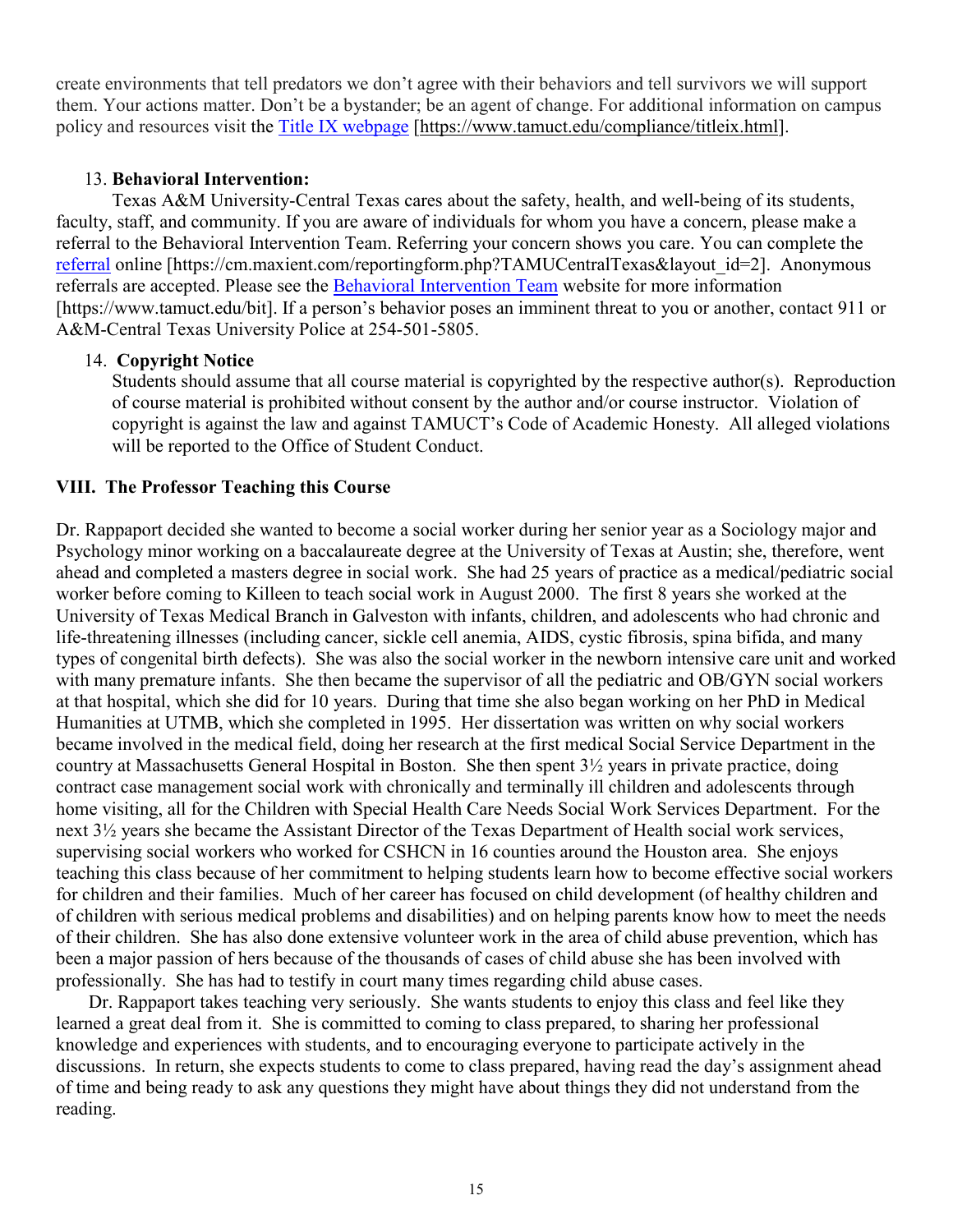create environments that tell predators we don't agree with their behaviors and tell survivors we will support them. Your actions matter. Don't be a bystander; be an agent of change. For additional information on campus policy and resources visit the [Title IX webpage](https://www.tamuct.edu/compliance/titleix.html) [\[https://www.tamuct.edu/compliance/titleix.html\]](https://www.tamuct.edu/compliance/titleix.html).

## 13. **Behavioral Intervention:**

Texas A&M University-Central Texas cares about the safety, health, and well-being of its students, faculty, staff, and community. If you are aware of individuals for whom you have a concern, please make a referral to the Behavioral Intervention Team. Referring your concern shows you care. You can complete the [referral](https://cm.maxient.com/reportingform.php?TAMUCentralTexas&layout_id=2) online [https://cm.maxient.com/reportingform.php?TAMUCentralTexas&layout\_id=2]. Anonymous referrals are accepted. Please see the [Behavioral Intervention Team](https://www.tamuct.edu/bit) website for more information [https://www.tamuct.edu/bit]. If a person's behavior poses an imminent threat to you or another, contact 911 or A&M-Central Texas University Police at 254-501-5805.

## 14. **Copyright Notice**

Students should assume that all course material is copyrighted by the respective author(s). Reproduction of course material is prohibited without consent by the author and/or course instructor. Violation of copyright is against the law and against TAMUCT's Code of Academic Honesty. All alleged violations will be reported to the Office of Student Conduct.

## **VIII. The Professor Teaching this Course**

Dr. Rappaport decided she wanted to become a social worker during her senior year as a Sociology major and Psychology minor working on a baccalaureate degree at the University of Texas at Austin; she, therefore, went ahead and completed a masters degree in social work. She had 25 years of practice as a medical/pediatric social worker before coming to Killeen to teach social work in August 2000. The first 8 years she worked at the University of Texas Medical Branch in Galveston with infants, children, and adolescents who had chronic and life-threatening illnesses (including cancer, sickle cell anemia, AIDS, cystic fibrosis, spina bifida, and many types of congenital birth defects). She was also the social worker in the newborn intensive care unit and worked with many premature infants. She then became the supervisor of all the pediatric and OB/GYN social workers at that hospital, which she did for 10 years. During that time she also began working on her PhD in Medical Humanities at UTMB, which she completed in 1995. Her dissertation was written on why social workers became involved in the medical field, doing her research at the first medical Social Service Department in the country at Massachusetts General Hospital in Boston. She then spent 3½ years in private practice, doing contract case management social work with chronically and terminally ill children and adolescents through home visiting, all for the Children with Special Health Care Needs Social Work Services Department. For the next 3½ years she became the Assistant Director of the Texas Department of Health social work services, supervising social workers who worked for CSHCN in 16 counties around the Houston area. She enjoys teaching this class because of her commitment to helping students learn how to become effective social workers for children and their families. Much of her career has focused on child development (of healthy children and of children with serious medical problems and disabilities) and on helping parents know how to meet the needs of their children. She has also done extensive volunteer work in the area of child abuse prevention, which has been a major passion of hers because of the thousands of cases of child abuse she has been involved with professionally. She has had to testify in court many times regarding child abuse cases.

 Dr. Rappaport takes teaching very seriously. She wants students to enjoy this class and feel like they learned a great deal from it. She is committed to coming to class prepared, to sharing her professional knowledge and experiences with students, and to encouraging everyone to participate actively in the discussions. In return, she expects students to come to class prepared, having read the day's assignment ahead of time and being ready to ask any questions they might have about things they did not understand from the reading.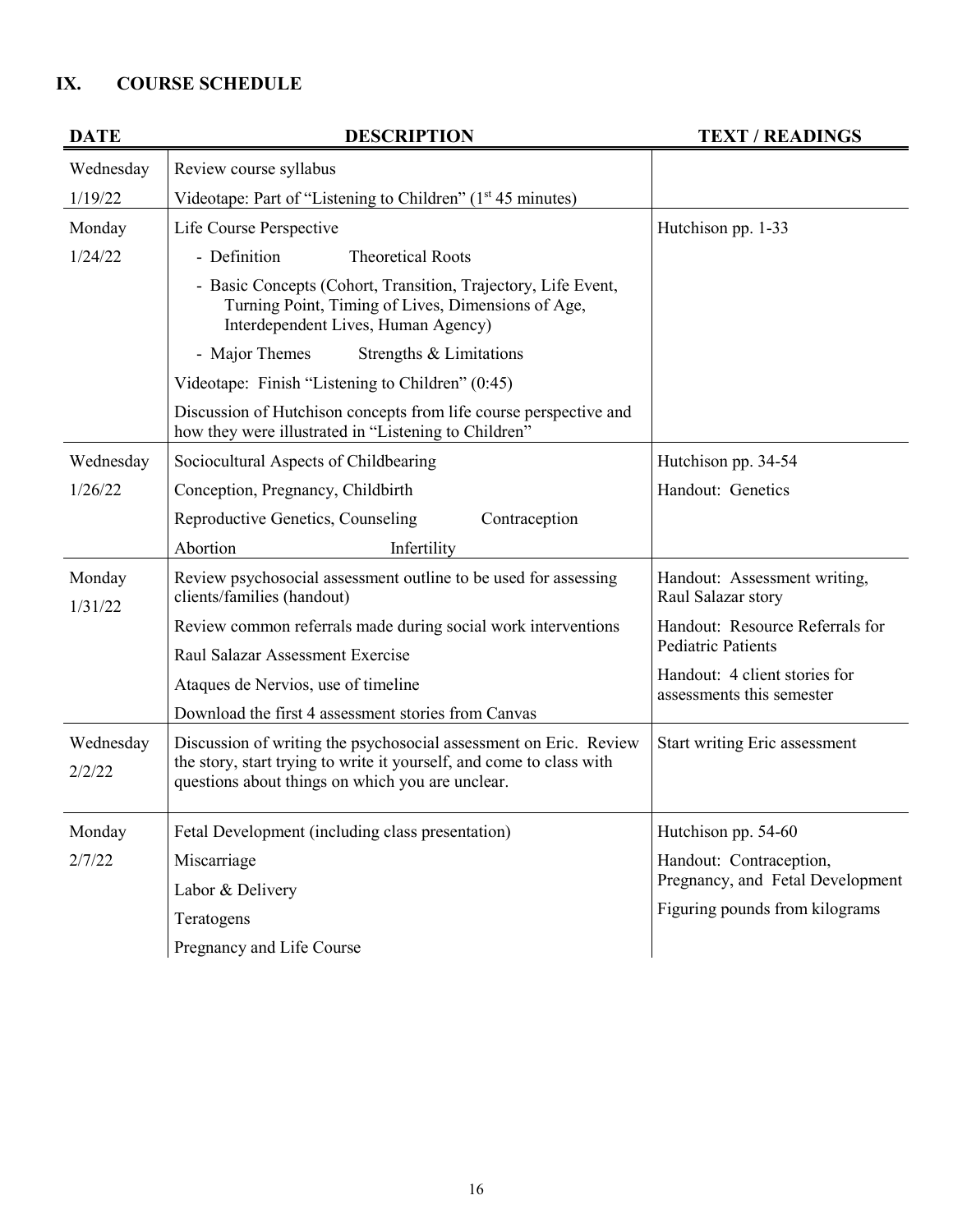# **IX. COURSE SCHEDULE**

| <b>DATE</b>       | <b>DESCRIPTION</b>                                                                                                                                         | <b>TEXT / READINGS</b>                                     |
|-------------------|------------------------------------------------------------------------------------------------------------------------------------------------------------|------------------------------------------------------------|
| Wednesday         | Review course syllabus                                                                                                                                     |                                                            |
| 1/19/22           | Videotape: Part of "Listening to Children" (1 <sup>st</sup> 45 minutes)                                                                                    |                                                            |
| Monday            | Life Course Perspective                                                                                                                                    | Hutchison pp. 1-33                                         |
| 1/24/22           | - Definition<br><b>Theoretical Roots</b>                                                                                                                   |                                                            |
|                   | - Basic Concepts (Cohort, Transition, Trajectory, Life Event,<br>Turning Point, Timing of Lives, Dimensions of Age,<br>Interdependent Lives, Human Agency) |                                                            |
|                   | - Major Themes<br>Strengths & Limitations                                                                                                                  |                                                            |
|                   | Videotape: Finish "Listening to Children" (0:45)                                                                                                           |                                                            |
|                   | Discussion of Hutchison concepts from life course perspective and<br>how they were illustrated in "Listening to Children"                                  |                                                            |
| Wednesday         | Sociocultural Aspects of Childbearing                                                                                                                      | Hutchison pp. 34-54                                        |
| 1/26/22           | Conception, Pregnancy, Childbirth                                                                                                                          | Handout: Genetics                                          |
|                   | Reproductive Genetics, Counseling<br>Contraception                                                                                                         |                                                            |
|                   | Abortion<br>Infertility                                                                                                                                    |                                                            |
| Monday<br>1/31/22 | Review psychosocial assessment outline to be used for assessing<br>clients/families (handout)                                                              | Handout: Assessment writing,<br>Raul Salazar story         |
|                   | Review common referrals made during social work interventions                                                                                              | Handout: Resource Referrals for                            |
|                   | Raul Salazar Assessment Exercise                                                                                                                           | <b>Pediatric Patients</b>                                  |
|                   | Ataques de Nervios, use of timeline                                                                                                                        | Handout: 4 client stories for<br>assessments this semester |
|                   | Download the first 4 assessment stories from Canvas                                                                                                        |                                                            |
| Wednesday         | Discussion of writing the psychosocial assessment on Eric. Review                                                                                          | <b>Start writing Eric assessment</b>                       |
| 2/2/22            | the story, start trying to write it yourself, and come to class with<br>questions about things on which you are unclear.                                   |                                                            |
| Monday            | Fetal Development (including class presentation)                                                                                                           | Hutchison pp. 54-60                                        |
| 2/7/22            | Miscarriage                                                                                                                                                | Handout: Contraception,                                    |
|                   | Labor & Delivery                                                                                                                                           | Pregnancy, and Fetal Development                           |
|                   | Teratogens                                                                                                                                                 | Figuring pounds from kilograms                             |
|                   | Pregnancy and Life Course                                                                                                                                  |                                                            |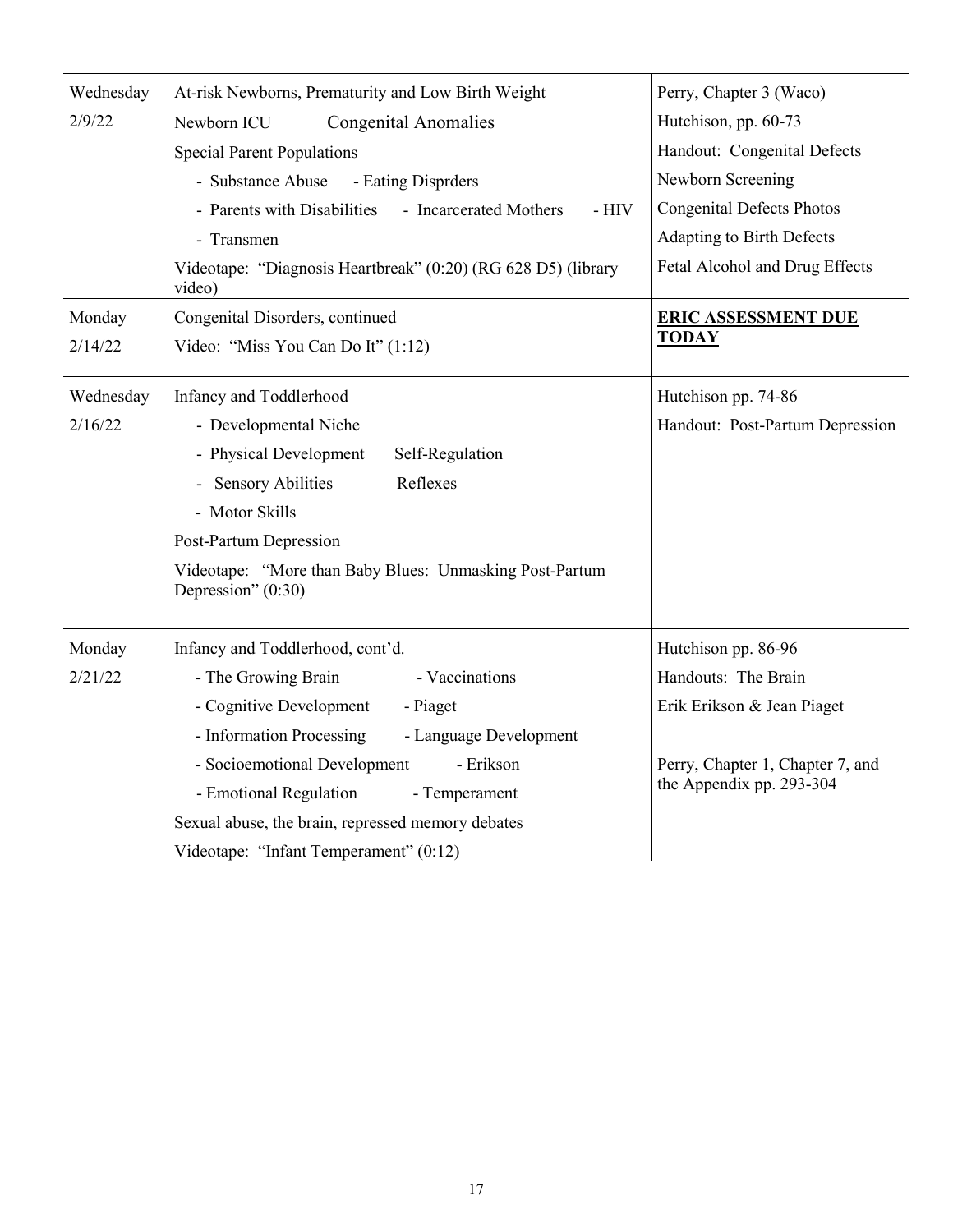| Wednesday | At-risk Newborns, Prematurity and Low Birth Weight                            | Perry, Chapter 3 (Waco)          |
|-----------|-------------------------------------------------------------------------------|----------------------------------|
| 2/9/22    | Newborn ICU<br><b>Congenital Anomalies</b>                                    | Hutchison, pp. 60-73             |
|           | <b>Special Parent Populations</b>                                             | Handout: Congenital Defects      |
|           | - Substance Abuse<br>- Eating Disprders                                       | Newborn Screening                |
|           | - Parents with Disabilities<br>- Incarcerated Mothers<br>$-HIV$               | <b>Congenital Defects Photos</b> |
|           | - Transmen                                                                    | Adapting to Birth Defects        |
|           | Videotape: "Diagnosis Heartbreak" (0:20) (RG 628 D5) (library<br>video)       | Fetal Alcohol and Drug Effects   |
| Monday    | Congenital Disorders, continued                                               | <b>ERIC ASSESSMENT DUE</b>       |
| 2/14/22   | Video: "Miss You Can Do It" (1:12)                                            | <b>TODAY</b>                     |
|           |                                                                               |                                  |
| Wednesday | Infancy and Toddlerhood                                                       | Hutchison pp. 74-86              |
| 2/16/22   | - Developmental Niche                                                         | Handout: Post-Partum Depression  |
|           | - Physical Development<br>Self-Regulation                                     |                                  |
|           | Reflexes<br><b>Sensory Abilities</b><br>$\blacksquare$                        |                                  |
|           | - Motor Skills                                                                |                                  |
|           | Post-Partum Depression                                                        |                                  |
|           | Videotape: "More than Baby Blues: Unmasking Post-Partum<br>Depression" (0:30) |                                  |
| Monday    | Infancy and Toddlerhood, cont'd.                                              | Hutchison pp. 86-96              |
| 2/21/22   | - The Growing Brain<br>- Vaccinations                                         | Handouts: The Brain              |
|           | - Cognitive Development<br>- Piaget                                           | Erik Erikson & Jean Piaget       |
|           | - Information Processing<br>- Language Development                            |                                  |
|           | - Erikson<br>- Socioemotional Development                                     | Perry, Chapter 1, Chapter 7, and |
|           | - Emotional Regulation<br>- Temperament                                       | the Appendix pp. 293-304         |
|           | Sexual abuse, the brain, repressed memory debates                             |                                  |
|           | Videotape: "Infant Temperament" (0:12)                                        |                                  |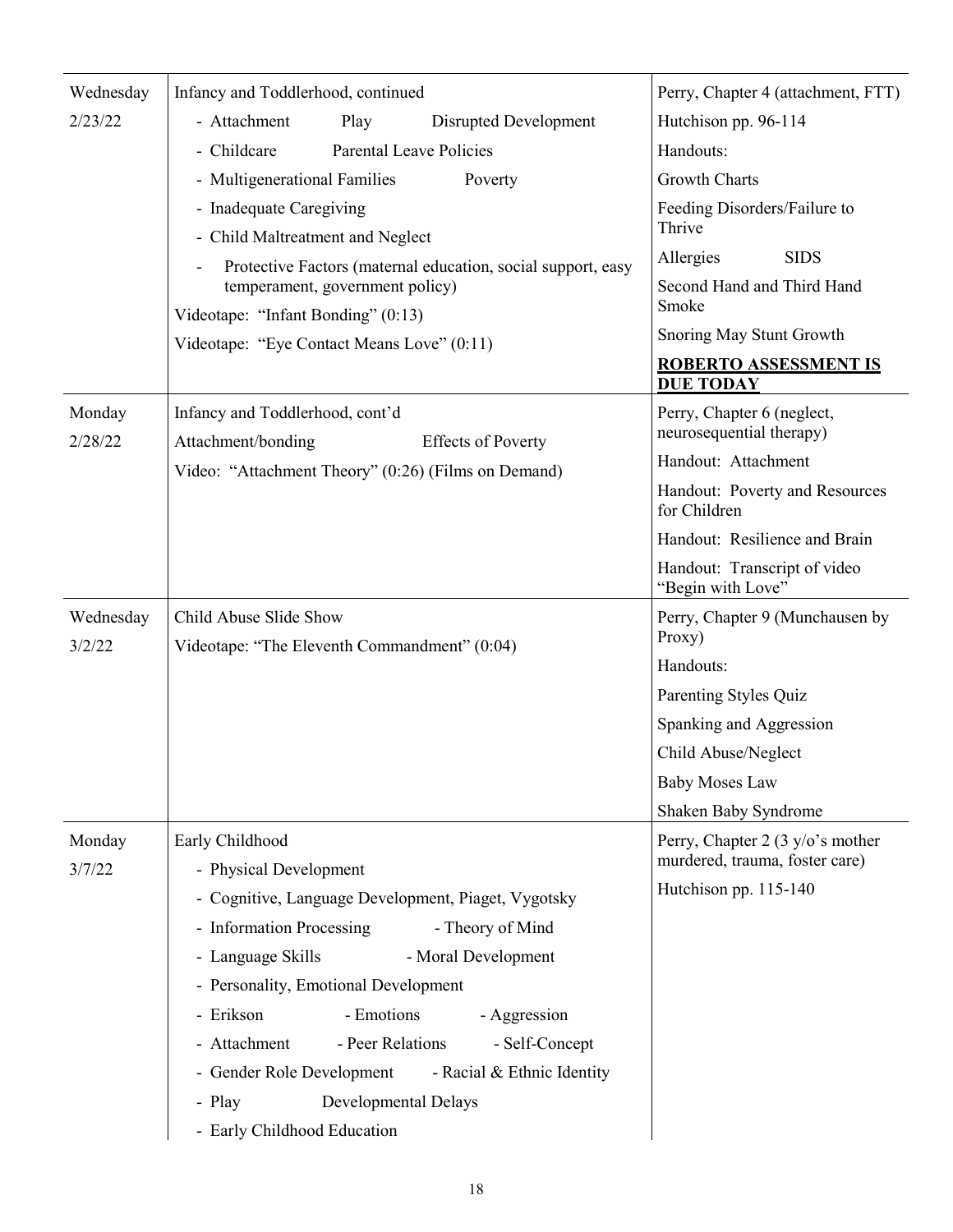| Wednesday           | Infancy and Toddlerhood, continued                                                 | Perry, Chapter 4 (attachment, FTT)                                 |
|---------------------|------------------------------------------------------------------------------------|--------------------------------------------------------------------|
| 2/23/22             | - Attachment<br>Play<br>Disrupted Development                                      | Hutchison pp. 96-114                                               |
|                     | <b>Parental Leave Policies</b><br>- Childcare                                      | Handouts:                                                          |
|                     | - Multigenerational Families<br>Poverty                                            | <b>Growth Charts</b>                                               |
|                     | - Inadequate Caregiving<br>- Child Maltreatment and Neglect                        | Feeding Disorders/Failure to<br>Thrive                             |
|                     | Protective Factors (maternal education, social support, easy                       | Allergies<br><b>SIDS</b>                                           |
|                     | temperament, government policy)                                                    | Second Hand and Third Hand<br>Smoke                                |
|                     | Videotape: "Infant Bonding" (0:13)                                                 | Snoring May Stunt Growth                                           |
|                     | Videotape: "Eye Contact Means Love" (0:11)                                         | <b>ROBERTO ASSESSMENT IS</b>                                       |
|                     |                                                                                    | <b>DUE TODAY</b>                                                   |
| Monday<br>2/28/22   | Infancy and Toddlerhood, cont'd<br>Attachment/bonding<br><b>Effects of Poverty</b> | Perry, Chapter 6 (neglect,<br>neurosequential therapy)             |
|                     | Video: "Attachment Theory" (0:26) (Films on Demand)                                | Handout: Attachment                                                |
|                     |                                                                                    | Handout: Poverty and Resources<br>for Children                     |
|                     |                                                                                    | Handout: Resilience and Brain                                      |
|                     |                                                                                    | Handout: Transcript of video<br>"Begin with Love"                  |
| Wednesday<br>3/2/22 | Child Abuse Slide Show<br>Videotape: "The Eleventh Commandment" (0:04)             | Perry, Chapter 9 (Munchausen by<br>Proxy)                          |
|                     |                                                                                    | Handouts:                                                          |
|                     |                                                                                    | Parenting Styles Quiz                                              |
|                     |                                                                                    | Spanking and Aggression                                            |
|                     |                                                                                    | Child Abuse/Neglect                                                |
|                     |                                                                                    | <b>Baby Moses Law</b>                                              |
|                     |                                                                                    | Shaken Baby Syndrome                                               |
| Monday<br>3/7/22    | Early Childhood<br>- Physical Development                                          | Perry, Chapter 2 (3 y/o's mother<br>murdered, trauma, foster care) |
|                     | - Cognitive, Language Development, Piaget, Vygotsky                                | Hutchison pp. 115-140                                              |
|                     | - Information Processing<br>- Theory of Mind                                       |                                                                    |
|                     | - Language Skills<br>- Moral Development                                           |                                                                    |
|                     | - Personality, Emotional Development                                               |                                                                    |
|                     | - Emotions<br>- Erikson<br>- Aggression                                            |                                                                    |
|                     | - Attachment<br>- Peer Relations<br>- Self-Concept                                 |                                                                    |
|                     | - Gender Role Development<br>- Racial & Ethnic Identity                            |                                                                    |
|                     | Developmental Delays<br>- Play                                                     |                                                                    |
|                     | - Early Childhood Education                                                        |                                                                    |
|                     |                                                                                    |                                                                    |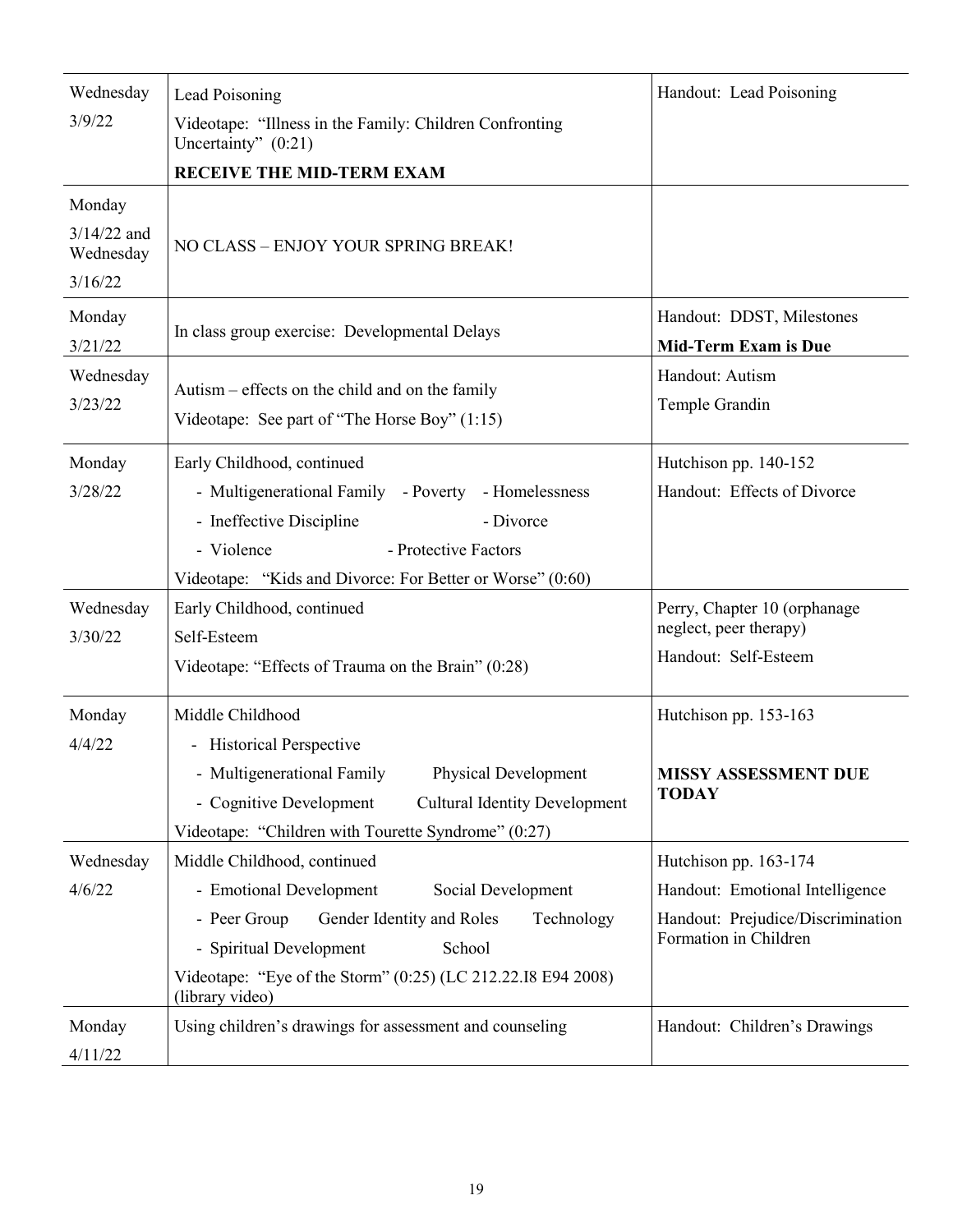| Wednesday                  | Lead Poisoning                                                                               | Handout: Lead Poisoning                                    |
|----------------------------|----------------------------------------------------------------------------------------------|------------------------------------------------------------|
| 3/9/22                     | Videotape: "Illness in the Family: Children Confronting<br>Uncertainty" $(0:21)$             |                                                            |
|                            | <b>RECEIVE THE MID-TERM EXAM</b>                                                             |                                                            |
| Monday                     |                                                                                              |                                                            |
| $3/14/22$ and<br>Wednesday | NO CLASS - ENJOY YOUR SPRING BREAK!                                                          |                                                            |
| 3/16/22                    |                                                                                              |                                                            |
| Monday                     | In class group exercise: Developmental Delays                                                | Handout: DDST, Milestones                                  |
| 3/21/22                    |                                                                                              | <b>Mid-Term Exam is Due</b>                                |
| Wednesday                  | Autism – effects on the child and on the family                                              | Handout: Autism                                            |
| 3/23/22                    | Videotape: See part of "The Horse Boy" (1:15)                                                | Temple Grandin                                             |
| Monday                     | Early Childhood, continued                                                                   | Hutchison pp. 140-152                                      |
| 3/28/22                    | - Multigenerational Family - Poverty - Homelessness                                          | Handout: Effects of Divorce                                |
|                            | - Ineffective Discipline<br>- Divorce                                                        |                                                            |
|                            | - Violence<br>- Protective Factors                                                           |                                                            |
|                            | Videotape: "Kids and Divorce: For Better or Worse" (0:60)                                    |                                                            |
| Wednesday<br>3/30/22       | Early Childhood, continued<br>Self-Esteem                                                    | Perry, Chapter 10 (orphanage<br>neglect, peer therapy)     |
|                            | Videotape: "Effects of Trauma on the Brain" (0:28)                                           | Handout: Self-Esteem                                       |
| Monday                     | Middle Childhood                                                                             | Hutchison pp. 153-163                                      |
| 4/4/22                     | - Historical Perspective                                                                     |                                                            |
|                            | - Multigenerational Family<br><b>Physical Development</b>                                    | MISSY ASSESSMENT DUE                                       |
|                            | - Cognitive Development<br><b>Cultural Identity Development</b>                              | <b>TODAY</b>                                               |
|                            | Videotape: "Children with Tourette Syndrome" (0:27)                                          |                                                            |
| Wednesday                  | Middle Childhood, continued                                                                  | Hutchison pp. 163-174                                      |
| 4/6/22                     | - Emotional Development<br>Social Development                                                | Handout: Emotional Intelligence                            |
|                            | Gender Identity and Roles<br>Technology<br>- Peer Group<br>- Spiritual Development<br>School | Handout: Prejudice/Discrimination<br>Formation in Children |
|                            | Videotape: "Eye of the Storm" (0:25) (LC 212.22.18 E94 2008)<br>(library video)              |                                                            |
| Monday<br>4/11/22          | Using children's drawings for assessment and counseling                                      | Handout: Children's Drawings                               |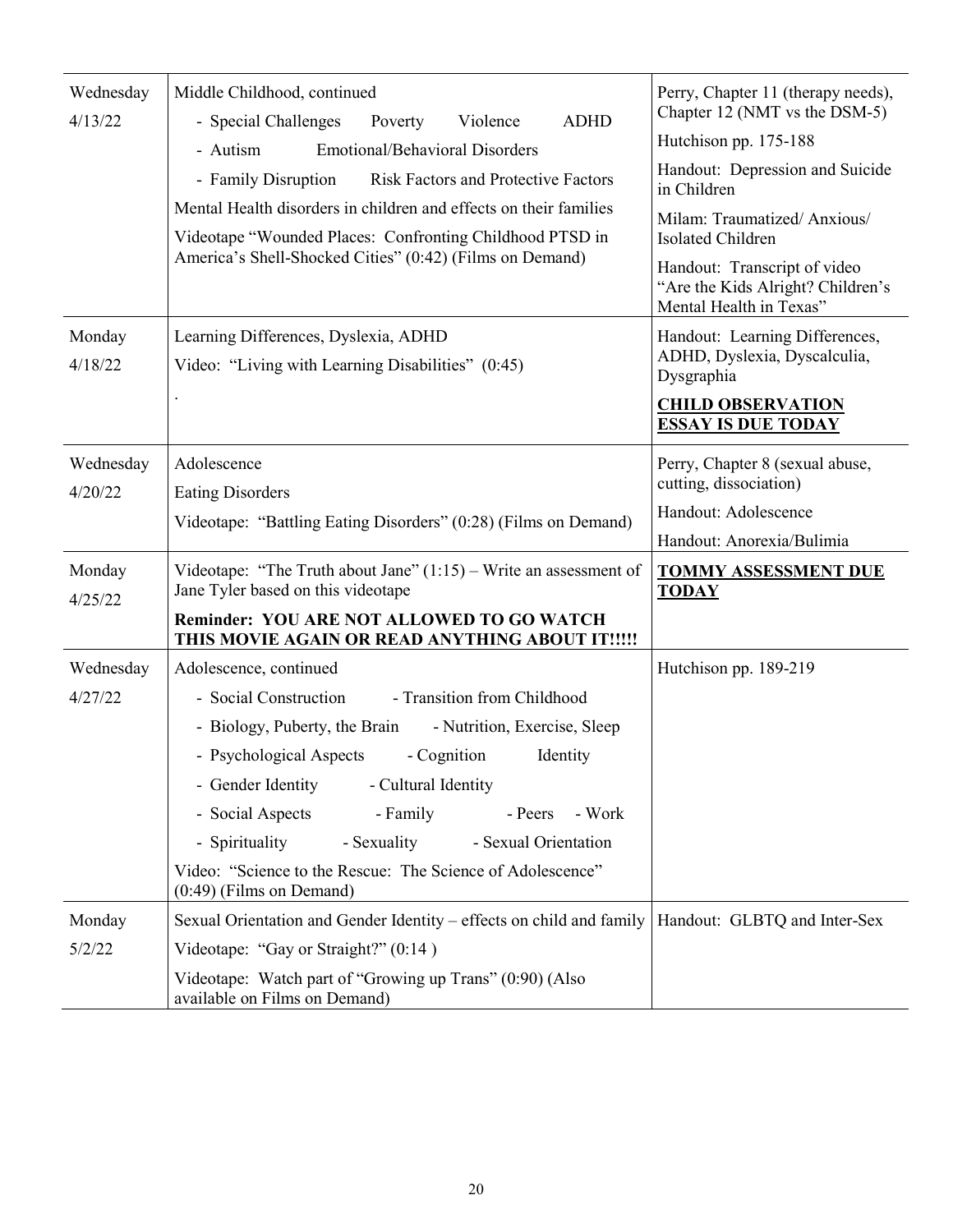| Wednesday<br>4/13/22 | Middle Childhood, continued<br><b>ADHD</b><br>- Special Challenges<br>Violence<br>Poverty<br><b>Emotional/Behavioral Disorders</b><br>- Autism<br><b>Risk Factors and Protective Factors</b><br>- Family Disruption<br>Mental Health disorders in children and effects on their families<br>Videotape "Wounded Places: Confronting Childhood PTSD in<br>America's Shell-Shocked Cities" (0:42) (Films on Demand)                                                                                                | Perry, Chapter 11 (therapy needs),<br>Chapter 12 (NMT vs the DSM-5)<br>Hutchison pp. 175-188<br>Handout: Depression and Suicide<br>in Children<br>Milam: Traumatized/Anxious/<br>Isolated Children<br>Handout: Transcript of video<br>"Are the Kids Alright? Children's<br>Mental Health in Texas" |
|----------------------|-----------------------------------------------------------------------------------------------------------------------------------------------------------------------------------------------------------------------------------------------------------------------------------------------------------------------------------------------------------------------------------------------------------------------------------------------------------------------------------------------------------------|----------------------------------------------------------------------------------------------------------------------------------------------------------------------------------------------------------------------------------------------------------------------------------------------------|
| Monday<br>4/18/22    | Learning Differences, Dyslexia, ADHD<br>Video: "Living with Learning Disabilities" (0:45)                                                                                                                                                                                                                                                                                                                                                                                                                       | Handout: Learning Differences,<br>ADHD, Dyslexia, Dyscalculia,<br>Dysgraphia<br><b>CHILD OBSERVATION</b><br><b>ESSAY IS DUE TODAY</b>                                                                                                                                                              |
| Wednesday<br>4/20/22 | Adolescence<br><b>Eating Disorders</b><br>Videotape: "Battling Eating Disorders" (0:28) (Films on Demand)                                                                                                                                                                                                                                                                                                                                                                                                       | Perry, Chapter 8 (sexual abuse,<br>cutting, dissociation)<br>Handout: Adolescence<br>Handout: Anorexia/Bulimia                                                                                                                                                                                     |
| Monday<br>4/25/22    | Videotape: "The Truth about Jane" $(1:15)$ – Write an assessment of<br>Jane Tyler based on this videotape<br><b>Reminder: YOU ARE NOT ALLOWED TO GO WATCH</b>                                                                                                                                                                                                                                                                                                                                                   | <b>TOMMY ASSESSMENT DUE</b><br><b>TODAY</b>                                                                                                                                                                                                                                                        |
| Wednesday<br>4/27/22 | THIS MOVIE AGAIN OR READ ANYTHING ABOUT IT !!!!!<br>Adolescence, continued<br>- Social Construction<br>- Transition from Childhood<br>- Biology, Puberty, the Brain<br>- Nutrition, Exercise, Sleep<br>- Psychological Aspects<br>- Cognition<br>Identity<br>- Gender Identity<br>- Cultural Identity<br>- Social Aspects<br>- Family<br>- Work<br>- Peers<br>- Spirituality<br>- Sexuality<br>- Sexual Orientation<br>Video: "Science to the Rescue: The Science of Adolescence"<br>$(0:49)$ (Films on Demand) | Hutchison pp. 189-219                                                                                                                                                                                                                                                                              |
| Monday<br>5/2/22     | Sexual Orientation and Gender Identity – effects on child and family   Handout: GLBTQ and Inter-Sex<br>Videotape: "Gay or Straight?" (0:14)<br>Videotape: Watch part of "Growing up Trans" (0:90) (Also<br>available on Films on Demand)                                                                                                                                                                                                                                                                        |                                                                                                                                                                                                                                                                                                    |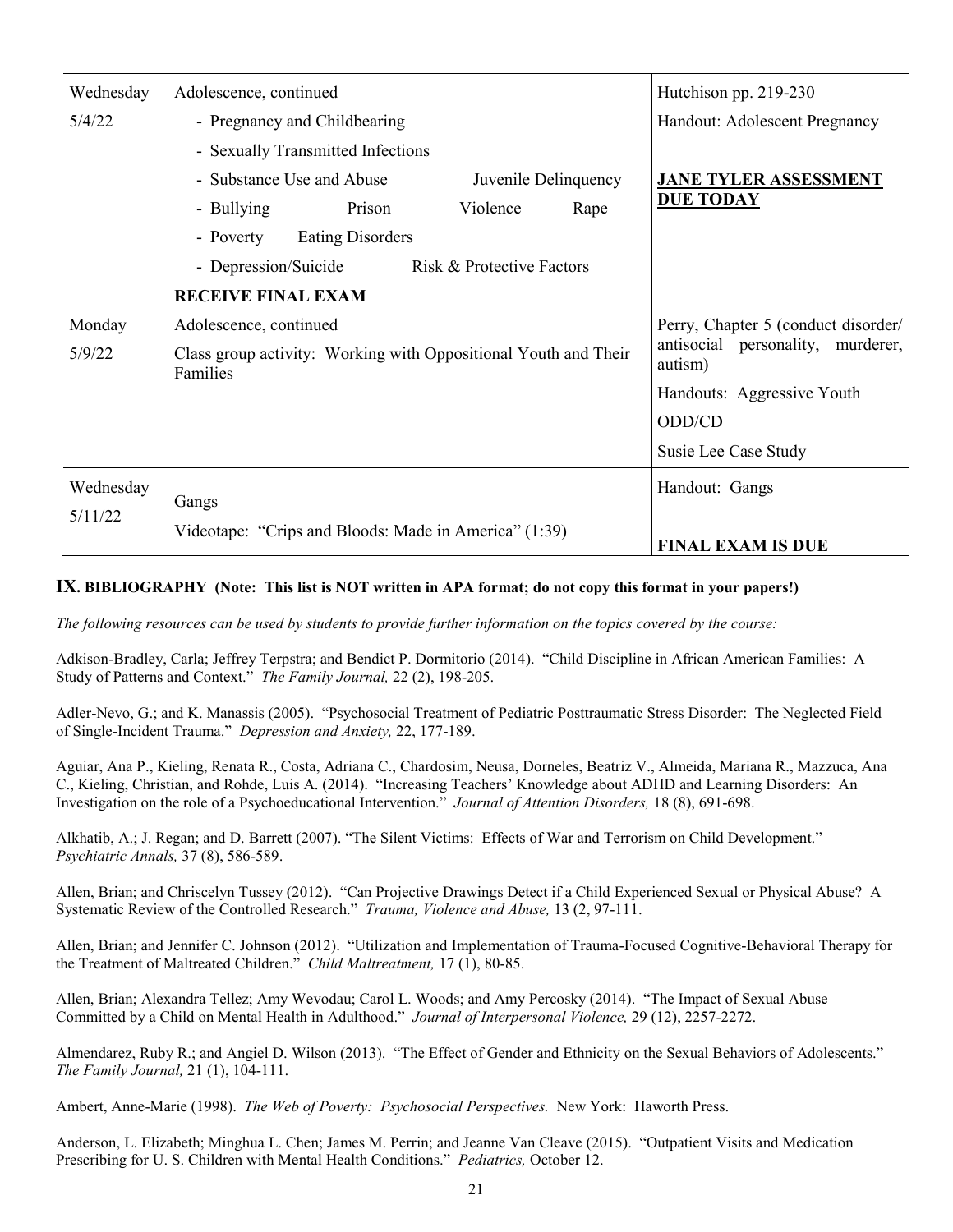| Wednesday        | Adolescence, continued                                                                    | Hutchison pp. 219-230                                                               |
|------------------|-------------------------------------------------------------------------------------------|-------------------------------------------------------------------------------------|
| 5/4/22           | - Pregnancy and Childbearing                                                              | Handout: Adolescent Pregnancy                                                       |
|                  | - Sexually Transmitted Infections                                                         |                                                                                     |
|                  | - Substance Use and Abuse<br>Juvenile Delinquency                                         | <b>JANE TYLER ASSESSMENT</b>                                                        |
|                  | Prison<br>Violence<br>- Bullying<br>Rape                                                  | <b>DUE TODAY</b>                                                                    |
|                  | <b>Eating Disorders</b><br>- Poverty                                                      |                                                                                     |
|                  | - Depression/Suicide<br>Risk & Protective Factors                                         |                                                                                     |
|                  | <b>RECEIVE FINAL EXAM</b>                                                                 |                                                                                     |
| Monday<br>5/9/22 | Adolescence, continued<br>Class group activity: Working with Oppositional Youth and Their | Perry, Chapter 5 (conduct disorder/<br>antisocial personality, murderer,<br>autism) |
|                  | Families                                                                                  | Handouts: Aggressive Youth                                                          |
|                  |                                                                                           | ODD/CD                                                                              |
|                  |                                                                                           | Susie Lee Case Study                                                                |
|                  |                                                                                           |                                                                                     |
| Wednesday        | Gangs                                                                                     | Handout: Gangs                                                                      |
| 5/11/22          | Videotape: "Crips and Bloods: Made in America" (1:39)                                     | <b>FINAL EXAM IS DUE</b>                                                            |

#### **IX. BIBLIOGRAPHY (Note: This list is NOT written in APA format; do not copy this format in your papers!)**

*The following resources can be used by students to provide further information on the topics covered by the course:* 

Adkison-Bradley, Carla; Jeffrey Terpstra; and Bendict P. Dormitorio (2014). "Child Discipline in African American Families: A Study of Patterns and Context." *The Family Journal,* 22 (2), 198-205.

Adler-Nevo, G.; and K. Manassis (2005). "Psychosocial Treatment of Pediatric Posttraumatic Stress Disorder: The Neglected Field of Single-Incident Trauma." *Depression and Anxiety,* 22, 177-189.

Aguiar, Ana P., Kieling, Renata R., Costa, Adriana C., Chardosim, Neusa, Dorneles, Beatriz V., Almeida, Mariana R., Mazzuca, Ana C., Kieling, Christian, and Rohde, Luis A. (2014). "Increasing Teachers' Knowledge about ADHD and Learning Disorders: An Investigation on the role of a Psychoeducational Intervention." *Journal of Attention Disorders,* 18 (8), 691-698.

Alkhatib, A.; J. Regan; and D. Barrett (2007). "The Silent Victims: Effects of War and Terrorism on Child Development." *Psychiatric Annals,* 37 (8), 586-589.

Allen, Brian; and Chriscelyn Tussey (2012). "Can Projective Drawings Detect if a Child Experienced Sexual or Physical Abuse? A Systematic Review of the Controlled Research." *Trauma, Violence and Abuse,* 13 (2, 97-111.

Allen, Brian; and Jennifer C. Johnson (2012). "Utilization and Implementation of Trauma-Focused Cognitive-Behavioral Therapy for the Treatment of Maltreated Children." *Child Maltreatment,* 17 (1), 80-85.

Allen, Brian; Alexandra Tellez; Amy Wevodau; Carol L. Woods; and Amy Percosky (2014). "The Impact of Sexual Abuse Committed by a Child on Mental Health in Adulthood." *Journal of Interpersonal Violence,* 29 (12), 2257-2272.

Almendarez, Ruby R.; and Angiel D. Wilson (2013). "The Effect of Gender and Ethnicity on the Sexual Behaviors of Adolescents." *The Family Journal,* 21 (1), 104-111.

Ambert, Anne-Marie (1998). *The Web of Poverty: Psychosocial Perspectives.* New York: Haworth Press.

Anderson, L. Elizabeth; Minghua L. Chen; James M. Perrin; and Jeanne Van Cleave (2015). "Outpatient Visits and Medication Prescribing for U. S. Children with Mental Health Conditions." *Pediatrics,* October 12.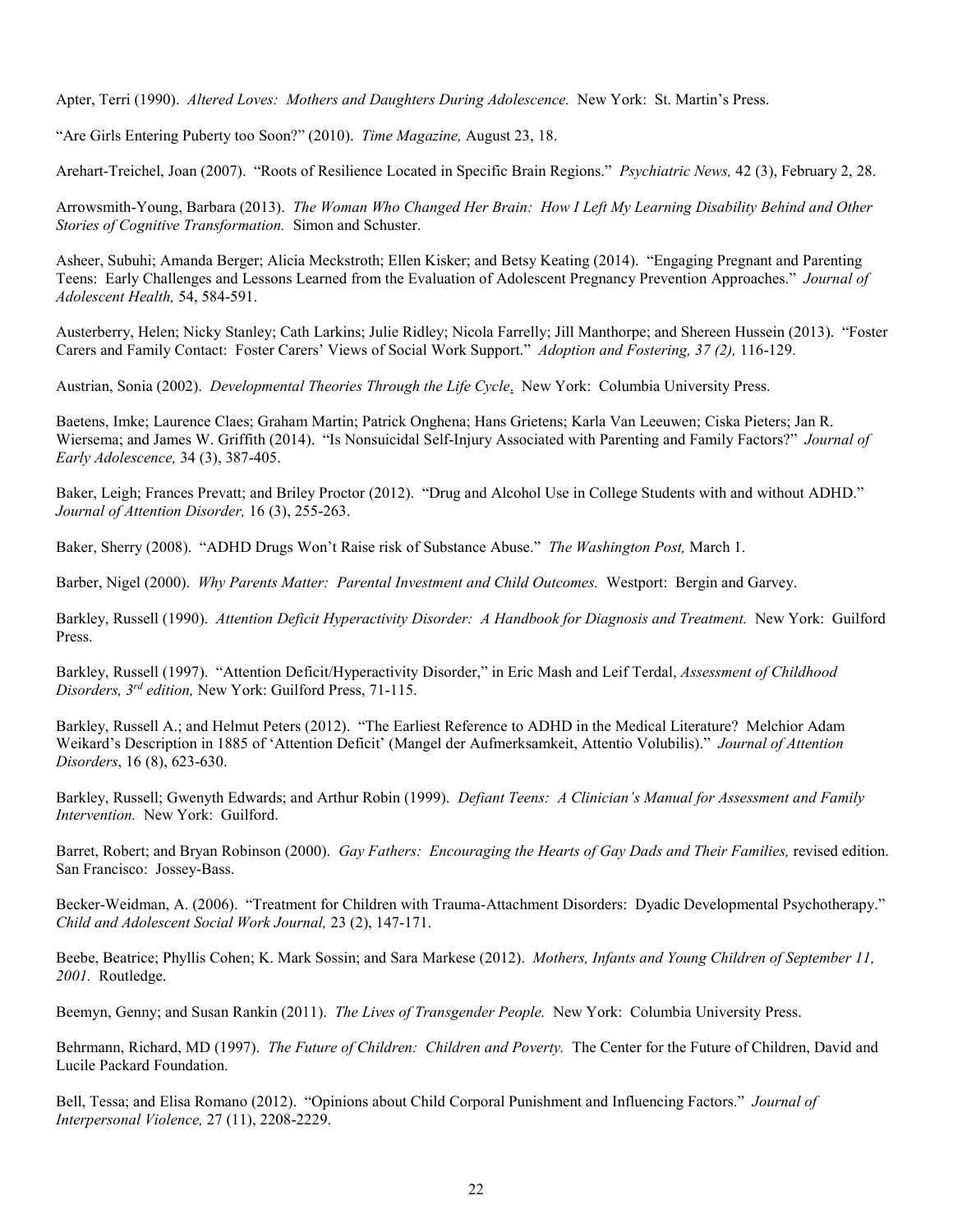Apter, Terri (1990). *Altered Loves: Mothers and Daughters During Adolescence.* New York: St. Martin's Press.

"Are Girls Entering Puberty too Soon?" (2010). *Time Magazine,* August 23, 18.

Arehart-Treichel, Joan (2007). "Roots of Resilience Located in Specific Brain Regions." *Psychiatric News,* 42 (3), February 2, 28.

Arrowsmith-Young, Barbara (2013). *The Woman Who Changed Her Brain: How I Left My Learning Disability Behind and Other Stories of Cognitive Transformation.* Simon and Schuster.

Asheer, Subuhi; Amanda Berger; Alicia Meckstroth; Ellen Kisker; and Betsy Keating (2014). "Engaging Pregnant and Parenting Teens: Early Challenges and Lessons Learned from the Evaluation of Adolescent Pregnancy Prevention Approaches." *Journal of Adolescent Health,* 54, 584-591.

Austerberry, Helen; Nicky Stanley; Cath Larkins; Julie Ridley; Nicola Farrelly; Jill Manthorpe; and Shereen Hussein (2013). "Foster Carers and Family Contact: Foster Carers' Views of Social Work Support." *Adoption and Fostering, 37 (2),* 116-129.

Austrian, Sonia (2002). *Developmental Theories Through the Life Cycle*. New York: Columbia University Press.

Baetens, Imke; Laurence Claes; Graham Martin; Patrick Onghena; Hans Grietens; Karla Van Leeuwen; Ciska Pieters; Jan R. Wiersema; and James W. Griffith (2014). "Is Nonsuicidal Self-Injury Associated with Parenting and Family Factors?" *Journal of Early Adolescence,* 34 (3), 387-405.

Baker, Leigh; Frances Prevatt; and Briley Proctor (2012). "Drug and Alcohol Use in College Students with and without ADHD." *Journal of Attention Disorder,* 16 (3), 255-263.

Baker, Sherry (2008). "ADHD Drugs Won't Raise risk of Substance Abuse." *The Washington Post,* March 1.

Barber, Nigel (2000). *Why Parents Matter: Parental Investment and Child Outcomes.* Westport: Bergin and Garvey.

Barkley, Russell (1990). *Attention Deficit Hyperactivity Disorder: A Handbook for Diagnosis and Treatment.* New York: Guilford Press.

Barkley, Russell (1997). "Attention Deficit/Hyperactivity Disorder," in Eric Mash and Leif Terdal, *Assessment of Childhood Disorders, 3rd edition,* New York: Guilford Press, 71-115.

Barkley, Russell A.; and Helmut Peters (2012). "The Earliest Reference to ADHD in the Medical Literature? Melchior Adam Weikard's Description in 1885 of 'Attention Deficit' (Mangel der Aufmerksamkeit, Attentio Volubilis)." *Journal of Attention Disorders*, 16 (8), 623-630.

Barkley, Russell; Gwenyth Edwards; and Arthur Robin (1999). *Defiant Teens: A Clinician's Manual for Assessment and Family Intervention.* New York: Guilford.

Barret, Robert; and Bryan Robinson (2000). *Gay Fathers: Encouraging the Hearts of Gay Dads and Their Families,* revised edition. San Francisco: Jossey-Bass.

Becker-Weidman, A. (2006). "Treatment for Children with Trauma-Attachment Disorders: Dyadic Developmental Psychotherapy." *Child and Adolescent Social Work Journal,* 23 (2), 147-171.

Beebe, Beatrice; Phyllis Cohen; K. Mark Sossin; and Sara Markese (2012). *Mothers, Infants and Young Children of September 11, 2001.* Routledge.

Beemyn, Genny; and Susan Rankin (2011). *The Lives of Transgender People.* New York: Columbia University Press.

Behrmann, Richard, MD (1997). *The Future of Children: Children and Poverty.* The Center for the Future of Children, David and Lucile Packard Foundation.

Bell, Tessa; and Elisa Romano (2012). "Opinions about Child Corporal Punishment and Influencing Factors." *Journal of Interpersonal Violence,* 27 (11), 2208-2229.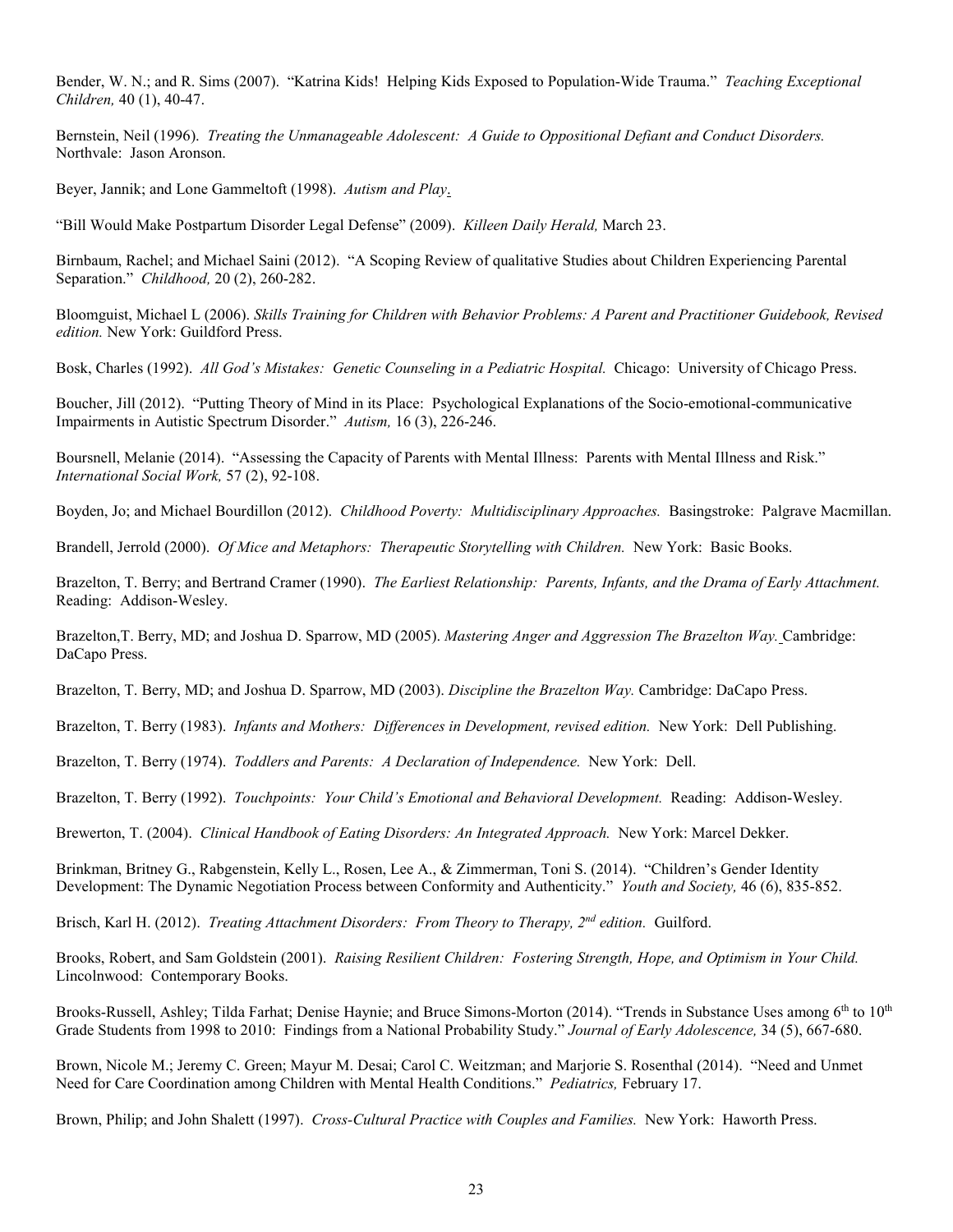Bender, W. N.; and R. Sims (2007). "Katrina Kids! Helping Kids Exposed to Population-Wide Trauma." *Teaching Exceptional Children,* 40 (1), 40-47.

Bernstein, Neil (1996). *Treating the Unmanageable Adolescent: A Guide to Oppositional Defiant and Conduct Disorders.*  Northvale: Jason Aronson.

Beyer, Jannik; and Lone Gammeltoft (1998). *Autism and Play*.

"Bill Would Make Postpartum Disorder Legal Defense" (2009). *Killeen Daily Herald,* March 23.

Birnbaum, Rachel; and Michael Saini (2012). "A Scoping Review of qualitative Studies about Children Experiencing Parental Separation." *Childhood,* 20 (2), 260-282.

Bloomguist, Michael L (2006). *Skills Training for Children with Behavior Problems: A Parent and Practitioner Guidebook, Revised edition.* New York: Guildford Press.

Bosk, Charles (1992). *All God's Mistakes: Genetic Counseling in a Pediatric Hospital.* Chicago: University of Chicago Press.

Boucher, Jill (2012). "Putting Theory of Mind in its Place: Psychological Explanations of the Socio-emotional-communicative Impairments in Autistic Spectrum Disorder." *Autism,* 16 (3), 226-246.

Boursnell, Melanie (2014). "Assessing the Capacity of Parents with Mental Illness: Parents with Mental Illness and Risk." *International Social Work,* 57 (2), 92-108.

Boyden, Jo; and Michael Bourdillon (2012). *Childhood Poverty: Multidisciplinary Approaches.* Basingstroke: Palgrave Macmillan.

Brandell, Jerrold (2000). *Of Mice and Metaphors: Therapeutic Storytelling with Children.* New York: Basic Books.

Brazelton, T. Berry; and Bertrand Cramer (1990). *The Earliest Relationship: Parents, Infants, and the Drama of Early Attachment.*  Reading: Addison-Wesley.

Brazelton,T. Berry, MD; and Joshua D. Sparrow, MD (2005). *Mastering Anger and Aggression The Brazelton Way.* Cambridge: DaCapo Press.

Brazelton, T. Berry, MD; and Joshua D. Sparrow, MD (2003). *Discipline the Brazelton Way.* Cambridge: DaCapo Press.

Brazelton, T. Berry (1983). *Infants and Mothers: Differences in Development, revised edition.* New York: Dell Publishing.

Brazelton, T. Berry (1974). *Toddlers and Parents: A Declaration of Independence.* New York: Dell.

Brazelton, T. Berry (1992). *Touchpoints: Your Child's Emotional and Behavioral Development.* Reading: Addison-Wesley.

Brewerton, T. (2004). *Clinical Handbook of Eating Disorders: An Integrated Approach.* New York: Marcel Dekker.

Brinkman, Britney G., Rabgenstein, Kelly L., Rosen, Lee A., & Zimmerman, Toni S. (2014). "Children's Gender Identity Development: The Dynamic Negotiation Process between Conformity and Authenticity." *Youth and Society,* 46 (6), 835-852.

Brisch, Karl H. (2012). *Treating Attachment Disorders: From Theory to Therapy, 2nd edition.* Guilford.

Brooks, Robert, and Sam Goldstein (2001). *Raising Resilient Children: Fostering Strength, Hope, and Optimism in Your Child.*  Lincolnwood: Contemporary Books.

Brooks-Russell, Ashley; Tilda Farhat; Denise Haynie; and Bruce Simons-Morton (2014). "Trends in Substance Uses among 6<sup>th</sup> to 10<sup>th</sup> Grade Students from 1998 to 2010: Findings from a National Probability Study." *Journal of Early Adolescence,* 34 (5), 667-680.

Brown, Nicole M.; Jeremy C. Green; Mayur M. Desai; Carol C. Weitzman; and Marjorie S. Rosenthal (2014). "Need and Unmet Need for Care Coordination among Children with Mental Health Conditions." *Pediatrics,* February 17.

Brown, Philip; and John Shalett (1997). *Cross-Cultural Practice with Couples and Families.* New York: Haworth Press.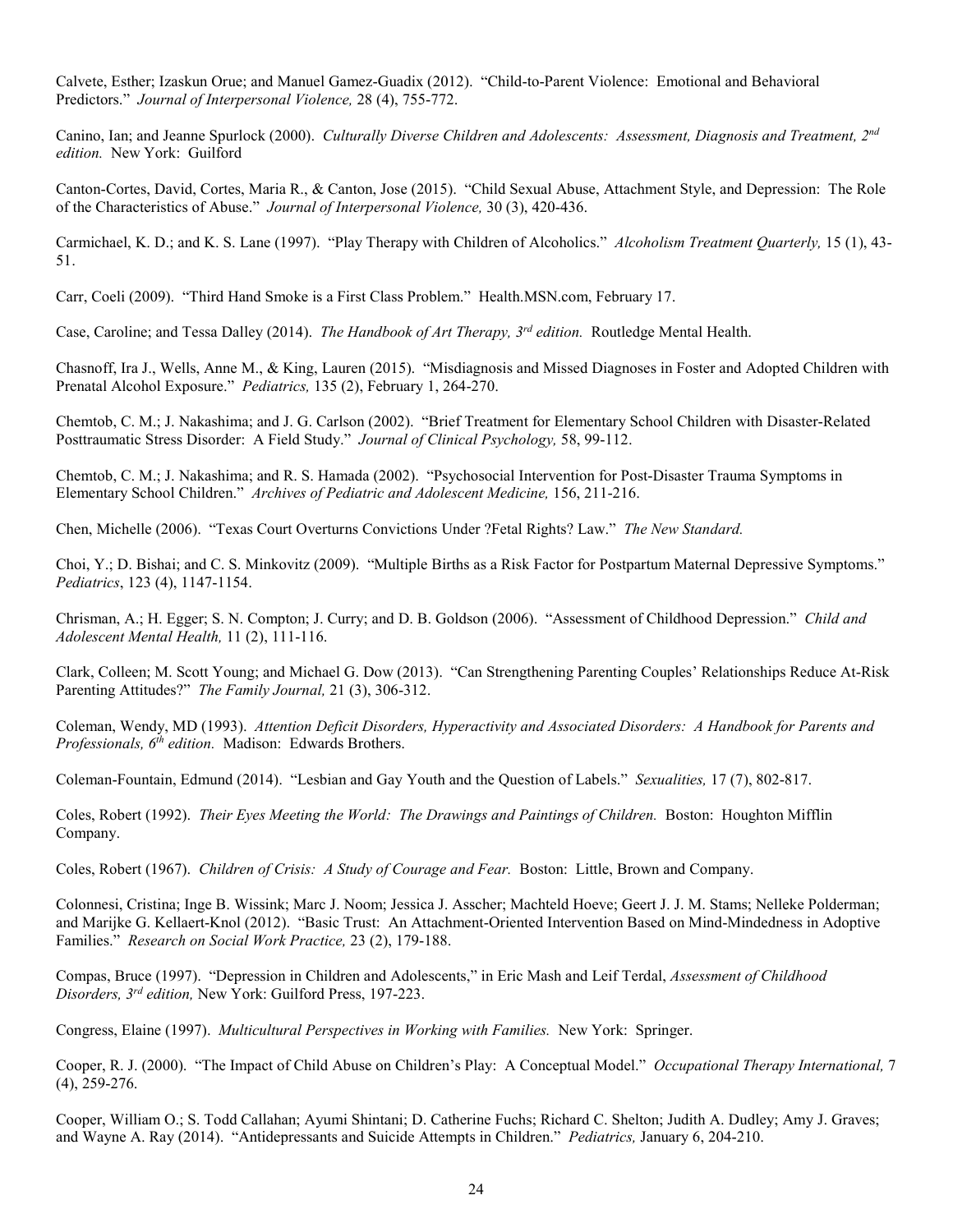Calvete, Esther; Izaskun Orue; and Manuel Gamez-Guadix (2012). "Child-to-Parent Violence: Emotional and Behavioral Predictors." *Journal of Interpersonal Violence,* 28 (4), 755-772.

Canino, Ian; and Jeanne Spurlock (2000). *Culturally Diverse Children and Adolescents: Assessment, Diagnosis and Treatment, 2nd edition.* New York: Guilford

Canton-Cortes, David, Cortes, Maria R., & Canton, Jose (2015). "Child Sexual Abuse, Attachment Style, and Depression: The Role of the Characteristics of Abuse." *Journal of Interpersonal Violence,* 30 (3), 420-436.

Carmichael, K. D.; and K. S. Lane (1997). "Play Therapy with Children of Alcoholics." *Alcoholism Treatment Quarterly,* 15 (1), 43- 51.

Carr, Coeli (2009). "Third Hand Smoke is a First Class Problem." Health.MSN.com, February 17.

Case, Caroline; and Tessa Dalley (2014). *The Handbook of Art Therapy, 3rd edition.* Routledge Mental Health.

Chasnoff, Ira J., Wells, Anne M., & King, Lauren (2015). "Misdiagnosis and Missed Diagnoses in Foster and Adopted Children with Prenatal Alcohol Exposure." *Pediatrics,* 135 (2), February 1, 264-270.

Chemtob, C. M.; J. Nakashima; and J. G. Carlson (2002). "Brief Treatment for Elementary School Children with Disaster-Related Posttraumatic Stress Disorder: A Field Study." *Journal of Clinical Psychology,* 58, 99-112.

Chemtob, C. M.; J. Nakashima; and R. S. Hamada (2002). "Psychosocial Intervention for Post-Disaster Trauma Symptoms in Elementary School Children." *Archives of Pediatric and Adolescent Medicine,* 156, 211-216.

Chen, Michelle (2006). "Texas Court Overturns Convictions Under ?Fetal Rights? Law." *The New Standard.*

Choi, Y.; D. Bishai; and C. S. Minkovitz (2009). "Multiple Births as a Risk Factor for Postpartum Maternal Depressive Symptoms." *Pediatrics*, 123 (4), 1147-1154.

Chrisman, A.; H. Egger; S. N. Compton; J. Curry; and D. B. Goldson (2006). "Assessment of Childhood Depression." *Child and Adolescent Mental Health,* 11 (2), 111-116.

Clark, Colleen; M. Scott Young; and Michael G. Dow (2013). "Can Strengthening Parenting Couples' Relationships Reduce At-Risk Parenting Attitudes?" *The Family Journal,* 21 (3), 306-312.

Coleman, Wendy, MD (1993). *Attention Deficit Disorders, Hyperactivity and Associated Disorders: A Handbook for Parents and Professionals, 6th edition.* Madison: Edwards Brothers.

Coleman-Fountain, Edmund (2014). "Lesbian and Gay Youth and the Question of Labels." *Sexualities,* 17 (7), 802-817.

Coles, Robert (1992). *Their Eyes Meeting the World: The Drawings and Paintings of Children.* Boston: Houghton Mifflin Company.

Coles, Robert (1967). *Children of Crisis: A Study of Courage and Fear.* Boston: Little, Brown and Company.

Colonnesi, Cristina; Inge B. Wissink; Marc J. Noom; Jessica J. Asscher; Machteld Hoeve; Geert J. J. M. Stams; Nelleke Polderman; and Marijke G. Kellaert-Knol (2012). "Basic Trust: An Attachment-Oriented Intervention Based on Mind-Mindedness in Adoptive Families." *Research on Social Work Practice,* 23 (2), 179-188.

Compas, Bruce (1997). "Depression in Children and Adolescents," in Eric Mash and Leif Terdal, *Assessment of Childhood Disorders, 3rd edition,* New York: Guilford Press, 197-223.

Congress, Elaine (1997). *Multicultural Perspectives in Working with Families.* New York: Springer.

Cooper, R. J. (2000). "The Impact of Child Abuse on Children's Play: A Conceptual Model." *Occupational Therapy International,* 7 (4), 259-276.

Cooper, William O.; S. Todd Callahan; Ayumi Shintani; D. Catherine Fuchs; Richard C. Shelton; Judith A. Dudley; Amy J. Graves; and Wayne A. Ray (2014). "Antidepressants and Suicide Attempts in Children." *Pediatrics,* January 6, 204-210.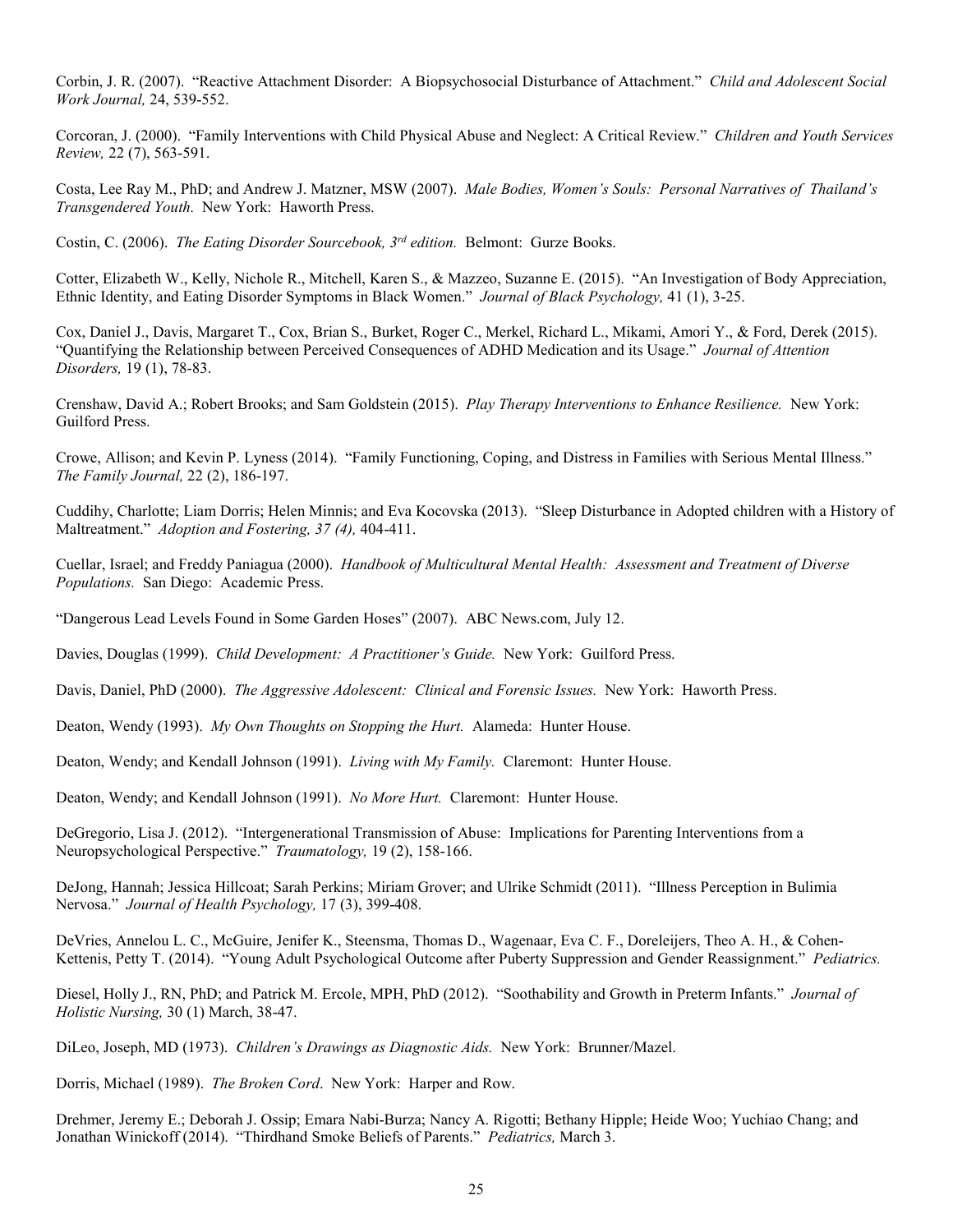Corbin, J. R. (2007). "Reactive Attachment Disorder: A Biopsychosocial Disturbance of Attachment." *Child and Adolescent Social Work Journal,* 24, 539-552.

Corcoran, J. (2000). "Family Interventions with Child Physical Abuse and Neglect: A Critical Review." *Children and Youth Services Review,* 22 (7), 563-591.

Costa, Lee Ray M., PhD; and Andrew J. Matzner, MSW (2007). *Male Bodies, Women's Souls: Personal Narratives of Thailand's Transgendered Youth.* New York: Haworth Press.

Costin, C. (2006). *The Eating Disorder Sourcebook, 3rd edition.* Belmont: Gurze Books.

Cotter, Elizabeth W., Kelly, Nichole R., Mitchell, Karen S., & Mazzeo, Suzanne E. (2015). "An Investigation of Body Appreciation, Ethnic Identity, and Eating Disorder Symptoms in Black Women." *Journal of Black Psychology,* 41 (1), 3-25.

Cox, Daniel J., Davis, Margaret T., Cox, Brian S., Burket, Roger C., Merkel, Richard L., Mikami, Amori Y., & Ford, Derek (2015). "Quantifying the Relationship between Perceived Consequences of ADHD Medication and its Usage." *Journal of Attention Disorders,* 19 (1), 78-83.

Crenshaw, David A.; Robert Brooks; and Sam Goldstein (2015). *Play Therapy Interventions to Enhance Resilience.* New York: Guilford Press.

Crowe, Allison; and Kevin P. Lyness (2014). "Family Functioning, Coping, and Distress in Families with Serious Mental Illness." *The Family Journal,* 22 (2), 186-197.

Cuddihy, Charlotte; Liam Dorris; Helen Minnis; and Eva Kocovska (2013). "Sleep Disturbance in Adopted children with a History of Maltreatment." *Adoption and Fostering, 37 (4),* 404-411.

Cuellar, Israel; and Freddy Paniagua (2000). *Handbook of Multicultural Mental Health: Assessment and Treatment of Diverse Populations.* San Diego: Academic Press.

"Dangerous Lead Levels Found in Some Garden Hoses" (2007). ABC News.com, July 12.

Davies, Douglas (1999). *Child Development: A Practitioner's Guide.* New York: Guilford Press.

Davis, Daniel, PhD (2000). *The Aggressive Adolescent: Clinical and Forensic Issues.* New York: Haworth Press.

Deaton, Wendy (1993). *My Own Thoughts on Stopping the Hurt.* Alameda: Hunter House.

Deaton, Wendy; and Kendall Johnson (1991). *Living with My Family.* Claremont: Hunter House.

Deaton, Wendy; and Kendall Johnson (1991). *No More Hurt.* Claremont: Hunter House.

DeGregorio, Lisa J. (2012). "Intergenerational Transmission of Abuse: Implications for Parenting Interventions from a Neuropsychological Perspective." *Traumatology,* 19 (2), 158-166.

DeJong, Hannah; Jessica Hillcoat; Sarah Perkins; Miriam Grover; and Ulrike Schmidt (2011). "Illness Perception in Bulimia Nervosa." *Journal of Health Psychology,* 17 (3), 399-408.

DeVries, Annelou L. C., McGuire, Jenifer K., Steensma, Thomas D., Wagenaar, Eva C. F., Doreleijers, Theo A. H., & Cohen-Kettenis, Petty T. (2014). "Young Adult Psychological Outcome after Puberty Suppression and Gender Reassignment." *Pediatrics.*

Diesel, Holly J., RN, PhD; and Patrick M. Ercole, MPH, PhD (2012). "Soothability and Growth in Preterm Infants." *Journal of Holistic Nursing,* 30 (1) March, 38-47.

DiLeo, Joseph, MD (1973). *Children's Drawings as Diagnostic Aids.* New York: Brunner/Mazel.

Dorris, Michael (1989). *The Broken Cord*. New York: Harper and Row.

Drehmer, Jeremy E.; Deborah J. Ossip; Emara Nabi-Burza; Nancy A. Rigotti; Bethany Hipple; Heide Woo; Yuchiao Chang; and Jonathan Winickoff (2014). "Thirdhand Smoke Beliefs of Parents." *Pediatrics,* March 3.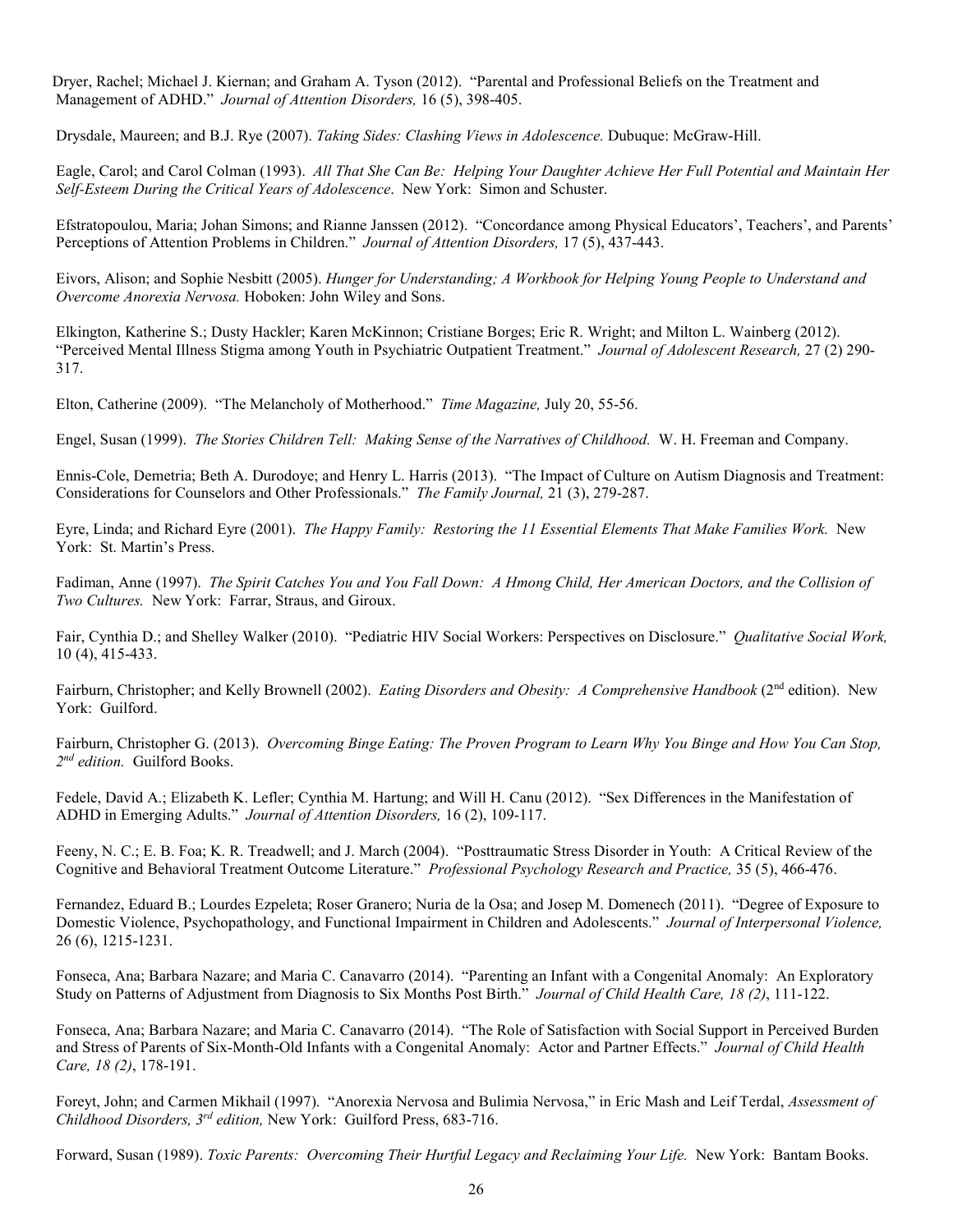Dryer, Rachel; Michael J. Kiernan; and Graham A. Tyson (2012). "Parental and Professional Beliefs on the Treatment and Management of ADHD." *Journal of Attention Disorders,* 16 (5), 398-405.

Drysdale, Maureen; and B.J. Rye (2007). *Taking Sides: Clashing Views in Adolescence.* Dubuque: McGraw-Hill.

Eagle, Carol; and Carol Colman (1993). *All That She Can Be: Helping Your Daughter Achieve Her Full Potential and Maintain Her Self-Esteem During the Critical Years of Adolescence*. New York: Simon and Schuster.

Efstratopoulou, Maria; Johan Simons; and Rianne Janssen (2012). "Concordance among Physical Educators', Teachers', and Parents' Perceptions of Attention Problems in Children." *Journal of Attention Disorders,* 17 (5), 437-443.

Eivors, Alison; and Sophie Nesbitt (2005). *Hunger for Understanding; A Workbook for Helping Young People to Understand and Overcome Anorexia Nervosa.* Hoboken: John Wiley and Sons.

Elkington, Katherine S.; Dusty Hackler; Karen McKinnon; Cristiane Borges; Eric R. Wright; and Milton L. Wainberg (2012). "Perceived Mental Illness Stigma among Youth in Psychiatric Outpatient Treatment." *Journal of Adolescent Research,* 27 (2) 290- 317.

Elton, Catherine (2009). "The Melancholy of Motherhood." *Time Magazine,* July 20, 55-56.

Engel, Susan (1999). *The Stories Children Tell: Making Sense of the Narratives of Childhood.* W. H. Freeman and Company.

Ennis-Cole, Demetria; Beth A. Durodoye; and Henry L. Harris (2013). "The Impact of Culture on Autism Diagnosis and Treatment: Considerations for Counselors and Other Professionals." *The Family Journal,* 21 (3), 279-287.

Eyre, Linda; and Richard Eyre (2001). *The Happy Family: Restoring the 11 Essential Elements That Make Families Work.* New York: St. Martin's Press.

Fadiman, Anne (1997). *The Spirit Catches You and You Fall Down: A Hmong Child, Her American Doctors, and the Collision of Two Cultures.* New York: Farrar, Straus, and Giroux.

Fair, Cynthia D.; and Shelley Walker (2010). "Pediatric HIV Social Workers: Perspectives on Disclosure." *Qualitative Social Work,* 10 (4), 415-433.

Fairburn, Christopher; and Kelly Brownell (2002). *Eating Disorders and Obesity: A Comprehensive Handbook* (2<sup>nd</sup> edition). New York: Guilford.

Fairburn, Christopher G. (2013). *Overcoming Binge Eating: The Proven Program to Learn Why You Binge and How You Can Stop, 2nd edition.* Guilford Books.

Fedele, David A.; Elizabeth K. Lefler; Cynthia M. Hartung; and Will H. Canu (2012). "Sex Differences in the Manifestation of ADHD in Emerging Adults." *Journal of Attention Disorders,* 16 (2), 109-117.

Feeny, N. C.; E. B. Foa; K. R. Treadwell; and J. March (2004). "Posttraumatic Stress Disorder in Youth: A Critical Review of the Cognitive and Behavioral Treatment Outcome Literature." *Professional Psychology Research and Practice,* 35 (5), 466-476.

Fernandez, Eduard B.; Lourdes Ezpeleta; Roser Granero; Nuria de la Osa; and Josep M. Domenech (2011). "Degree of Exposure to Domestic Violence, Psychopathology, and Functional Impairment in Children and Adolescents." *Journal of Interpersonal Violence,* 26 (6), 1215-1231.

Fonseca, Ana; Barbara Nazare; and Maria C. Canavarro (2014). "Parenting an Infant with a Congenital Anomaly: An Exploratory Study on Patterns of Adjustment from Diagnosis to Six Months Post Birth." *Journal of Child Health Care, 18 (2)*, 111-122.

Fonseca, Ana; Barbara Nazare; and Maria C. Canavarro (2014). "The Role of Satisfaction with Social Support in Perceived Burden and Stress of Parents of Six-Month-Old Infants with a Congenital Anomaly: Actor and Partner Effects." *Journal of Child Health Care, 18 (2)*, 178-191.

Foreyt, John; and Carmen Mikhail (1997). "Anorexia Nervosa and Bulimia Nervosa," in Eric Mash and Leif Terdal, *Assessment of Childhood Disorders, 3rd edition,* New York: Guilford Press, 683-716.

Forward, Susan (1989). *Toxic Parents: Overcoming Their Hurtful Legacy and Reclaiming Your Life.* New York: Bantam Books.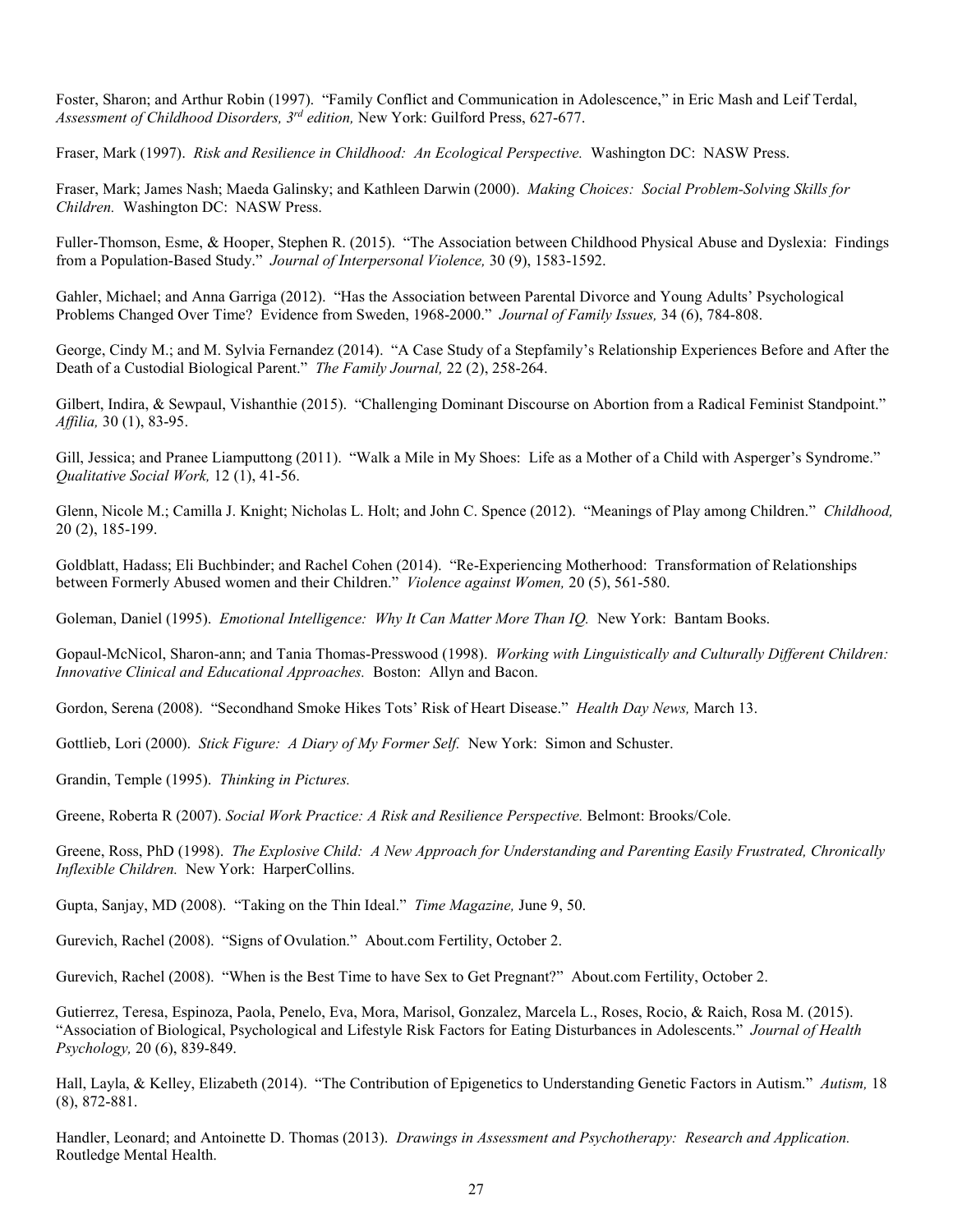Foster, Sharon; and Arthur Robin (1997). "Family Conflict and Communication in Adolescence," in Eric Mash and Leif Terdal, *Assessment of Childhood Disorders, 3rd edition,* New York: Guilford Press, 627-677.

Fraser, Mark (1997). *Risk and Resilience in Childhood: An Ecological Perspective.* Washington DC: NASW Press.

Fraser, Mark; James Nash; Maeda Galinsky; and Kathleen Darwin (2000). *Making Choices: Social Problem-Solving Skills for Children.* Washington DC: NASW Press.

Fuller-Thomson, Esme, & Hooper, Stephen R. (2015). "The Association between Childhood Physical Abuse and Dyslexia: Findings from a Population-Based Study." *Journal of Interpersonal Violence,* 30 (9), 1583-1592.

Gahler, Michael; and Anna Garriga (2012). "Has the Association between Parental Divorce and Young Adults' Psychological Problems Changed Over Time? Evidence from Sweden, 1968-2000." *Journal of Family Issues,* 34 (6), 784-808.

George, Cindy M.; and M. Sylvia Fernandez (2014). "A Case Study of a Stepfamily's Relationship Experiences Before and After the Death of a Custodial Biological Parent." *The Family Journal,* 22 (2), 258-264.

Gilbert, Indira, & Sewpaul, Vishanthie (2015). "Challenging Dominant Discourse on Abortion from a Radical Feminist Standpoint." *Affilia,* 30 (1), 83-95.

Gill, Jessica; and Pranee Liamputtong (2011). "Walk a Mile in My Shoes: Life as a Mother of a Child with Asperger's Syndrome." *Qualitative Social Work,* 12 (1), 41-56.

Glenn, Nicole M.; Camilla J. Knight; Nicholas L. Holt; and John C. Spence (2012). "Meanings of Play among Children." *Childhood,* 20 (2), 185-199.

Goldblatt, Hadass; Eli Buchbinder; and Rachel Cohen (2014). "Re-Experiencing Motherhood: Transformation of Relationships between Formerly Abused women and their Children." *Violence against Women,* 20 (5), 561-580.

Goleman, Daniel (1995). *Emotional Intelligence: Why It Can Matter More Than IQ.* New York: Bantam Books.

Gopaul-McNicol, Sharon-ann; and Tania Thomas-Presswood (1998). *Working with Linguistically and Culturally Different Children: Innovative Clinical and Educational Approaches.* Boston: Allyn and Bacon.

Gordon, Serena (2008). "Secondhand Smoke Hikes Tots' Risk of Heart Disease." *Health Day News,* March 13.

Gottlieb, Lori (2000). *Stick Figure: A Diary of My Former Self.* New York: Simon and Schuster.

Grandin, Temple (1995). *Thinking in Pictures.*

Greene, Roberta R (2007). *Social Work Practice: A Risk and Resilience Perspective.* Belmont: Brooks/Cole.

Greene, Ross, PhD (1998). *The Explosive Child: A New Approach for Understanding and Parenting Easily Frustrated, Chronically Inflexible Children.* New York: HarperCollins.

Gupta, Sanjay, MD (2008). "Taking on the Thin Ideal." *Time Magazine,* June 9, 50.

Gurevich, Rachel (2008). "Signs of Ovulation." About.com Fertility, October 2.

Gurevich, Rachel (2008). "When is the Best Time to have Sex to Get Pregnant?" About.com Fertility, October 2.

Gutierrez, Teresa, Espinoza, Paola, Penelo, Eva, Mora, Marisol, Gonzalez, Marcela L., Roses, Rocio, & Raich, Rosa M. (2015). "Association of Biological, Psychological and Lifestyle Risk Factors for Eating Disturbances in Adolescents." *Journal of Health Psychology,* 20 (6), 839-849.

Hall, Layla, & Kelley, Elizabeth (2014). "The Contribution of Epigenetics to Understanding Genetic Factors in Autism." *Autism,* 18 (8), 872-881.

Handler, Leonard; and Antoinette D. Thomas (2013). *Drawings in Assessment and Psychotherapy: Research and Application.*  Routledge Mental Health.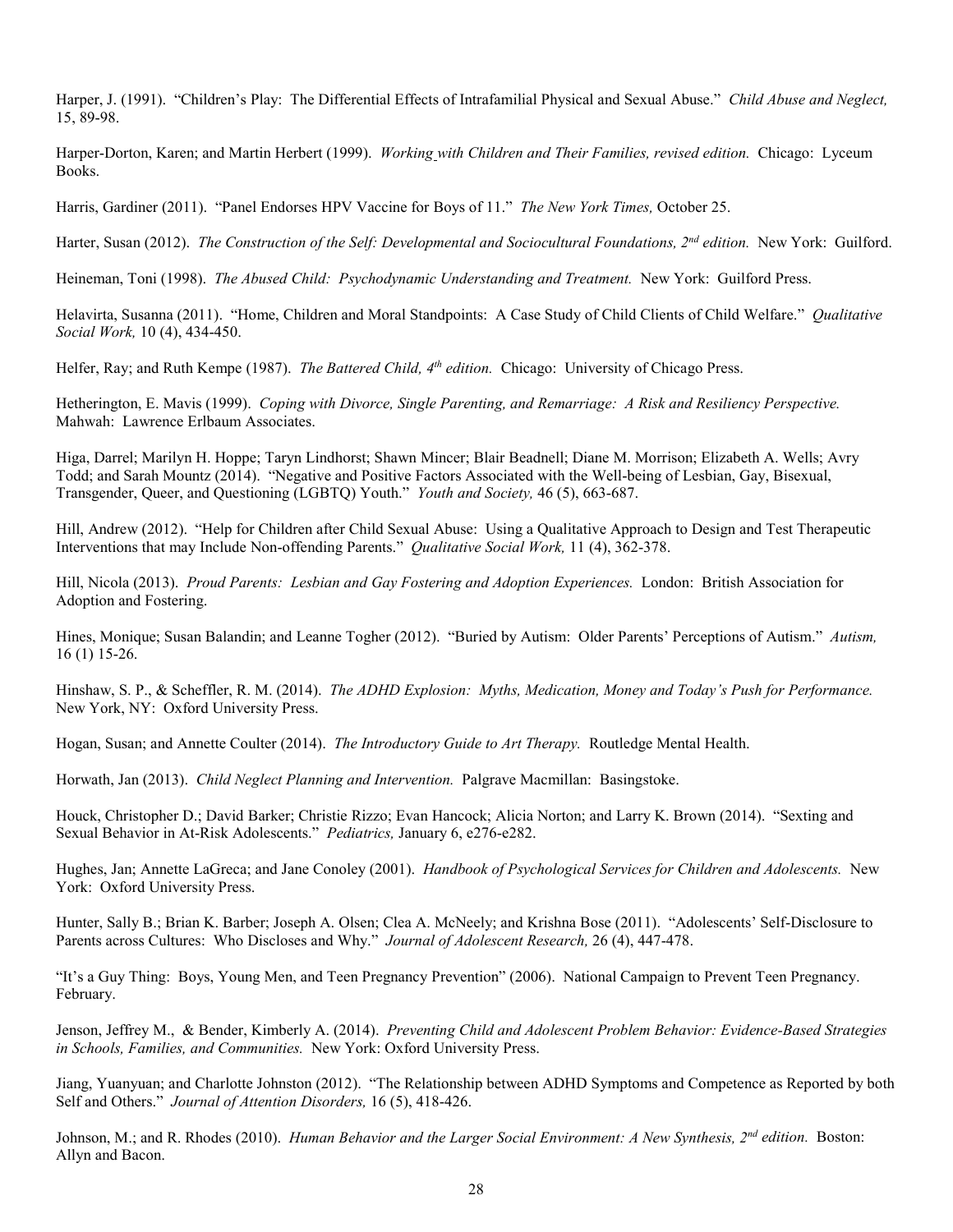Harper, J. (1991). "Children's Play: The Differential Effects of Intrafamilial Physical and Sexual Abuse." *Child Abuse and Neglect,* 15, 89-98.

Harper-Dorton, Karen; and Martin Herbert (1999). *Working with Children and Their Families, revised edition.* Chicago: Lyceum Books.

Harris, Gardiner (2011). "Panel Endorses HPV Vaccine for Boys of 11." *The New York Times,* October 25.

Harter, Susan (2012). *The Construction of the Self: Developmental and Sociocultural Foundations, 2nd edition.* New York: Guilford.

Heineman, Toni (1998). *The Abused Child: Psychodynamic Understanding and Treatment.* New York: Guilford Press.

Helavirta, Susanna (2011). "Home, Children and Moral Standpoints: A Case Study of Child Clients of Child Welfare." *Qualitative Social Work,* 10 (4), 434-450.

Helfer, Ray; and Ruth Kempe (1987). *The Battered Child, 4<sup>th</sup> edition*. Chicago: University of Chicago Press.

Hetherington, E. Mavis (1999). *Coping with Divorce, Single Parenting, and Remarriage: A Risk and Resiliency Perspective.*  Mahwah: Lawrence Erlbaum Associates.

Higa, Darrel; Marilyn H. Hoppe; Taryn Lindhorst; Shawn Mincer; Blair Beadnell; Diane M. Morrison; Elizabeth A. Wells; Avry Todd; and Sarah Mountz (2014). "Negative and Positive Factors Associated with the Well-being of Lesbian, Gay, Bisexual, Transgender, Queer, and Questioning (LGBTQ) Youth." *Youth and Society,* 46 (5), 663-687.

Hill, Andrew (2012). "Help for Children after Child Sexual Abuse: Using a Qualitative Approach to Design and Test Therapeutic Interventions that may Include Non-offending Parents." *Qualitative Social Work,* 11 (4), 362-378.

Hill, Nicola (2013). *Proud Parents: Lesbian and Gay Fostering and Adoption Experiences.* London: British Association for Adoption and Fostering.

Hines, Monique; Susan Balandin; and Leanne Togher (2012). "Buried by Autism: Older Parents' Perceptions of Autism." *Autism,* 16 (1) 15-26.

Hinshaw, S. P., & Scheffler, R. M. (2014). *The ADHD Explosion: Myths, Medication, Money and Today's Push for Performance.* New York, NY: Oxford University Press.

Hogan, Susan; and Annette Coulter (2014). *The Introductory Guide to Art Therapy.* Routledge Mental Health.

Horwath, Jan (2013). *Child Neglect Planning and Intervention.* Palgrave Macmillan: Basingstoke.

Houck, Christopher D.; David Barker; Christie Rizzo; Evan Hancock; Alicia Norton; and Larry K. Brown (2014). "Sexting and Sexual Behavior in At-Risk Adolescents." *Pediatrics,* January 6, e276-e282.

Hughes, Jan; Annette LaGreca; and Jane Conoley (2001). *Handbook of Psychological Services for Children and Adolescents.* New York: Oxford University Press.

Hunter, Sally B.; Brian K. Barber; Joseph A. Olsen; Clea A. McNeely; and Krishna Bose (2011). "Adolescents' Self-Disclosure to Parents across Cultures: Who Discloses and Why." *Journal of Adolescent Research,* 26 (4), 447-478.

"It's a Guy Thing: Boys, Young Men, and Teen Pregnancy Prevention" (2006). National Campaign to Prevent Teen Pregnancy. February.

Jenson, Jeffrey M., & Bender, Kimberly A. (2014). *Preventing Child and Adolescent Problem Behavior: Evidence-Based Strategies in Schools, Families, and Communities.* New York: Oxford University Press.

Jiang, Yuanyuan; and Charlotte Johnston (2012). "The Relationship between ADHD Symptoms and Competence as Reported by both Self and Others." *Journal of Attention Disorders,* 16 (5), 418-426.

Johnson, M.; and R. Rhodes (2010). *Human Behavior and the Larger Social Environment: A New Synthesis, 2nd edition.* Boston: Allyn and Bacon.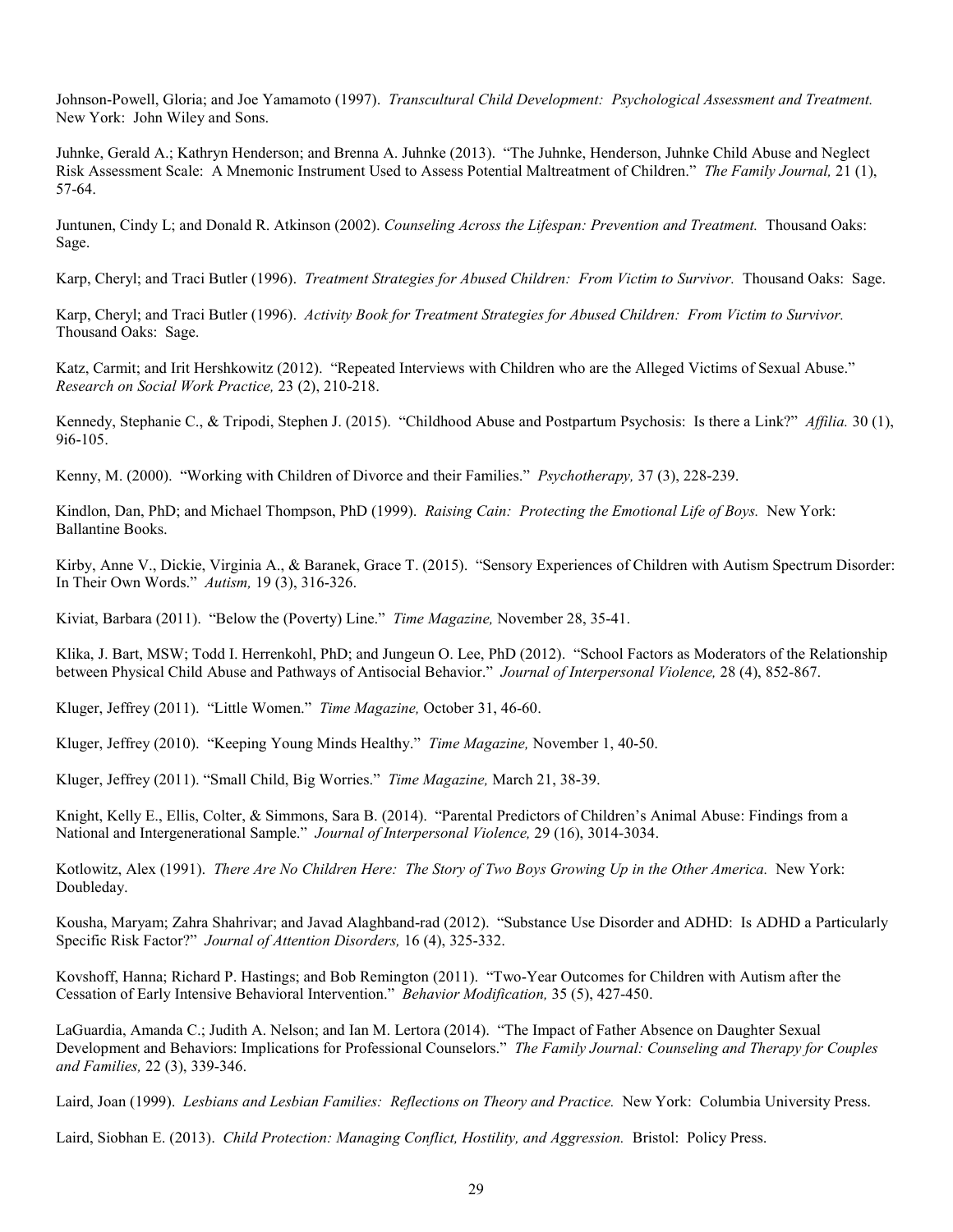Johnson-Powell, Gloria; and Joe Yamamoto (1997). *Transcultural Child Development: Psychological Assessment and Treatment.*  New York: John Wiley and Sons.

Juhnke, Gerald A.; Kathryn Henderson; and Brenna A. Juhnke (2013). "The Juhnke, Henderson, Juhnke Child Abuse and Neglect Risk Assessment Scale: A Mnemonic Instrument Used to Assess Potential Maltreatment of Children." *The Family Journal,* 21 (1), 57-64.

Juntunen, Cindy L; and Donald R. Atkinson (2002). *Counseling Across the Lifespan: Prevention and Treatment.* Thousand Oaks: Sage.

Karp, Cheryl; and Traci Butler (1996). *Treatment Strategies for Abused Children: From Victim to Survivor.* Thousand Oaks: Sage.

Karp, Cheryl; and Traci Butler (1996). *Activity Book for Treatment Strategies for Abused Children: From Victim to Survivor.* Thousand Oaks: Sage.

Katz, Carmit; and Irit Hershkowitz (2012). "Repeated Interviews with Children who are the Alleged Victims of Sexual Abuse." *Research on Social Work Practice,* 23 (2), 210-218.

Kennedy, Stephanie C., & Tripodi, Stephen J. (2015). "Childhood Abuse and Postpartum Psychosis: Is there a Link?" *Affilia.* 30 (1), 9i6-105.

Kenny, M. (2000). "Working with Children of Divorce and their Families." *Psychotherapy,* 37 (3), 228-239.

Kindlon, Dan, PhD; and Michael Thompson, PhD (1999). *Raising Cain: Protecting the Emotional Life of Boys.* New York: Ballantine Books.

Kirby, Anne V., Dickie, Virginia A., & Baranek, Grace T. (2015). "Sensory Experiences of Children with Autism Spectrum Disorder: In Their Own Words." *Autism,* 19 (3), 316-326.

Kiviat, Barbara (2011). "Below the (Poverty) Line." *Time Magazine,* November 28, 35-41.

Klika, J. Bart, MSW; Todd I. Herrenkohl, PhD; and Jungeun O. Lee, PhD (2012). "School Factors as Moderators of the Relationship between Physical Child Abuse and Pathways of Antisocial Behavior." *Journal of Interpersonal Violence,* 28 (4), 852-867.

Kluger, Jeffrey (2011). "Little Women." *Time Magazine,* October 31, 46-60.

Kluger, Jeffrey (2010). "Keeping Young Minds Healthy." *Time Magazine,* November 1, 40-50.

Kluger, Jeffrey (2011). "Small Child, Big Worries." *Time Magazine,* March 21, 38-39.

Knight, Kelly E., Ellis, Colter, & Simmons, Sara B. (2014). "Parental Predictors of Children's Animal Abuse: Findings from a National and Intergenerational Sample." *Journal of Interpersonal Violence,* 29 (16), 3014-3034.

Kotlowitz, Alex (1991). *There Are No Children Here: The Story of Two Boys Growing Up in the Other America.* New York: Doubleday.

Kousha, Maryam; Zahra Shahrivar; and Javad Alaghband-rad (2012). "Substance Use Disorder and ADHD: Is ADHD a Particularly Specific Risk Factor?" *Journal of Attention Disorders,* 16 (4), 325-332.

Kovshoff, Hanna; Richard P. Hastings; and Bob Remington (2011). "Two-Year Outcomes for Children with Autism after the Cessation of Early Intensive Behavioral Intervention." *Behavior Modification,* 35 (5), 427-450.

LaGuardia, Amanda C.; Judith A. Nelson; and Ian M. Lertora (2014). "The Impact of Father Absence on Daughter Sexual Development and Behaviors: Implications for Professional Counselors." *The Family Journal: Counseling and Therapy for Couples and Families,* 22 (3), 339-346.

Laird, Joan (1999). *Lesbians and Lesbian Families: Reflections on Theory and Practice.* New York: Columbia University Press.

Laird, Siobhan E. (2013). *Child Protection: Managing Conflict, Hostility, and Aggression.* Bristol: Policy Press.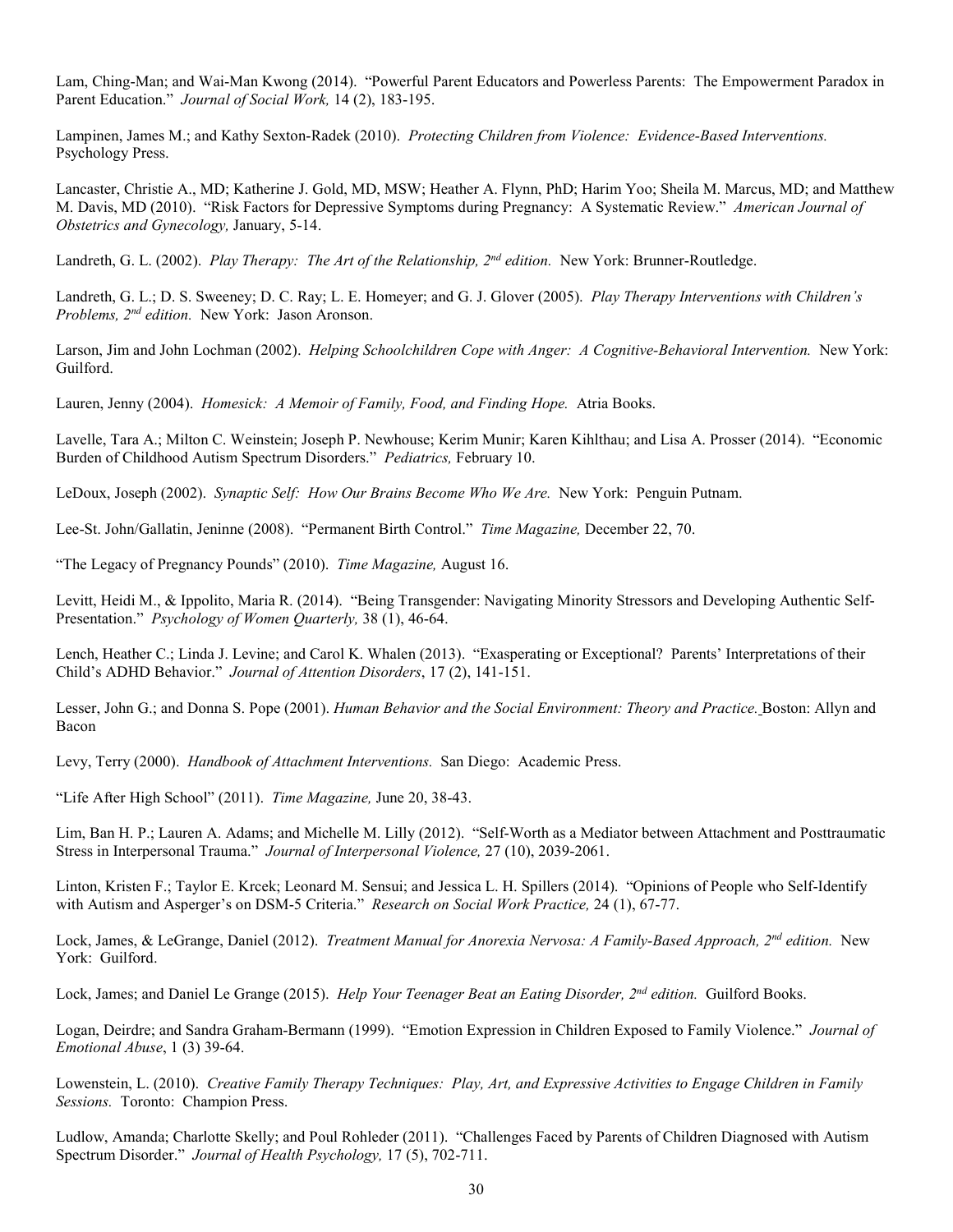Lam, Ching-Man; and Wai-Man Kwong (2014). "Powerful Parent Educators and Powerless Parents: The Empowerment Paradox in Parent Education." *Journal of Social Work,* 14 (2), 183-195.

Lampinen, James M.; and Kathy Sexton-Radek (2010). *Protecting Children from Violence: Evidence-Based Interventions.*  Psychology Press.

Lancaster, Christie A., MD; Katherine J. Gold, MD, MSW; Heather A. Flynn, PhD; Harim Yoo; Sheila M. Marcus, MD; and Matthew M. Davis, MD (2010). "Risk Factors for Depressive Symptoms during Pregnancy: A Systematic Review." *American Journal of Obstetrics and Gynecology,* January, 5-14.

Landreth, G. L. (2002). *Play Therapy: The Art of the Relationship, 2nd edition.* New York: Brunner-Routledge.

Landreth, G. L.; D. S. Sweeney; D. C. Ray; L. E. Homeyer; and G. J. Glover (2005). *Play Therapy Interventions with Children's Problems, 2nd edition.* New York: Jason Aronson.

Larson, Jim and John Lochman (2002). *Helping Schoolchildren Cope with Anger: A Cognitive-Behavioral Intervention.* New York: Guilford.

Lauren, Jenny (2004). *Homesick: A Memoir of Family, Food, and Finding Hope.* Atria Books.

Lavelle, Tara A.; Milton C. Weinstein; Joseph P. Newhouse; Kerim Munir; Karen Kihlthau; and Lisa A. Prosser (2014). "Economic Burden of Childhood Autism Spectrum Disorders." *Pediatrics,* February 10.

LeDoux, Joseph (2002). *Synaptic Self: How Our Brains Become Who We Are.* New York: Penguin Putnam.

Lee-St. John/Gallatin, Jeninne (2008). "Permanent Birth Control." *Time Magazine,* December 22, 70.

"The Legacy of Pregnancy Pounds" (2010). *Time Magazine,* August 16.

Levitt, Heidi M., & Ippolito, Maria R. (2014). "Being Transgender: Navigating Minority Stressors and Developing Authentic Self-Presentation." *Psychology of Women Quarterly,* 38 (1), 46-64.

Lench, Heather C.; Linda J. Levine; and Carol K. Whalen (2013). "Exasperating or Exceptional? Parents' Interpretations of their Child's ADHD Behavior." *Journal of Attention Disorders*, 17 (2), 141-151.

Lesser, John G.; and Donna S. Pope (2001). *Human Behavior and the Social Environment: Theory and Practice.* Boston: Allyn and Bacon

Levy, Terry (2000). *Handbook of Attachment Interventions.* San Diego: Academic Press.

"Life After High School" (2011). *Time Magazine,* June 20, 38-43.

Lim, Ban H. P.; Lauren A. Adams; and Michelle M. Lilly (2012). "Self-Worth as a Mediator between Attachment and Posttraumatic Stress in Interpersonal Trauma." *Journal of Interpersonal Violence,* 27 (10), 2039-2061.

Linton, Kristen F.; Taylor E. Krcek; Leonard M. Sensui; and Jessica L. H. Spillers (2014). "Opinions of People who Self-Identify with Autism and Asperger's on DSM-5 Criteria." *Research on Social Work Practice,* 24 (1), 67-77.

Lock, James, & LeGrange, Daniel (2012). *Treatment Manual for Anorexia Nervosa: A Family-Based Approach, 2nd edition.* New York: Guilford.

Lock, James; and Daniel Le Grange (2015). *Help Your Teenager Beat an Eating Disorder, 2nd edition.* Guilford Books.

Logan, Deirdre; and Sandra Graham-Bermann (1999). "Emotion Expression in Children Exposed to Family Violence." *Journal of Emotional Abuse*, 1 (3) 39-64.

 Lowenstein, L. (2010). *Creative Family Therapy Techniques: Play, Art, and Expressive Activities to Engage Children in Family Sessions.* Toronto: Champion Press.

Ludlow, Amanda; Charlotte Skelly; and Poul Rohleder (2011). "Challenges Faced by Parents of Children Diagnosed with Autism Spectrum Disorder." *Journal of Health Psychology,* 17 (5), 702-711.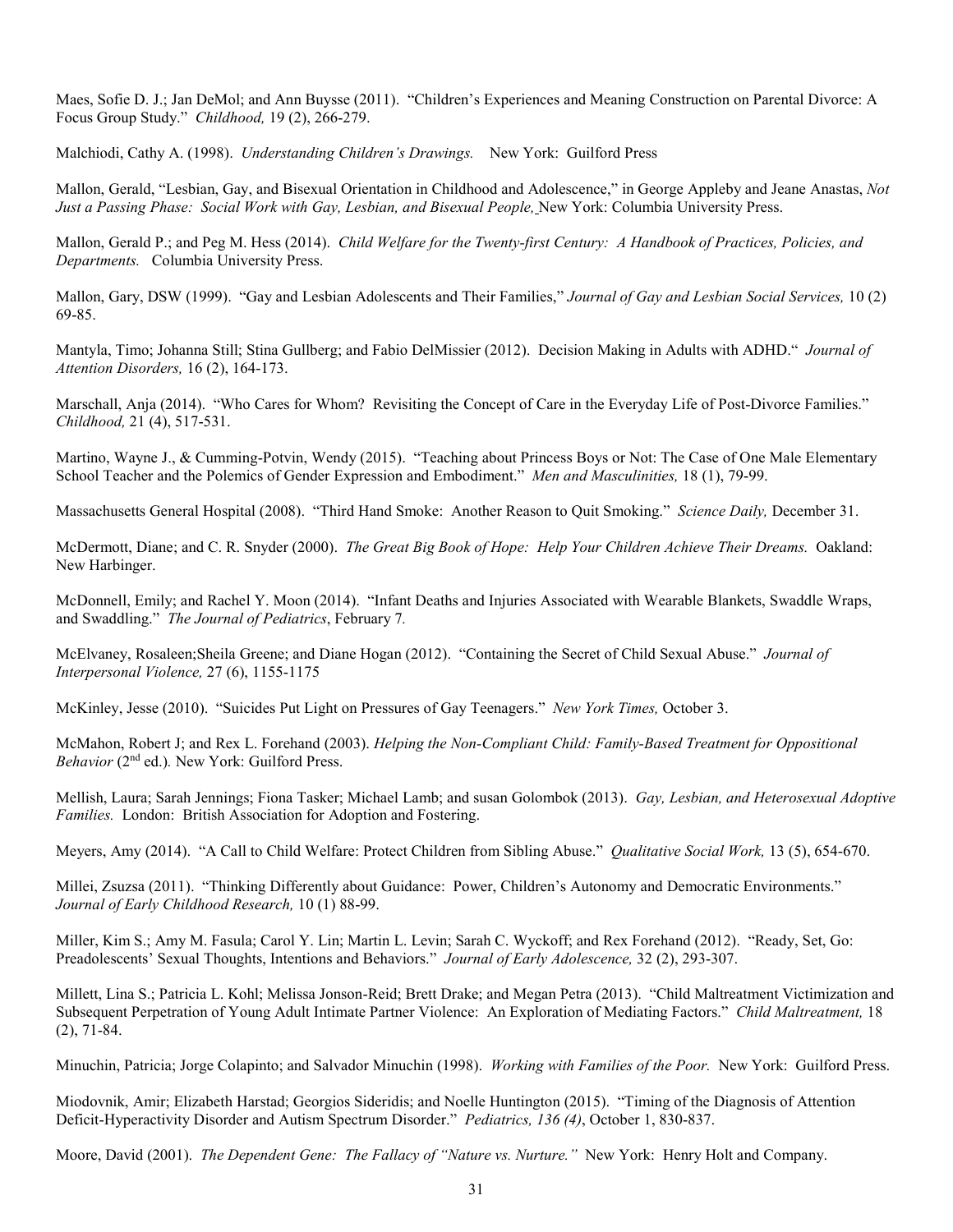Maes, Sofie D. J.; Jan DeMol; and Ann Buysse (2011). "Children's Experiences and Meaning Construction on Parental Divorce: A Focus Group Study." *Childhood,* 19 (2), 266-279.

Malchiodi, Cathy A. (1998). *Understanding Children's Drawings.* New York: Guilford Press

Mallon, Gerald, "Lesbian, Gay, and Bisexual Orientation in Childhood and Adolescence," in George Appleby and Jeane Anastas, *Not Just a Passing Phase: Social Work with Gay, Lesbian, and Bisexual People,* New York: Columbia University Press.

Mallon, Gerald P.; and Peg M. Hess (2014). *Child Welfare for the Twenty-first Century: A Handbook of Practices, Policies, and Departments.* Columbia University Press.

Mallon, Gary, DSW (1999). "Gay and Lesbian Adolescents and Their Families," *Journal of Gay and Lesbian Social Services,* 10 (2) 69-85.

Mantyla, Timo; Johanna Still; Stina Gullberg; and Fabio DelMissier (2012). Decision Making in Adults with ADHD." *Journal of Attention Disorders,* 16 (2), 164-173.

Marschall, Anja (2014). "Who Cares for Whom? Revisiting the Concept of Care in the Everyday Life of Post-Divorce Families." *Childhood,* 21 (4), 517-531.

Martino, Wayne J., & Cumming-Potvin, Wendy (2015). "Teaching about Princess Boys or Not: The Case of One Male Elementary School Teacher and the Polemics of Gender Expression and Embodiment." *Men and Masculinities,* 18 (1), 79-99.

Massachusetts General Hospital (2008). "Third Hand Smoke: Another Reason to Quit Smoking." *Science Daily,* December 31.

McDermott, Diane; and C. R. Snyder (2000). *The Great Big Book of Hope: Help Your Children Achieve Their Dreams.* Oakland: New Harbinger.

McDonnell, Emily; and Rachel Y. Moon (2014). "Infant Deaths and Injuries Associated with Wearable Blankets, Swaddle Wraps, and Swaddling." *The Journal of Pediatrics*, February 7*.*

McElvaney, Rosaleen;Sheila Greene; and Diane Hogan (2012). "Containing the Secret of Child Sexual Abuse." *Journal of Interpersonal Violence,* 27 (6), 1155-1175

McKinley, Jesse (2010). "Suicides Put Light on Pressures of Gay Teenagers." *New York Times,* October 3.

McMahon, Robert J; and Rex L. Forehand (2003). *Helping the Non-Compliant Child: Family-Based Treatment for Oppositional Behavior* (2nd ed.)*.* New York: Guilford Press.

Mellish, Laura; Sarah Jennings; Fiona Tasker; Michael Lamb; and susan Golombok (2013). *Gay, Lesbian, and Heterosexual Adoptive Families.* London: British Association for Adoption and Fostering.

Meyers, Amy (2014). "A Call to Child Welfare: Protect Children from Sibling Abuse." *Qualitative Social Work,* 13 (5), 654-670.

Millei, Zsuzsa (2011). "Thinking Differently about Guidance: Power, Children's Autonomy and Democratic Environments." *Journal of Early Childhood Research,* 10 (1) 88-99.

Miller, Kim S.; Amy M. Fasula; Carol Y. Lin; Martin L. Levin; Sarah C. Wyckoff; and Rex Forehand (2012). "Ready, Set, Go: Preadolescents' Sexual Thoughts, Intentions and Behaviors." *Journal of Early Adolescence,* 32 (2), 293-307.

Millett, Lina S.; Patricia L. Kohl; Melissa Jonson-Reid; Brett Drake; and Megan Petra (2013). "Child Maltreatment Victimization and Subsequent Perpetration of Young Adult Intimate Partner Violence: An Exploration of Mediating Factors." *Child Maltreatment,* 18 (2), 71-84.

Minuchin, Patricia; Jorge Colapinto; and Salvador Minuchin (1998). *Working with Families of the Poor.* New York: Guilford Press.

Miodovnik, Amir; Elizabeth Harstad; Georgios Sideridis; and Noelle Huntington (2015). "Timing of the Diagnosis of Attention Deficit-Hyperactivity Disorder and Autism Spectrum Disorder." *Pediatrics, 136 (4)*, October 1, 830-837.

Moore, David (2001). *The Dependent Gene: The Fallacy of "Nature vs. Nurture."* New York: Henry Holt and Company.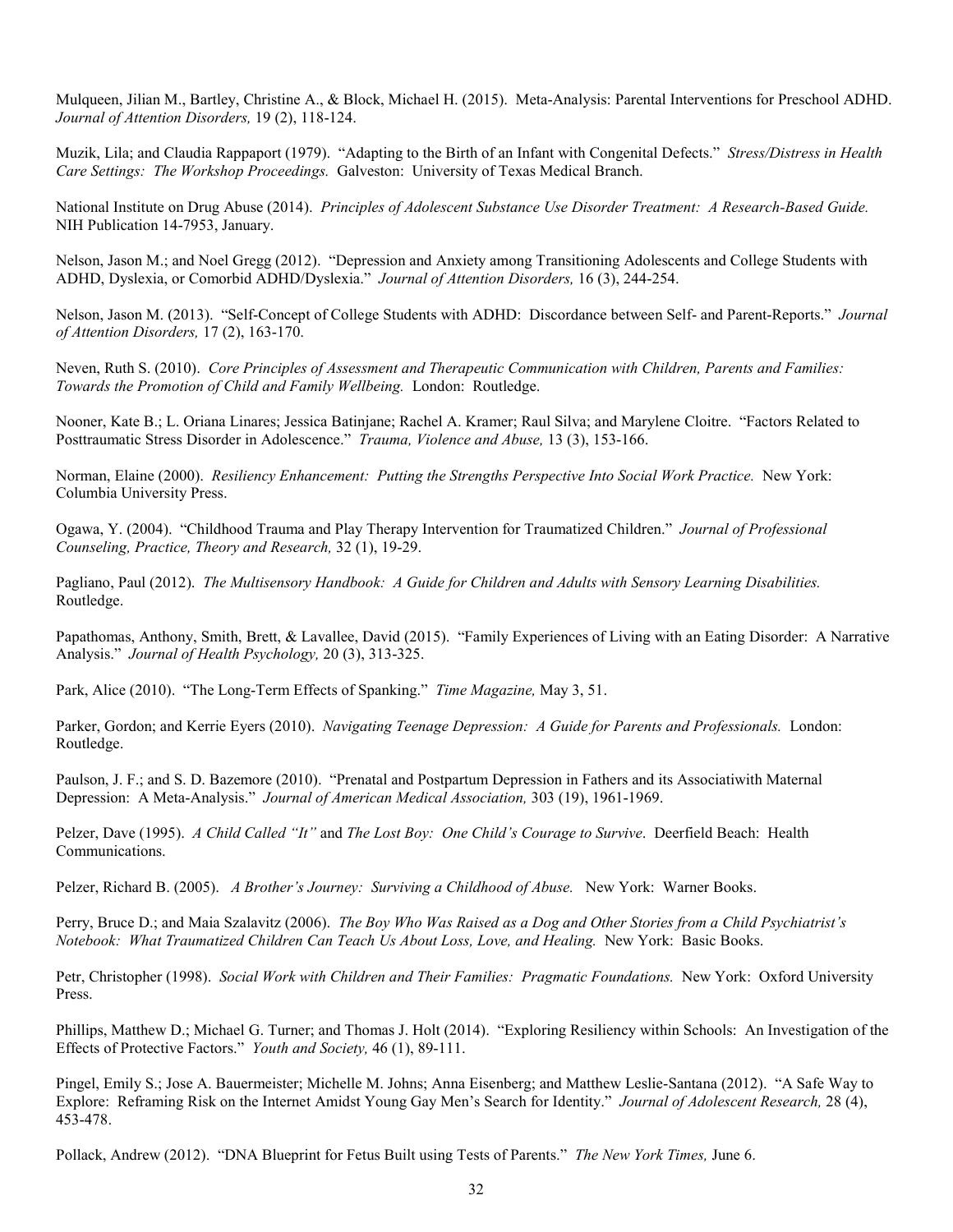Mulqueen, Jilian M., Bartley, Christine A., & Block, Michael H. (2015). Meta-Analysis: Parental Interventions for Preschool ADHD. *Journal of Attention Disorders,* 19 (2), 118-124.

Muzik, Lila; and Claudia Rappaport (1979). "Adapting to the Birth of an Infant with Congenital Defects." *Stress/Distress in Health Care Settings: The Workshop Proceedings.* Galveston: University of Texas Medical Branch.

National Institute on Drug Abuse (2014). *Principles of Adolescent Substance Use Disorder Treatment: A Research-Based Guide.*  NIH Publication 14-7953, January.

Nelson, Jason M.; and Noel Gregg (2012). "Depression and Anxiety among Transitioning Adolescents and College Students with ADHD, Dyslexia, or Comorbid ADHD/Dyslexia." *Journal of Attention Disorders,* 16 (3), 244-254.

Nelson, Jason M. (2013). "Self-Concept of College Students with ADHD: Discordance between Self- and Parent-Reports." *Journal of Attention Disorders,* 17 (2), 163-170.

Neven, Ruth S. (2010). *Core Principles of Assessment and Therapeutic Communication with Children, Parents and Families: Towards the Promotion of Child and Family Wellbeing.* London: Routledge.

Nooner, Kate B.; L. Oriana Linares; Jessica Batinjane; Rachel A. Kramer; Raul Silva; and Marylene Cloitre. "Factors Related to Posttraumatic Stress Disorder in Adolescence." *Trauma, Violence and Abuse,* 13 (3), 153-166.

Norman, Elaine (2000). *Resiliency Enhancement: Putting the Strengths Perspective Into Social Work Practice.* New York: Columbia University Press.

Ogawa, Y. (2004). "Childhood Trauma and Play Therapy Intervention for Traumatized Children." *Journal of Professional Counseling, Practice, Theory and Research,* 32 (1), 19-29.

Pagliano, Paul (2012). *The Multisensory Handbook: A Guide for Children and Adults with Sensory Learning Disabilities.* Routledge.

Papathomas, Anthony, Smith, Brett, & Lavallee, David (2015). "Family Experiences of Living with an Eating Disorder: A Narrative Analysis." *Journal of Health Psychology,* 20 (3), 313-325.

Park, Alice (2010). "The Long-Term Effects of Spanking." *Time Magazine,* May 3, 51.

Parker, Gordon; and Kerrie Eyers (2010). *Navigating Teenage Depression: A Guide for Parents and Professionals.* London: Routledge.

 Paulson, J. F.; and S. D. Bazemore (2010). "Prenatal and Postpartum Depression in Fathers and its Associatiwith Maternal Depression: A Meta-Analysis." *Journal of American Medical Association,* 303 (19), 1961-1969.

Pelzer, Dave (1995). *A Child Called "It"* and *The Lost Boy: One Child's Courage to Survive*. Deerfield Beach: Health Communications.

Pelzer, Richard B. (2005). *A Brother's Journey: Surviving a Childhood of Abuse.* New York: Warner Books.

Perry, Bruce D.; and Maia Szalavitz (2006). *The Boy Who Was Raised as a Dog and Other Stories from a Child Psychiatrist's Notebook: What Traumatized Children Can Teach Us About Loss, Love, and Healing.* New York: Basic Books.

Petr, Christopher (1998). *Social Work with Children and Their Families: Pragmatic Foundations.* New York: Oxford University Press.

Phillips, Matthew D.; Michael G. Turner; and Thomas J. Holt (2014). "Exploring Resiliency within Schools: An Investigation of the Effects of Protective Factors." *Youth and Society,* 46 (1), 89-111.

Pingel, Emily S.; Jose A. Bauermeister; Michelle M. Johns; Anna Eisenberg; and Matthew Leslie-Santana (2012). "A Safe Way to Explore: Reframing Risk on the Internet Amidst Young Gay Men's Search for Identity." *Journal of Adolescent Research,* 28 (4), 453-478.

Pollack, Andrew (2012). "DNA Blueprint for Fetus Built using Tests of Parents." *The New York Times,* June 6.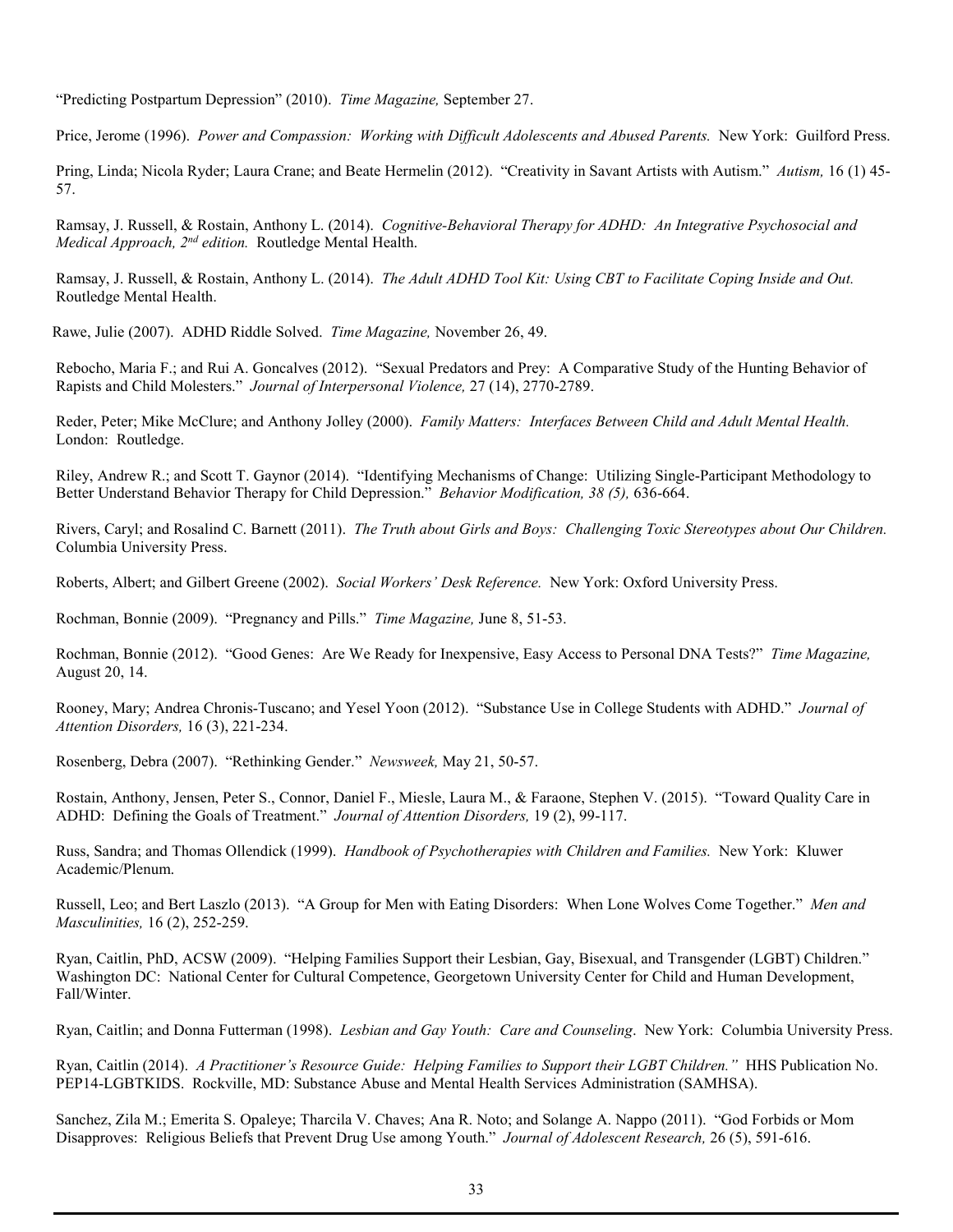"Predicting Postpartum Depression" (2010). *Time Magazine,* September 27.

Price, Jerome (1996). *Power and Compassion: Working with Difficult Adolescents and Abused Parents.* New York: Guilford Press.

Pring, Linda; Nicola Ryder; Laura Crane; and Beate Hermelin (2012). "Creativity in Savant Artists with Autism." *Autism,* 16 (1) 45- 57.

Ramsay, J. Russell, & Rostain, Anthony L. (2014). *Cognitive-Behavioral Therapy for ADHD: An Integrative Psychosocial and Medical Approach, 2nd edition.* Routledge Mental Health.

Ramsay, J. Russell, & Rostain, Anthony L. (2014). *The Adult ADHD Tool Kit: Using CBT to Facilitate Coping Inside and Out.* Routledge Mental Health.

Rawe, Julie (2007). ADHD Riddle Solved. *Time Magazine,* November 26, 49.

Rebocho, Maria F.; and Rui A. Goncalves (2012). "Sexual Predators and Prey: A Comparative Study of the Hunting Behavior of Rapists and Child Molesters." *Journal of Interpersonal Violence,* 27 (14), 2770-2789.

Reder, Peter; Mike McClure; and Anthony Jolley (2000). *Family Matters: Interfaces Between Child and Adult Mental Health.*  London: Routledge.

Riley, Andrew R.; and Scott T. Gaynor (2014). "Identifying Mechanisms of Change: Utilizing Single-Participant Methodology to Better Understand Behavior Therapy for Child Depression." *Behavior Modification, 38 (5),* 636-664.

Rivers, Caryl; and Rosalind C. Barnett (2011). *The Truth about Girls and Boys: Challenging Toxic Stereotypes about Our Children.* Columbia University Press.

Roberts, Albert; and Gilbert Greene (2002). *Social Workers' Desk Reference.* New York: Oxford University Press.

Rochman, Bonnie (2009). "Pregnancy and Pills." *Time Magazine,* June 8, 51-53.

Rochman, Bonnie (2012). "Good Genes: Are We Ready for Inexpensive, Easy Access to Personal DNA Tests?" *Time Magazine,* August 20, 14.

Rooney, Mary; Andrea Chronis-Tuscano; and Yesel Yoon (2012). "Substance Use in College Students with ADHD." *Journal of Attention Disorders,* 16 (3), 221-234.

Rosenberg, Debra (2007). "Rethinking Gender." *Newsweek,* May 21, 50-57.

Rostain, Anthony, Jensen, Peter S., Connor, Daniel F., Miesle, Laura M., & Faraone, Stephen V. (2015). "Toward Quality Care in ADHD: Defining the Goals of Treatment." *Journal of Attention Disorders,* 19 (2), 99-117.

Russ, Sandra; and Thomas Ollendick (1999). *Handbook of Psychotherapies with Children and Families.* New York: Kluwer Academic/Plenum.

Russell, Leo; and Bert Laszlo (2013). "A Group for Men with Eating Disorders: When Lone Wolves Come Together." *Men and Masculinities,* 16 (2), 252-259.

Ryan, Caitlin, PhD, ACSW (2009). "Helping Families Support their Lesbian, Gay, Bisexual, and Transgender (LGBT) Children." Washington DC: National Center for Cultural Competence, Georgetown University Center for Child and Human Development, Fall/Winter.

Ryan, Caitlin; and Donna Futterman (1998). *Lesbian and Gay Youth: Care and Counseling*. New York: Columbia University Press.

Ryan, Caitlin (2014). *A Practitioner's Resource Guide: Helping Families to Support their LGBT Children."* HHS Publication No. PEP14-LGBTKIDS. Rockville, MD: Substance Abuse and Mental Health Services Administration (SAMHSA).

Sanchez, Zila M.; Emerita S. Opaleye; Tharcila V. Chaves; Ana R. Noto; and Solange A. Nappo (2011). "God Forbids or Mom Disapproves: Religious Beliefs that Prevent Drug Use among Youth." *Journal of Adolescent Research,* 26 (5), 591-616.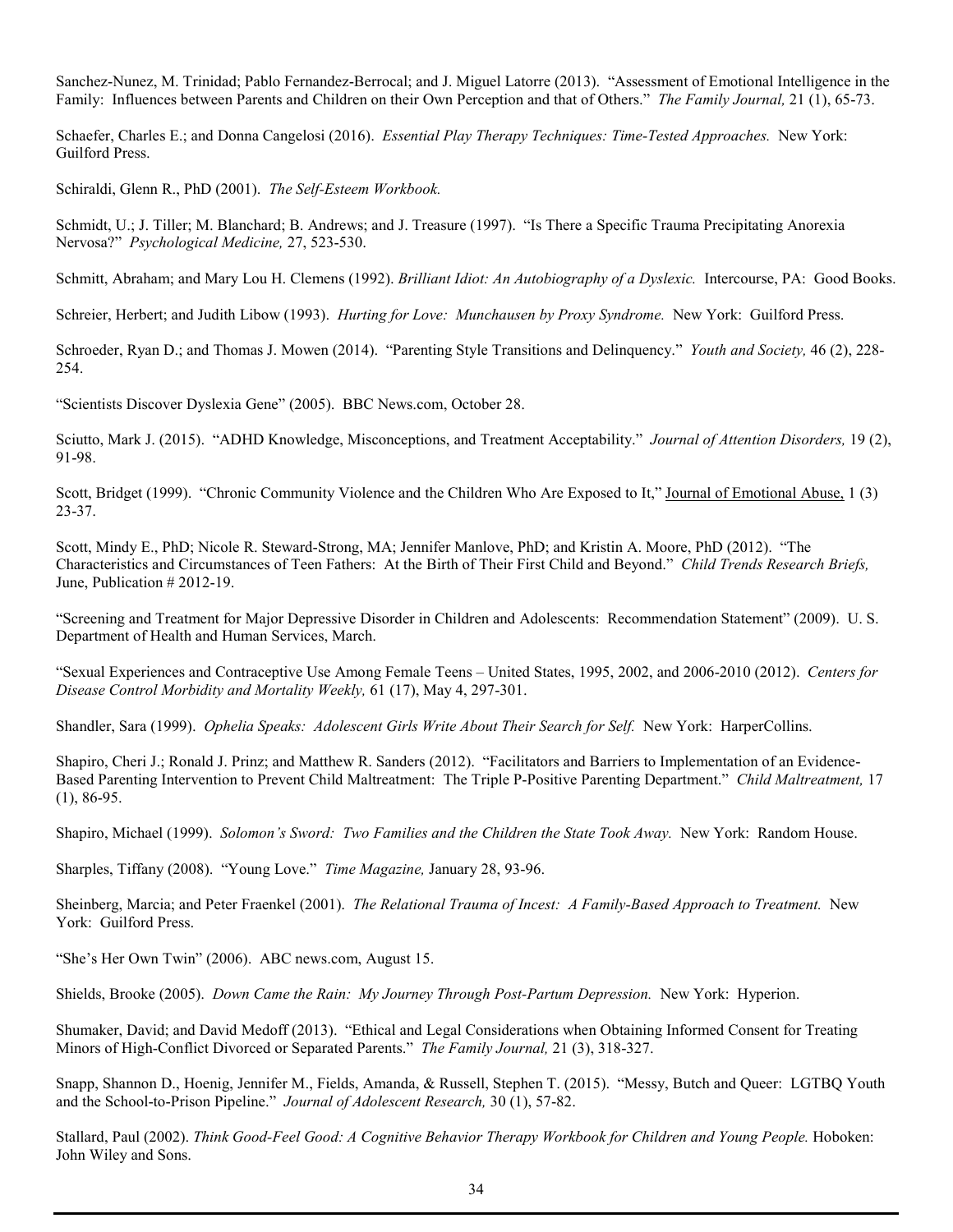Sanchez-Nunez, M. Trinidad; Pablo Fernandez-Berrocal; and J. Miguel Latorre (2013). "Assessment of Emotional Intelligence in the Family: Influences between Parents and Children on their Own Perception and that of Others." *The Family Journal,* 21 (1), 65-73.

Schaefer, Charles E.; and Donna Cangelosi (2016). *Essential Play Therapy Techniques: Time-Tested Approaches.* New York: Guilford Press.

Schiraldi, Glenn R., PhD (2001). *The Self-Esteem Workbook.*

Schmidt, U.; J. Tiller; M. Blanchard; B. Andrews; and J. Treasure (1997). "Is There a Specific Trauma Precipitating Anorexia Nervosa?" *Psychological Medicine,* 27, 523-530.

Schmitt, Abraham; and Mary Lou H. Clemens (1992). *Brilliant Idiot: An Autobiography of a Dyslexic.* Intercourse, PA: Good Books.

Schreier, Herbert; and Judith Libow (1993). *Hurting for Love: Munchausen by Proxy Syndrome.* New York: Guilford Press.

Schroeder, Ryan D.; and Thomas J. Mowen (2014). "Parenting Style Transitions and Delinquency." *Youth and Society,* 46 (2), 228- 254.

"Scientists Discover Dyslexia Gene" (2005). BBC News.com, October 28.

Sciutto, Mark J. (2015). "ADHD Knowledge, Misconceptions, and Treatment Acceptability." *Journal of Attention Disorders,* 19 (2), 91-98.

Scott, Bridget (1999). "Chronic Community Violence and the Children Who Are Exposed to It," Journal of Emotional Abuse, 1 (3) 23-37.

Scott, Mindy E., PhD; Nicole R. Steward-Strong, MA; Jennifer Manlove, PhD; and Kristin A. Moore, PhD (2012). "The Characteristics and Circumstances of Teen Fathers: At the Birth of Their First Child and Beyond." *Child Trends Research Briefs,* June, Publication # 2012-19.

"Screening and Treatment for Major Depressive Disorder in Children and Adolescents: Recommendation Statement" (2009). U. S. Department of Health and Human Services, March.

"Sexual Experiences and Contraceptive Use Among Female Teens – United States, 1995, 2002, and 2006-2010 (2012). *Centers for Disease Control Morbidity and Mortality Weekly,* 61 (17), May 4, 297-301.

Shandler, Sara (1999). *Ophelia Speaks: Adolescent Girls Write About Their Search for Self.* New York: HarperCollins.

Shapiro, Cheri J.; Ronald J. Prinz; and Matthew R. Sanders (2012). "Facilitators and Barriers to Implementation of an Evidence-Based Parenting Intervention to Prevent Child Maltreatment: The Triple P-Positive Parenting Department." *Child Maltreatment,* 17 (1), 86-95.

Shapiro, Michael (1999). *Solomon's Sword: Two Families and the Children the State Took Away.* New York: Random House.

Sharples, Tiffany (2008). "Young Love." *Time Magazine,* January 28, 93-96.

Sheinberg, Marcia; and Peter Fraenkel (2001). *The Relational Trauma of Incest: A Family-Based Approach to Treatment.* New York: Guilford Press.

"She's Her Own Twin" (2006). ABC news.com, August 15.

Shields, Brooke (2005). *Down Came the Rain: My Journey Through Post-Partum Depression.* New York: Hyperion.

Shumaker, David; and David Medoff (2013). "Ethical and Legal Considerations when Obtaining Informed Consent for Treating Minors of High-Conflict Divorced or Separated Parents." *The Family Journal,* 21 (3), 318-327.

Snapp, Shannon D., Hoenig, Jennifer M., Fields, Amanda, & Russell, Stephen T. (2015). "Messy, Butch and Queer: LGTBQ Youth and the School-to-Prison Pipeline." *Journal of Adolescent Research,* 30 (1), 57-82.

Stallard, Paul (2002). *Think Good-Feel Good: A Cognitive Behavior Therapy Workbook for Children and Young People.* Hoboken: John Wiley and Sons.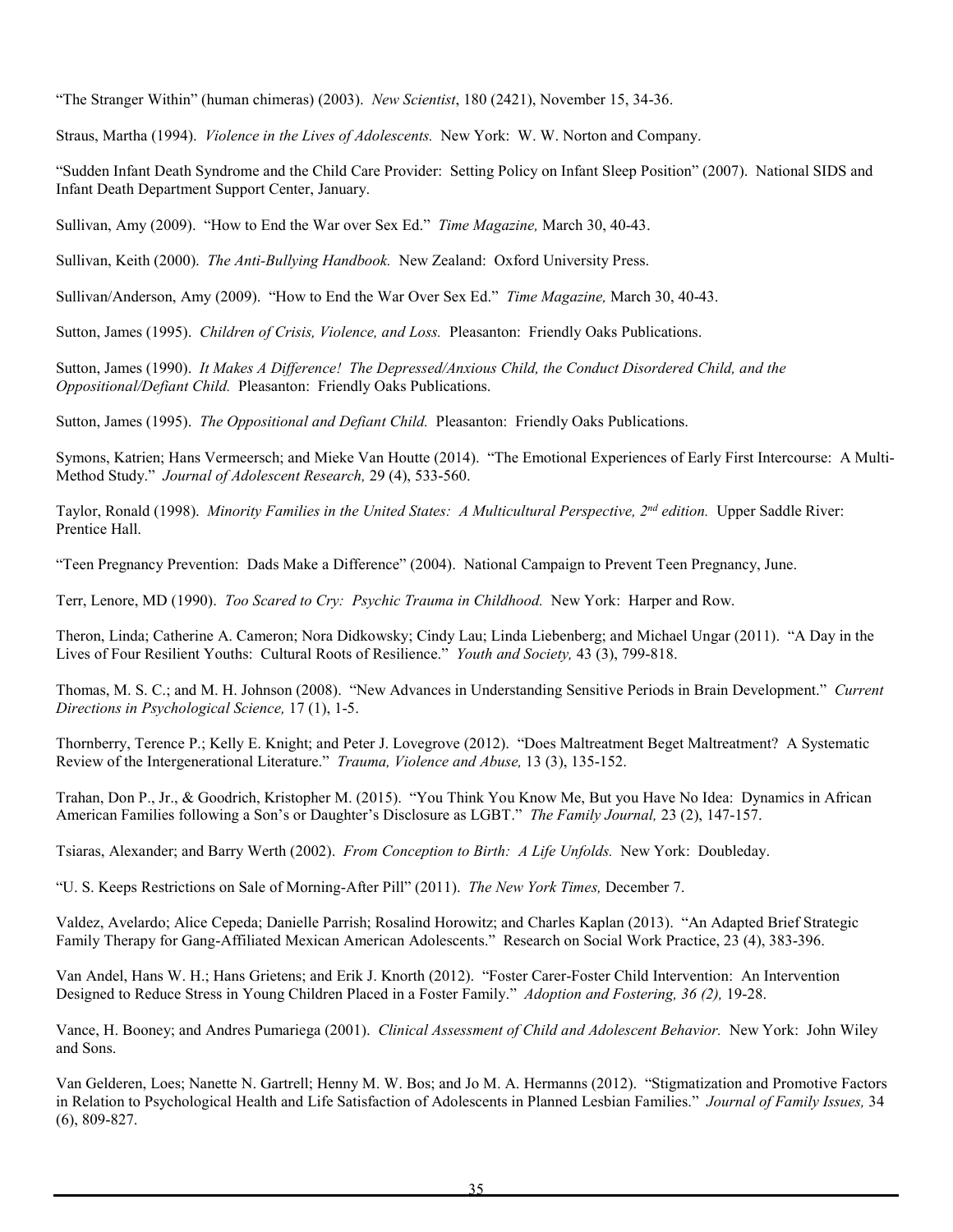"The Stranger Within" (human chimeras) (2003). *New Scientist*, 180 (2421), November 15, 34-36.

Straus, Martha (1994). *Violence in the Lives of Adolescents.* New York: W. W. Norton and Company.

"Sudden Infant Death Syndrome and the Child Care Provider: Setting Policy on Infant Sleep Position" (2007). National SIDS and Infant Death Department Support Center, January.

Sullivan, Amy (2009). "How to End the War over Sex Ed." *Time Magazine,* March 30, 40-43.

Sullivan, Keith (2000). *The Anti-Bullying Handbook.* New Zealand: Oxford University Press.

Sullivan/Anderson, Amy (2009). "How to End the War Over Sex Ed." *Time Magazine,* March 30, 40-43.

Sutton, James (1995). *Children of Crisis, Violence, and Loss.* Pleasanton: Friendly Oaks Publications.

Sutton, James (1990). *It Makes A Difference! The Depressed/Anxious Child, the Conduct Disordered Child, and the Oppositional/Defiant Child.* Pleasanton: Friendly Oaks Publications.

Sutton, James (1995). *The Oppositional and Defiant Child.* Pleasanton: Friendly Oaks Publications.

Symons, Katrien; Hans Vermeersch; and Mieke Van Houtte (2014). "The Emotional Experiences of Early First Intercourse: A Multi-Method Study." *Journal of Adolescent Research,* 29 (4), 533-560.

Taylor, Ronald (1998). *Minority Families in the United States: A Multicultural Perspective, 2nd edition.* Upper Saddle River: Prentice Hall.

"Teen Pregnancy Prevention: Dads Make a Difference" (2004). National Campaign to Prevent Teen Pregnancy, June.

Terr, Lenore, MD (1990). *Too Scared to Cry: Psychic Trauma in Childhood.* New York: Harper and Row.

Theron, Linda; Catherine A. Cameron; Nora Didkowsky; Cindy Lau; Linda Liebenberg; and Michael Ungar (2011). "A Day in the Lives of Four Resilient Youths: Cultural Roots of Resilience." *Youth and Society,* 43 (3), 799-818.

Thomas, M. S. C.; and M. H. Johnson (2008). "New Advances in Understanding Sensitive Periods in Brain Development." *Current Directions in Psychological Science,* 17 (1), 1-5.

Thornberry, Terence P.; Kelly E. Knight; and Peter J. Lovegrove (2012). "Does Maltreatment Beget Maltreatment? A Systematic Review of the Intergenerational Literature." *Trauma, Violence and Abuse,* 13 (3), 135-152.

Trahan, Don P., Jr., & Goodrich, Kristopher M. (2015). "You Think You Know Me, But you Have No Idea: Dynamics in African American Families following a Son's or Daughter's Disclosure as LGBT." *The Family Journal,* 23 (2), 147-157.

Tsiaras, Alexander; and Barry Werth (2002). *From Conception to Birth: A Life Unfolds.* New York: Doubleday.

"U. S. Keeps Restrictions on Sale of Morning-After Pill" (2011). *The New York Times,* December 7.

Valdez, Avelardo; Alice Cepeda; Danielle Parrish; Rosalind Horowitz; and Charles Kaplan (2013). "An Adapted Brief Strategic Family Therapy for Gang-Affiliated Mexican American Adolescents." Research on Social Work Practice, 23 (4), 383-396.

Van Andel, Hans W. H.; Hans Grietens; and Erik J. Knorth (2012). "Foster Carer-Foster Child Intervention: An Intervention Designed to Reduce Stress in Young Children Placed in a Foster Family." *Adoption and Fostering, 36 (2),* 19-28.

Vance, H. Booney; and Andres Pumariega (2001). *Clinical Assessment of Child and Adolescent Behavior.* New York: John Wiley and Sons.

Van Gelderen, Loes; Nanette N. Gartrell; Henny M. W. Bos; and Jo M. A. Hermanns (2012). "Stigmatization and Promotive Factors in Relation to Psychological Health and Life Satisfaction of Adolescents in Planned Lesbian Families." *Journal of Family Issues,* 34 (6), 809-827.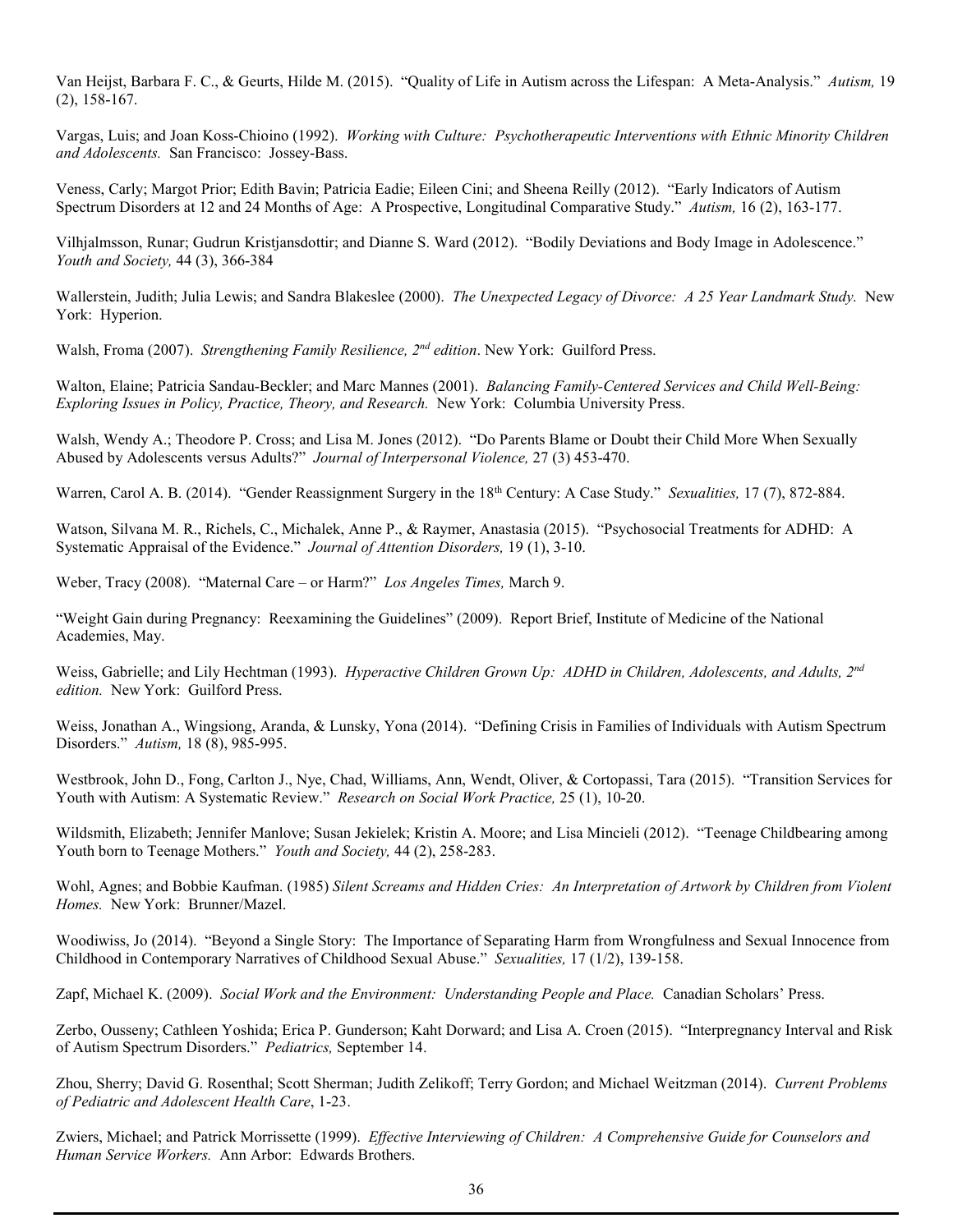Van Heijst, Barbara F. C., & Geurts, Hilde M. (2015). "Quality of Life in Autism across the Lifespan: A Meta-Analysis." *Autism,* 19 (2), 158-167.

Vargas, Luis; and Joan Koss-Chioino (1992). *Working with Culture: Psychotherapeutic Interventions with Ethnic Minority Children and Adolescents.* San Francisco: Jossey-Bass.

Veness, Carly; Margot Prior; Edith Bavin; Patricia Eadie; Eileen Cini; and Sheena Reilly (2012). "Early Indicators of Autism Spectrum Disorders at 12 and 24 Months of Age: A Prospective, Longitudinal Comparative Study." *Autism,* 16 (2), 163-177.

Vilhjalmsson, Runar; Gudrun Kristjansdottir; and Dianne S. Ward (2012). "Bodily Deviations and Body Image in Adolescence." *Youth and Society,* 44 (3), 366-384

Wallerstein, Judith; Julia Lewis; and Sandra Blakeslee (2000). *The Unexpected Legacy of Divorce: A 25 Year Landmark Study.* New York: Hyperion.

Walsh, Froma (2007). *Strengthening Family Resilience, 2nd edition*. New York: Guilford Press.

Walton, Elaine; Patricia Sandau-Beckler; and Marc Mannes (2001). *Balancing Family-Centered Services and Child Well-Being: Exploring Issues in Policy, Practice, Theory, and Research.* New York: Columbia University Press.

Walsh, Wendy A.; Theodore P. Cross; and Lisa M. Jones (2012). "Do Parents Blame or Doubt their Child More When Sexually Abused by Adolescents versus Adults?" *Journal of Interpersonal Violence,* 27 (3) 453-470.

Warren, Carol A. B. (2014). "Gender Reassignment Surgery in the 18<sup>th</sup> Century: A Case Study." *Sexualities*, 17 (7), 872-884.

Watson, Silvana M. R., Richels, C., Michalek, Anne P., & Raymer, Anastasia (2015). "Psychosocial Treatments for ADHD: A Systematic Appraisal of the Evidence." *Journal of Attention Disorders,* 19 (1), 3-10.

Weber, Tracy (2008). "Maternal Care – or Harm?" *Los Angeles Times,* March 9.

"Weight Gain during Pregnancy: Reexamining the Guidelines" (2009). Report Brief, Institute of Medicine of the National Academies, May.

Weiss, Gabrielle; and Lily Hechtman (1993). *Hyperactive Children Grown Up: ADHD in Children, Adolescents, and Adults, 2nd edition.* New York: Guilford Press.

Weiss, Jonathan A., Wingsiong, Aranda, & Lunsky, Yona (2014). "Defining Crisis in Families of Individuals with Autism Spectrum Disorders." *Autism,* 18 (8), 985-995.

Westbrook, John D., Fong, Carlton J., Nye, Chad, Williams, Ann, Wendt, Oliver, & Cortopassi, Tara (2015). "Transition Services for Youth with Autism: A Systematic Review." *Research on Social Work Practice,* 25 (1), 10-20.

Wildsmith, Elizabeth; Jennifer Manlove; Susan Jekielek; Kristin A. Moore; and Lisa Mincieli (2012). "Teenage Childbearing among Youth born to Teenage Mothers." *Youth and Society,* 44 (2), 258-283.

Wohl, Agnes; and Bobbie Kaufman. (1985) *Silent Screams and Hidden Cries: An Interpretation of Artwork by Children from Violent Homes.* New York: Brunner/Mazel.

Woodiwiss, Jo (2014). "Beyond a Single Story: The Importance of Separating Harm from Wrongfulness and Sexual Innocence from Childhood in Contemporary Narratives of Childhood Sexual Abuse." *Sexualities,* 17 (1/2), 139-158.

Zapf, Michael K. (2009). *Social Work and the Environment: Understanding People and Place.* Canadian Scholars' Press.

Zerbo, Ousseny; Cathleen Yoshida; Erica P. Gunderson; Kaht Dorward; and Lisa A. Croen (2015). "Interpregnancy Interval and Risk of Autism Spectrum Disorders." *Pediatrics,* September 14.

Zhou, Sherry; David G. Rosenthal; Scott Sherman; Judith Zelikoff; Terry Gordon; and Michael Weitzman (2014). *Current Problems of Pediatric and Adolescent Health Care*, 1-23.

Zwiers, Michael; and Patrick Morrissette (1999). *Effective Interviewing of Children: A Comprehensive Guide for Counselors and Human Service Workers.* Ann Arbor: Edwards Brothers.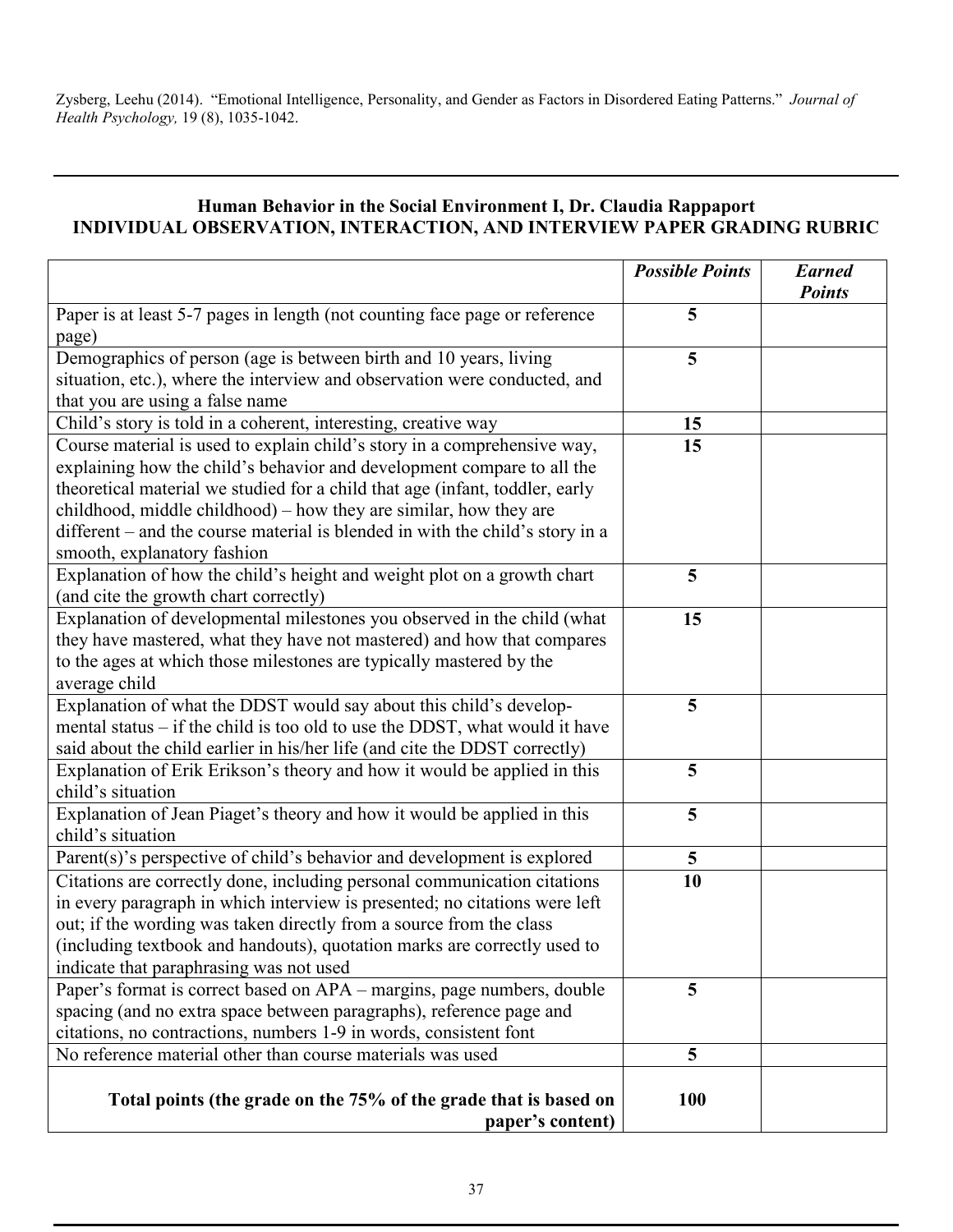Zysberg, Leehu (2014). "Emotional Intelligence, Personality, and Gender as Factors in Disordered Eating Patterns." *Journal of Health Psychology,* 19 (8), 1035-1042.

## **Human Behavior in the Social Environment I, Dr. Claudia Rappaport INDIVIDUAL OBSERVATION, INTERACTION, AND INTERVIEW PAPER GRADING RUBRIC**

|                                                                                                                                                                                                                                                                                                                                                                                          | <b>Possible Points</b> | <b>Earned</b><br><b>Points</b> |
|------------------------------------------------------------------------------------------------------------------------------------------------------------------------------------------------------------------------------------------------------------------------------------------------------------------------------------------------------------------------------------------|------------------------|--------------------------------|
| Paper is at least 5-7 pages in length (not counting face page or reference<br>page)                                                                                                                                                                                                                                                                                                      | 5                      |                                |
| Demographics of person (age is between birth and 10 years, living<br>situation, etc.), where the interview and observation were conducted, and                                                                                                                                                                                                                                           | 5                      |                                |
| that you are using a false name                                                                                                                                                                                                                                                                                                                                                          |                        |                                |
| Child's story is told in a coherent, interesting, creative way                                                                                                                                                                                                                                                                                                                           | 15                     |                                |
| Course material is used to explain child's story in a comprehensive way,<br>explaining how the child's behavior and development compare to all the<br>theoretical material we studied for a child that age (infant, toddler, early<br>childhood, middle childhood) – how they are similar, how they are<br>different – and the course material is blended in with the child's story in a | 15                     |                                |
| smooth, explanatory fashion                                                                                                                                                                                                                                                                                                                                                              |                        |                                |
| Explanation of how the child's height and weight plot on a growth chart<br>(and cite the growth chart correctly)                                                                                                                                                                                                                                                                         | 5                      |                                |
| Explanation of developmental milestones you observed in the child (what<br>they have mastered, what they have not mastered) and how that compares<br>to the ages at which those milestones are typically mastered by the<br>average child                                                                                                                                                | 15                     |                                |
| Explanation of what the DDST would say about this child's develop-<br>mental status - if the child is too old to use the DDST, what would it have<br>said about the child earlier in his/her life (and cite the DDST correctly)                                                                                                                                                          | 5                      |                                |
| Explanation of Erik Erikson's theory and how it would be applied in this<br>child's situation                                                                                                                                                                                                                                                                                            | 5                      |                                |
| Explanation of Jean Piaget's theory and how it would be applied in this<br>child's situation                                                                                                                                                                                                                                                                                             | 5                      |                                |
| Parent(s)'s perspective of child's behavior and development is explored                                                                                                                                                                                                                                                                                                                  | 5                      |                                |
| Citations are correctly done, including personal communication citations<br>in every paragraph in which interview is presented; no citations were left<br>out; if the wording was taken directly from a source from the class<br>(including textbook and handouts), quotation marks are correctly used to<br>indicate that paraphrasing was not used                                     | 10                     |                                |
| Paper's format is correct based on APA - margins, page numbers, double<br>spacing (and no extra space between paragraphs), reference page and<br>citations, no contractions, numbers 1-9 in words, consistent font                                                                                                                                                                       | 5                      |                                |
| No reference material other than course materials was used                                                                                                                                                                                                                                                                                                                               | 5                      |                                |
| Total points (the grade on the 75% of the grade that is based on<br>paper's content)                                                                                                                                                                                                                                                                                                     | <b>100</b>             |                                |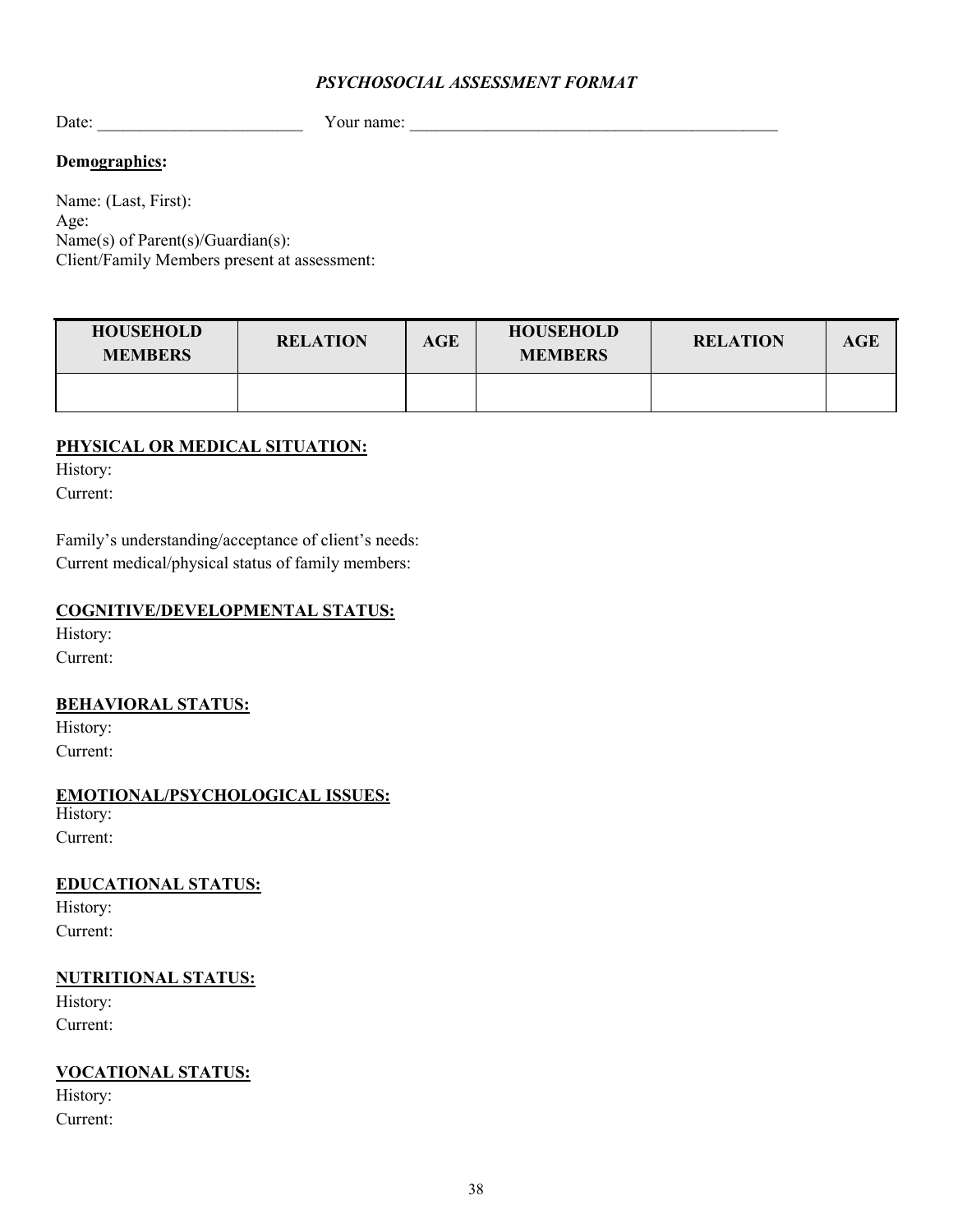#### *PSYCHOSOCIAL ASSESSMENT FORMAT*

Date: The example of  $\alpha$  your name:  $\alpha$ 

### **Demographics:**

Name: (Last, First): Age: Name(s) of Parent(s)/Guardian(s): Client/Family Members present at assessment:

| <b>HOUSEHOLD</b><br><b>MEMBERS</b> | <b>RELATION</b> | AGE | <b>HOUSEHOLD</b><br><b>MEMBERS</b> | <b>RELATION</b> | AGE |
|------------------------------------|-----------------|-----|------------------------------------|-----------------|-----|
|                                    |                 |     |                                    |                 |     |

### **PHYSICAL OR MEDICAL SITUATION:**

History:

Current:

Family's understanding/acceptance of client's needs: Current medical/physical status of family members:

### **COGNITIVE/DEVELOPMENTAL STATUS:**

History: Current:

### **BEHAVIORAL STATUS:**

History: Current:

**EMOTIONAL/PSYCHOLOGICAL ISSUES:**

History: Current:

## **EDUCATIONAL STATUS:**

History: Current:

### **NUTRITIONAL STATUS:**

History: Current:

## **VOCATIONAL STATUS:**

History: Current: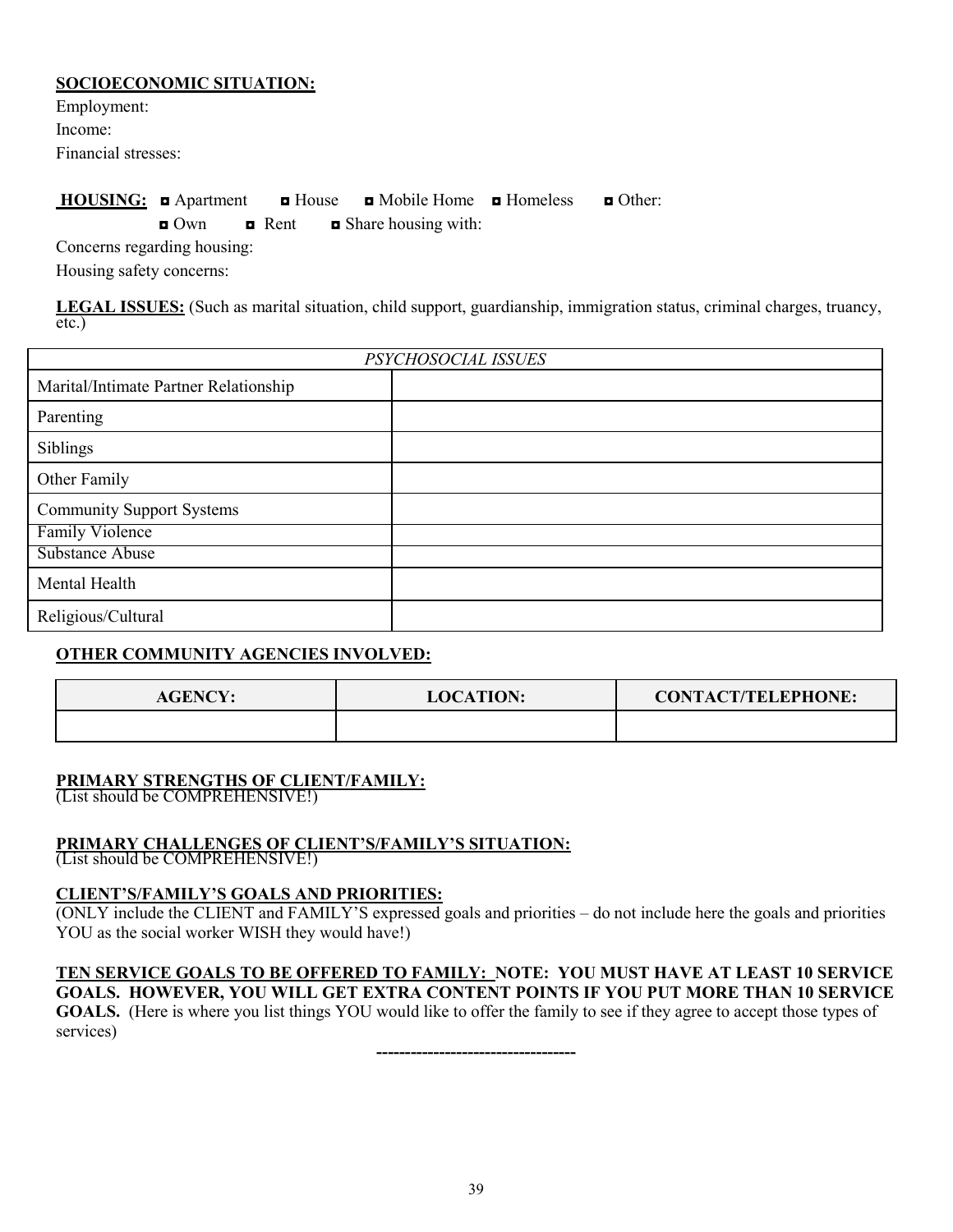#### **SOCIOECONOMIC SITUATION:**

Employment: Income: Financial stresses:

## **HOUSING:** ◘ Apartment ◘ House ◘ Mobile Home ◘ Homeless ◘ Other:

◘ Own ◘ Rent ◘ Share housing with:

Concerns regarding housing: Housing safety concerns:

**LEGAL ISSUES:** (Such as marital situation, child support, guardianship, immigration status, criminal charges, truancy, etc.)

| PSYCHOSOCIAL ISSUES                   |  |  |  |  |
|---------------------------------------|--|--|--|--|
| Marital/Intimate Partner Relationship |  |  |  |  |
| Parenting                             |  |  |  |  |
| Siblings                              |  |  |  |  |
| Other Family                          |  |  |  |  |
| <b>Community Support Systems</b>      |  |  |  |  |
| <b>Family Violence</b>                |  |  |  |  |
| Substance Abuse                       |  |  |  |  |
| Mental Health                         |  |  |  |  |
| Religious/Cultural                    |  |  |  |  |

## **OTHER COMMUNITY AGENCIES INVOLVED:**

| <b>AGENCY:</b> | <b>LOCATION:</b> | <b>CONTACT/TELEPHONE:</b> |
|----------------|------------------|---------------------------|
|                |                  |                           |

### **PRIMARY STRENGTHS OF CLIENT/FAMILY:**

(List should be COMPREHENSIVE!)

## **PRIMARY CHALLENGES OF CLIENT'S/FAMILY'S SITUATION:**

(List should be COMPREHENSIVE!)

### **CLIENT'S/FAMILY'S GOALS AND PRIORITIES:**

(ONLY include the CLIENT and FAMILY'S expressed goals and priorities – do not include here the goals and priorities YOU as the social worker WISH they would have!)

## **TEN SERVICE GOALS TO BE OFFERED TO FAMILY: NOTE: YOU MUST HAVE AT LEAST 10 SERVICE**

**GOALS. HOWEVER, YOU WILL GET EXTRA CONTENT POINTS IF YOU PUT MORE THAN 10 SERVICE GOALS.** (Here is where you list things YOU would like to offer the family to see if they agree to accept those types of services)

**-----------------------------------**

39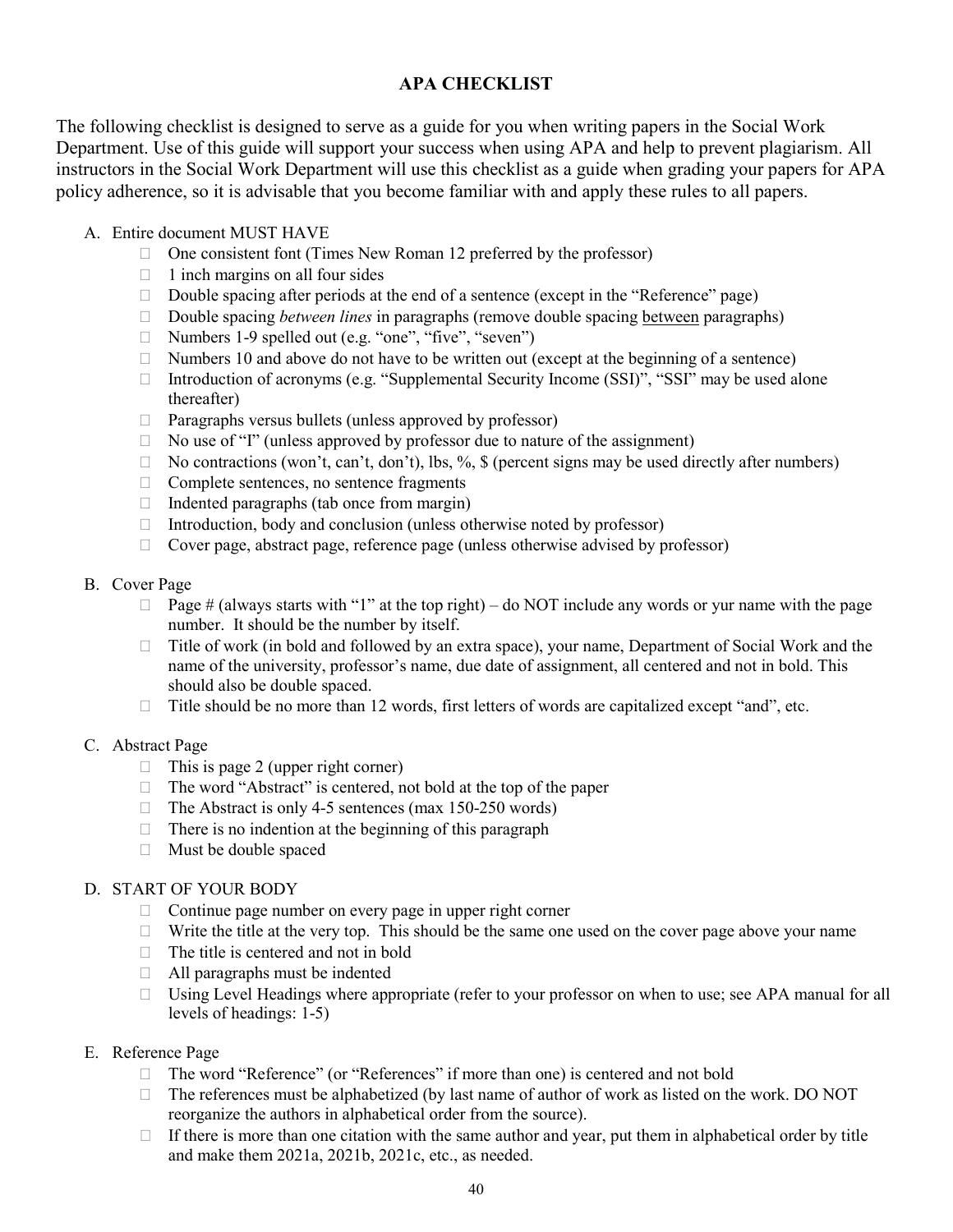## **APA CHECKLIST**

The following checklist is designed to serve as a guide for you when writing papers in the Social Work Department. Use of this guide will support your success when using APA and help to prevent plagiarism. All instructors in the Social Work Department will use this checklist as a guide when grading your papers for APA policy adherence, so it is advisable that you become familiar with and apply these rules to all papers.

- A. Entire document MUST HAVE
	- $\Box$  One consistent font (Times New Roman 12 preferred by the professor)
	- $\Box$  1 inch margins on all four sides
	- □ Double spacing after periods at the end of a sentence (except in the "Reference" page)
	- □ Double spacing *between lines* in paragraphs (remove double spacing <u>between</u> paragraphs)
	- $\Box$  Numbers 1-9 spelled out (e.g. "one", "five", "seven")
	- $\Box$  Numbers 10 and above do not have to be written out (except at the beginning of a sentence)
	- Introduction of acronyms (e.g. "Supplemental Security Income (SSI)", "SSI" may be used alone thereafter)
	- $\Box$  Paragraphs versus bullets (unless approved by professor)
	- □ No use of "I" (unless approved by professor due to nature of the assignment)
	- $\Box$  No contractions (won't, can't, don't), lbs, %, \$ (percent signs may be used directly after numbers)
	- $\Box$  Complete sentences, no sentence fragments
	- $\Box$  Indented paragraphs (tab once from margin)
	- $\Box$  Introduction, body and conclusion (unless otherwise noted by professor)
	- $\Box$  Cover page, abstract page, reference page (unless otherwise advised by professor)

#### B. Cover Page

- $\Box$  Page # (always starts with "1" at the top right) do NOT include any words or yur name with the page number. It should be the number by itself.
- Title of work (in bold and followed by an extra space), your name, Department of Social Work and the name of the university, professor's name, due date of assignment, all centered and not in bold. This should also be double spaced.
- $\Box$  Title should be no more than 12 words, first letters of words are capitalized except "and", etc.

#### C. Abstract Page

- $\Box$  This is page 2 (upper right corner)
- $\Box$  The word "Abstract" is centered, not bold at the top of the paper
- $\Box$  The Abstract is only 4-5 sentences (max 150-250 words)
- $\Box$  There is no indention at the beginning of this paragraph
- Must be double spaced

### D. START OF YOUR BODY

- $\Box$  Continue page number on every page in upper right corner
- $\Box$  Write the title at the very top. This should be the same one used on the cover page above your name
- $\Box$  The title is centered and not in bold
- $\Box$  All paragraphs must be indented
- $\Box$  Using Level Headings where appropriate (refer to your professor on when to use; see APA manual for all levels of headings: 1-5)

#### E. Reference Page

- $\Box$  The word "Reference" (or "References" if more than one) is centered and not bold
- $\Box$  The references must be alphabetized (by last name of author of work as listed on the work. DO NOT reorganize the authors in alphabetical order from the source).
- $\Box$  If there is more than one citation with the same author and year, put them in alphabetical order by title and make them 2021a, 2021b, 2021c, etc., as needed.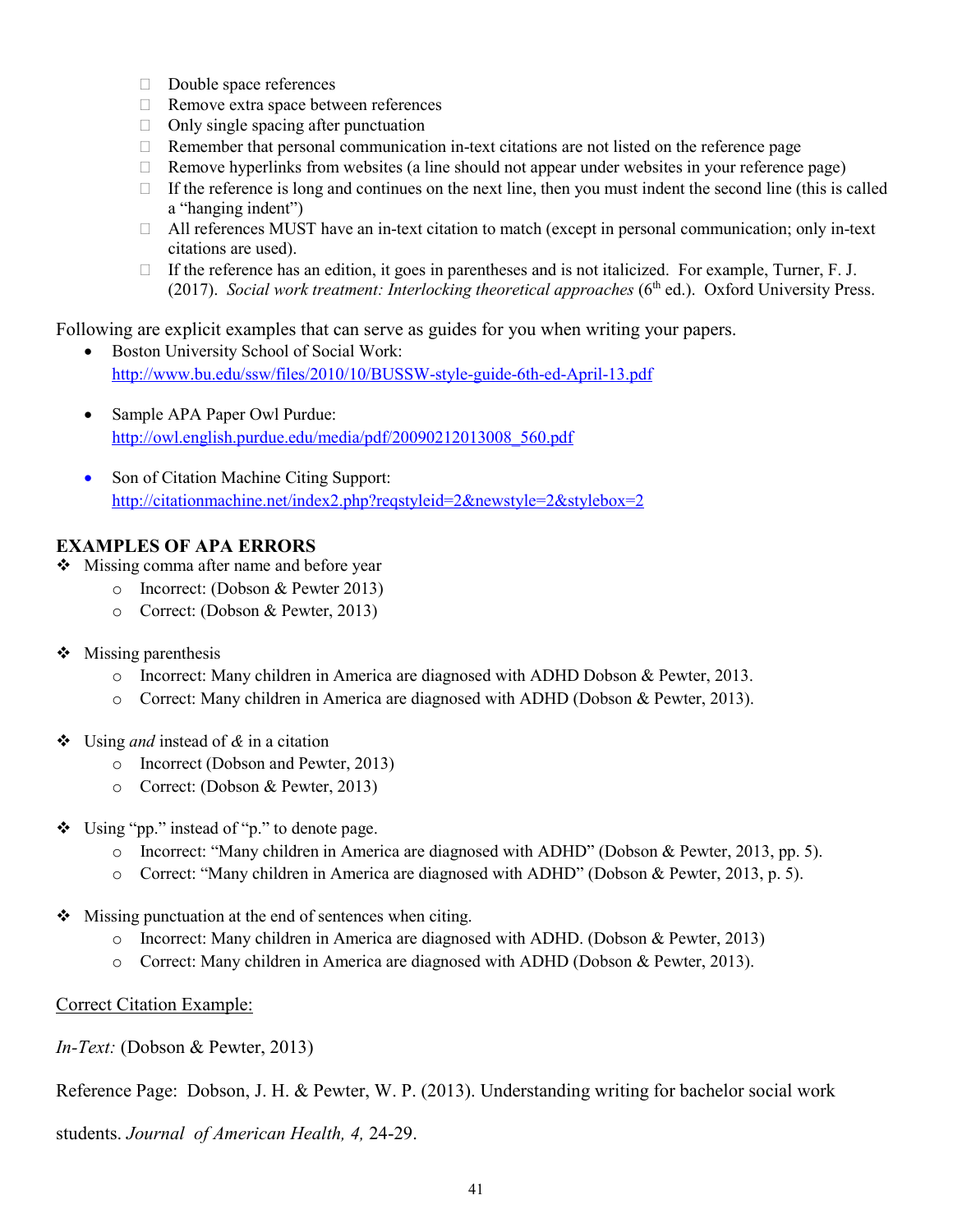- Double space references
- □ Remove extra space between references
- $\Box$  Only single spacing after punctuation
- $\Box$  Remember that personal communication in-text citations are not listed on the reference page
- $\Box$  Remove hyperlinks from websites (a line should not appear under websites in your reference page)
- $\Box$  If the reference is long and continues on the next line, then you must indent the second line (this is called a "hanging indent")
- $\Box$  All references MUST have an in-text citation to match (except in personal communication; only in-text citations are used).
- $\Box$  If the reference has an edition, it goes in parentheses and is not italicized. For example, Turner, F. J. (2017). *Social work treatment: Interlocking theoretical approaches* (6<sup>th</sup> ed.). Oxford University Press.

Following are explicit examples that can serve as guides for you when writing your papers.

- Boston University School of Social Work: <http://www.bu.edu/ssw/files/2010/10/BUSSW-style-guide-6th-ed-April-13.pdf>
- Sample APA Paper Owl Purdue: [http://owl.english.purdue.edu/media/pdf/20090212013008\\_560.pdf](http://owl.english.purdue.edu/media/pdf/20090212013008_560.pdf)
- Son of Citation Machine Citing Support: <http://citationmachine.net/index2.php?reqstyleid=2&newstyle=2&stylebox=2>

### **EXAMPLES OF APA ERRORS**

- ❖ Missing comma after name and before year
	- o Incorrect: (Dobson & Pewter 2013)
	- o Correct: (Dobson & Pewter, 2013)
- $\triangleleft$  Missing parenthesis
	- o Incorrect: Many children in America are diagnosed with ADHD Dobson & Pewter, 2013.
	- o Correct: Many children in America are diagnosed with ADHD (Dobson & Pewter, 2013).
- Using *and* instead of *&* in a citation
	- o Incorrect (Dobson and Pewter, 2013)
	- o Correct: (Dobson & Pewter, 2013)
- Using "pp." instead of "p." to denote page.
	- o Incorrect: "Many children in America are diagnosed with ADHD" (Dobson & Pewter, 2013, pp. 5).
	- o Correct: "Many children in America are diagnosed with ADHD" (Dobson & Pewter, 2013, p. 5).
- Missing punctuation at the end of sentences when citing.
	- o Incorrect: Many children in America are diagnosed with ADHD. (Dobson & Pewter, 2013)
	- o Correct: Many children in America are diagnosed with ADHD (Dobson & Pewter, 2013).

#### Correct Citation Example:

*In-Text:* (Dobson & Pewter, 2013)

Reference Page: Dobson, J. H. & Pewter, W. P. (2013). Understanding writing for bachelor social work

students. *Journal of American Health, 4,* 24-29.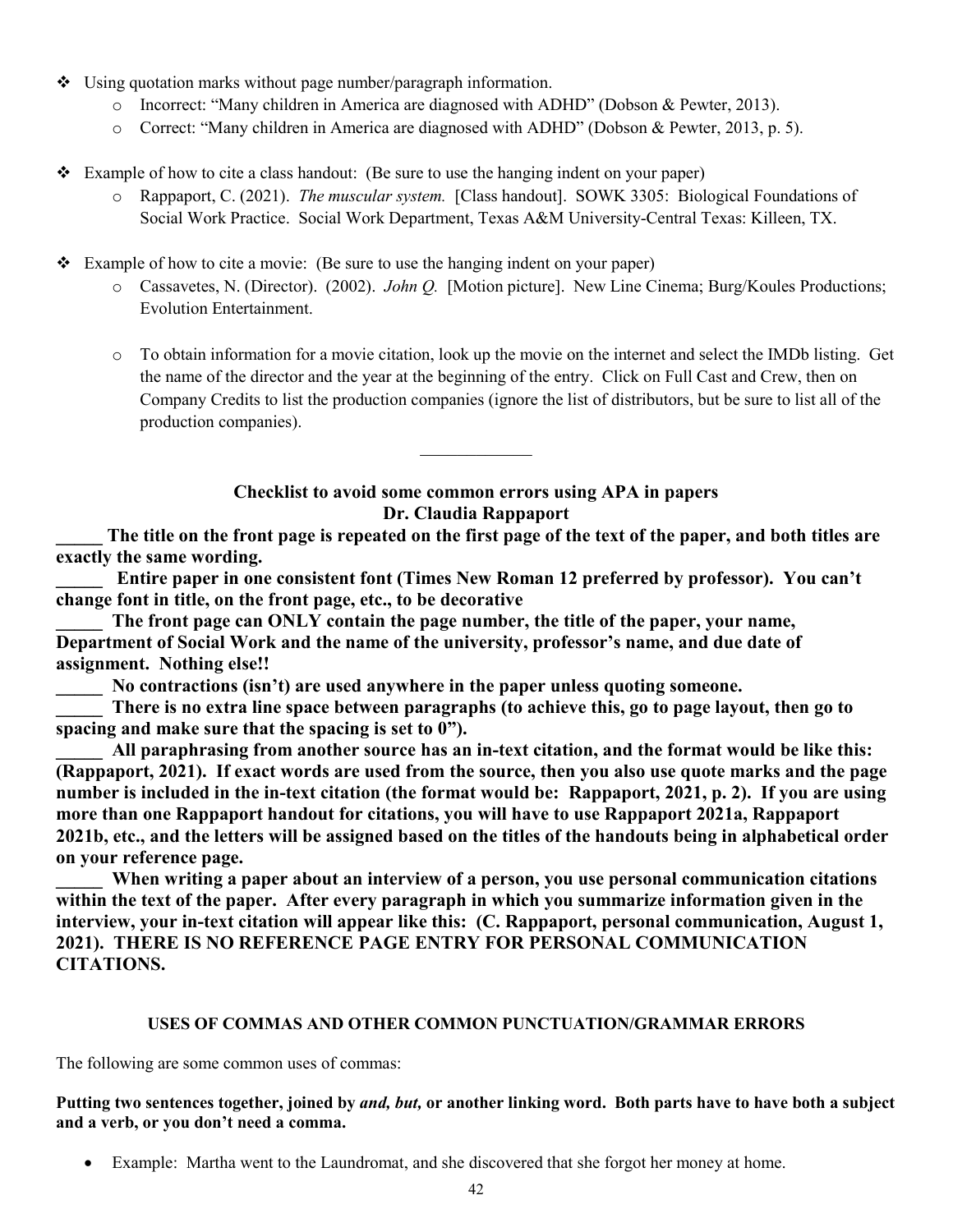- Using quotation marks without page number/paragraph information.
	- o Incorrect: "Many children in America are diagnosed with ADHD" (Dobson & Pewter, 2013).
	- o Correct: "Many children in America are diagnosed with ADHD" (Dobson & Pewter, 2013, p. 5).
- Example of how to cite a class handout: (Be sure to use the hanging indent on your paper)
	- o Rappaport, C. (2021). *The muscular system.* [Class handout]. SOWK 3305: Biological Foundations of Social Work Practice. Social Work Department, Texas A&M University-Central Texas: Killeen, TX.

Example of how to cite a movie: (Be sure to use the hanging indent on your paper)

- o Cassavetes, N. (Director). (2002). *John Q.* [Motion picture]. New Line Cinema; Burg/Koules Productions; Evolution Entertainment.
- o To obtain information for a movie citation, look up the movie on the internet and select the IMDb listing. Get the name of the director and the year at the beginning of the entry. Click on Full Cast and Crew, then on Company Credits to list the production companies (ignore the list of distributors, but be sure to list all of the production companies).

### **Checklist to avoid some common errors using APA in papers Dr. Claudia Rappaport**

 $\mathcal{L}_\text{max}$ 

The title on the front page is repeated on the first page of the text of the paper, and both titles are **exactly the same wording.**

**\_\_\_\_\_ Entire paper in one consistent font (Times New Roman 12 preferred by professor). You can't change font in title, on the front page, etc., to be decorative**

The front page can ONLY contain the page number, the title of the paper, your name, **Department of Social Work and the name of the university, professor's name, and due date of assignment. Nothing else!!**

No contractions (isn't) are used anywhere in the paper unless quoting someone.

There is no extra line space between paragraphs (to achieve this, go to page layout, then go to **spacing and make sure that the spacing is set to 0").**

**\_\_\_\_\_ All paraphrasing from another source has an in-text citation, and the format would be like this: (Rappaport, 2021). If exact words are used from the source, then you also use quote marks and the page number is included in the in-text citation (the format would be: Rappaport, 2021, p. 2). If you are using more than one Rappaport handout for citations, you will have to use Rappaport 2021a, Rappaport 2021b, etc., and the letters will be assigned based on the titles of the handouts being in alphabetical order on your reference page.**

**\_\_\_\_\_ When writing a paper about an interview of a person, you use personal communication citations within the text of the paper. After every paragraph in which you summarize information given in the interview, your in-text citation will appear like this: (C. Rappaport, personal communication, August 1, 2021). THERE IS NO REFERENCE PAGE ENTRY FOR PERSONAL COMMUNICATION CITATIONS.**

#### **USES OF COMMAS AND OTHER COMMON PUNCTUATION/GRAMMAR ERRORS**

The following are some common uses of commas:

#### **Putting two sentences together, joined by** *and, but,* **or another linking word. Both parts have to have both a subject and a verb, or you don't need a comma.**

• Example: Martha went to the Laundromat, and she discovered that she forgot her money at home.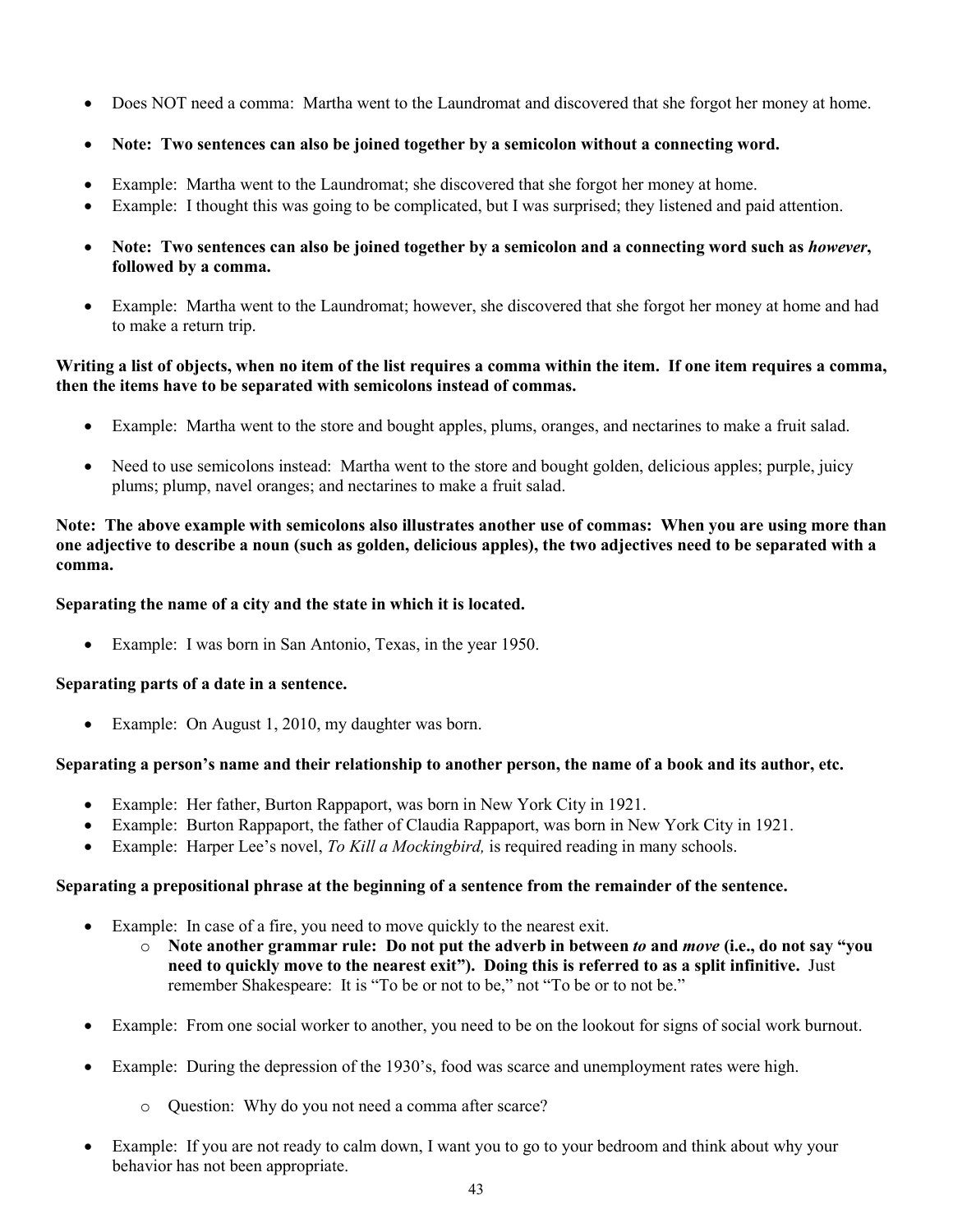- Does NOT need a comma: Martha went to the Laundromat and discovered that she forgot her money at home.
- **Note: Two sentences can also be joined together by a semicolon without a connecting word.**
- Example: Martha went to the Laundromat; she discovered that she forgot her money at home.
- Example: I thought this was going to be complicated, but I was surprised; they listened and paid attention.
- **Note: Two sentences can also be joined together by a semicolon and a connecting word such as** *however***, followed by a comma.**
- Example: Martha went to the Laundromat; however, she discovered that she forgot her money at home and had to make a return trip.

#### **Writing a list of objects, when no item of the list requires a comma within the item. If one item requires a comma, then the items have to be separated with semicolons instead of commas.**

- Example: Martha went to the store and bought apples, plums, oranges, and nectarines to make a fruit salad.
- Need to use semicolons instead: Martha went to the store and bought golden, delicious apples; purple, juicy plums; plump, navel oranges; and nectarines to make a fruit salad.

#### **Note: The above example with semicolons also illustrates another use of commas: When you are using more than one adjective to describe a noun (such as golden, delicious apples), the two adjectives need to be separated with a comma.**

### **Separating the name of a city and the state in which it is located.**

Example: I was born in San Antonio, Texas, in the year 1950.

### **Separating parts of a date in a sentence.**

• Example: On August 1, 2010, my daughter was born.

### **Separating a person's name and their relationship to another person, the name of a book and its author, etc.**

- Example: Her father, Burton Rappaport, was born in New York City in 1921.
- Example: Burton Rappaport, the father of Claudia Rappaport, was born in New York City in 1921.
- Example: Harper Lee's novel, *To Kill a Mockingbird,* is required reading in many schools.

### **Separating a prepositional phrase at the beginning of a sentence from the remainder of the sentence.**

- Example: In case of a fire, you need to move quickly to the nearest exit.
	- o **Note another grammar rule: Do not put the adverb in between** *to* **and** *move* **(i.e., do not say "you need to quickly move to the nearest exit"). Doing this is referred to as a split infinitive.** Just remember Shakespeare: It is "To be or not to be," not "To be or to not be."
- Example: From one social worker to another, you need to be on the lookout for signs of social work burnout.
- Example: During the depression of the 1930's, food was scarce and unemployment rates were high.
	- o Question: Why do you not need a comma after scarce?
- Example: If you are not ready to calm down, I want you to go to your bedroom and think about why your behavior has not been appropriate.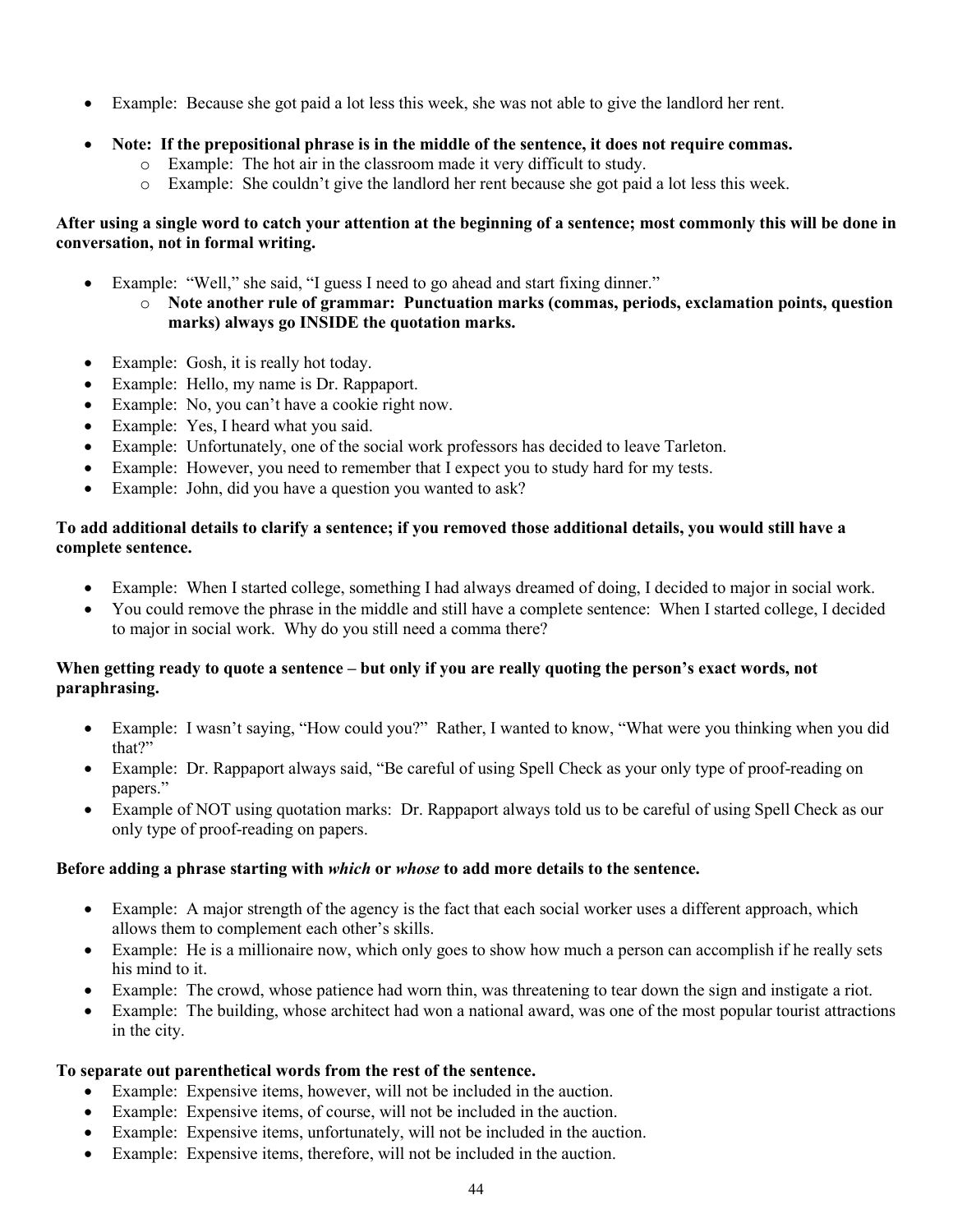- Example: Because she got paid a lot less this week, she was not able to give the landlord her rent.
- **Note: If the prepositional phrase is in the middle of the sentence, it does not require commas.**
	- o Example: The hot air in the classroom made it very difficult to study.
	- o Example: She couldn't give the landlord her rent because she got paid a lot less this week.

#### **After using a single word to catch your attention at the beginning of a sentence; most commonly this will be done in conversation, not in formal writing.**

- Example: "Well," she said, "I guess I need to go ahead and start fixing dinner."
	- o **Note another rule of grammar: Punctuation marks (commas, periods, exclamation points, question marks) always go INSIDE the quotation marks.**
- Example: Gosh, it is really hot today.
- Example: Hello, my name is Dr. Rappaport.
- Example: No, you can't have a cookie right now.
- Example: Yes, I heard what you said.
- Example: Unfortunately, one of the social work professors has decided to leave Tarleton.
- Example: However, you need to remember that I expect you to study hard for my tests.
- Example: John, did you have a question you wanted to ask?

#### **To add additional details to clarify a sentence; if you removed those additional details, you would still have a complete sentence.**

- Example: When I started college, something I had always dreamed of doing, I decided to major in social work.
- You could remove the phrase in the middle and still have a complete sentence: When I started college, I decided to major in social work. Why do you still need a comma there?

#### **When getting ready to quote a sentence – but only if you are really quoting the person's exact words, not paraphrasing.**

- Example: I wasn't saying, "How could you?" Rather, I wanted to know, "What were you thinking when you did that?"
- Example: Dr. Rappaport always said, "Be careful of using Spell Check as your only type of proof-reading on papers."
- Example of NOT using quotation marks: Dr. Rappaport always told us to be careful of using Spell Check as our only type of proof-reading on papers.

### **Before adding a phrase starting with** *which* **or** *whose* **to add more details to the sentence.**

- Example: A major strength of the agency is the fact that each social worker uses a different approach, which allows them to complement each other's skills.
- Example: He is a millionaire now, which only goes to show how much a person can accomplish if he really sets his mind to it.
- Example: The crowd, whose patience had worn thin, was threatening to tear down the sign and instigate a riot.
- Example: The building, whose architect had won a national award, was one of the most popular tourist attractions in the city.

### **To separate out parenthetical words from the rest of the sentence.**

- Example: Expensive items, however, will not be included in the auction.
- Example: Expensive items, of course, will not be included in the auction.
- Example: Expensive items, unfortunately, will not be included in the auction.
- Example: Expensive items, therefore, will not be included in the auction.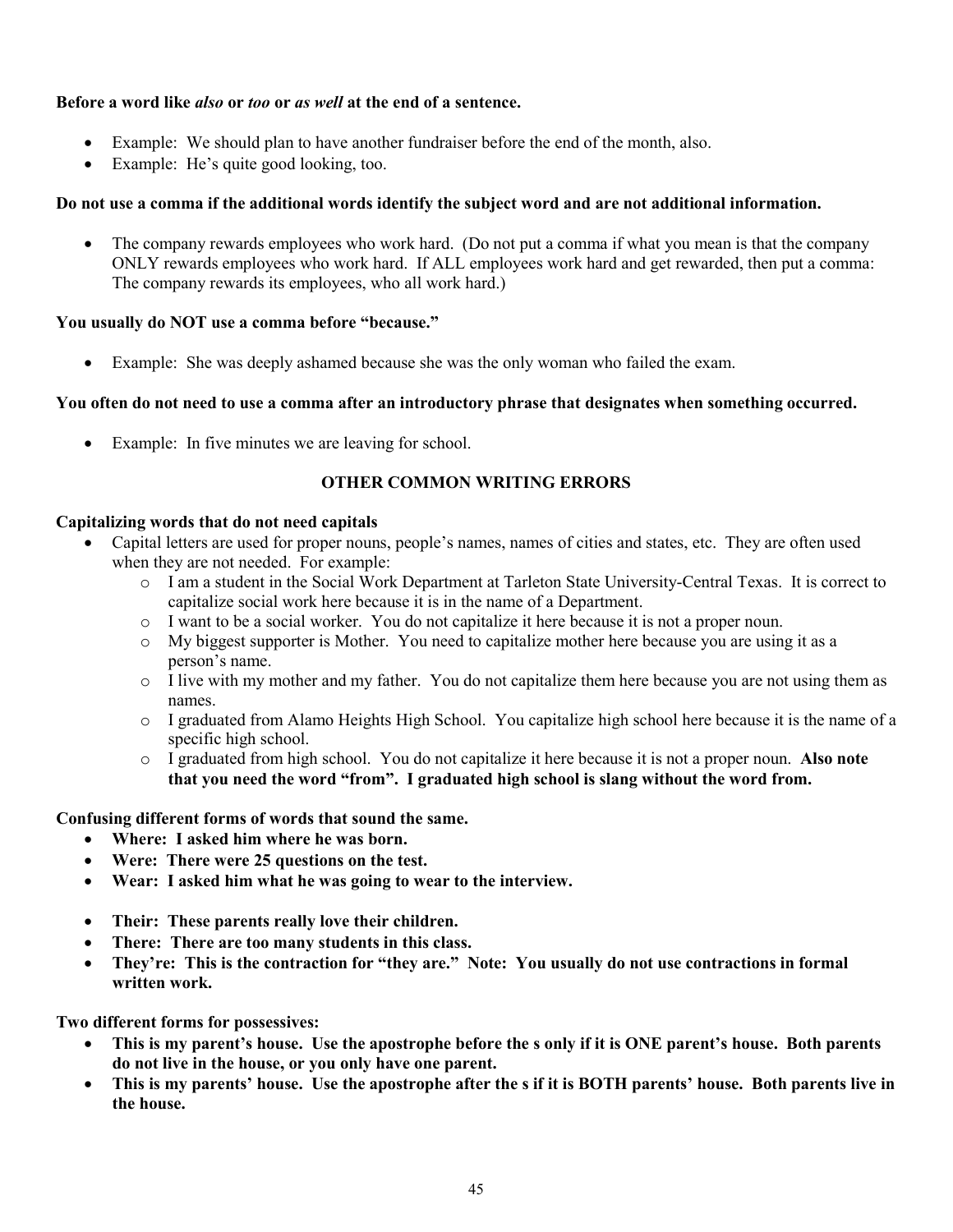### **Before a word like** *also* **or** *too* **or** *as well* **at the end of a sentence.**

- Example: We should plan to have another fundraiser before the end of the month, also.
- Example: He's quite good looking, too.

#### **Do not use a comma if the additional words identify the subject word and are not additional information.**

• The company rewards employees who work hard. (Do not put a comma if what you mean is that the company ONLY rewards employees who work hard. If ALL employees work hard and get rewarded, then put a comma: The company rewards its employees, who all work hard.)

#### **You usually do NOT use a comma before "because."**

Example: She was deeply ashamed because she was the only woman who failed the exam.

#### **You often do not need to use a comma after an introductory phrase that designates when something occurred.**

• Example: In five minutes we are leaving for school.

### **OTHER COMMON WRITING ERRORS**

#### **Capitalizing words that do not need capitals**

- Capital letters are used for proper nouns, people's names, names of cities and states, etc. They are often used when they are not needed. For example:
	- o I am a student in the Social Work Department at Tarleton State University-Central Texas. It is correct to capitalize social work here because it is in the name of a Department.
	- o I want to be a social worker. You do not capitalize it here because it is not a proper noun.
	- o My biggest supporter is Mother. You need to capitalize mother here because you are using it as a person's name.
	- o I live with my mother and my father. You do not capitalize them here because you are not using them as names.
	- o I graduated from Alamo Heights High School. You capitalize high school here because it is the name of a specific high school.
	- o I graduated from high school. You do not capitalize it here because it is not a proper noun. **Also note that you need the word "from". I graduated high school is slang without the word from.**

#### **Confusing different forms of words that sound the same.**

- **Where: I asked him where he was born.**
- **Were: There were 25 questions on the test.**
- **Wear: I asked him what he was going to wear to the interview.**
- **Their: These parents really love their children.**
- **There: There are too many students in this class.**
- **They're: This is the contraction for "they are." Note: You usually do not use contractions in formal written work.**

**Two different forms for possessives:**

- **This is my parent's house. Use the apostrophe before the s only if it is ONE parent's house. Both parents do not live in the house, or you only have one parent.**
- **This is my parents' house. Use the apostrophe after the s if it is BOTH parents' house. Both parents live in the house.**